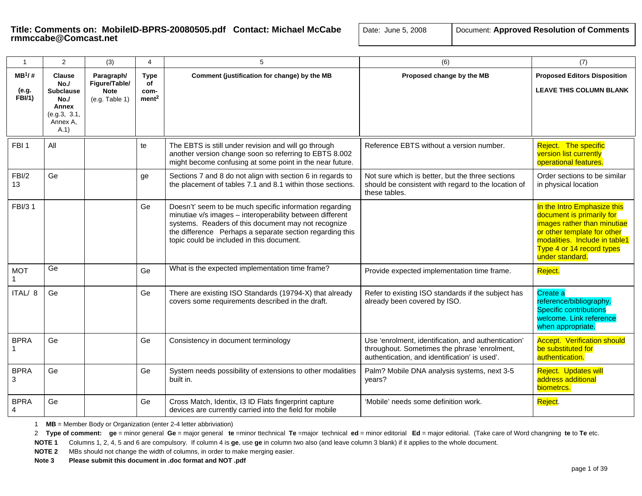| $\mathbf{1}$                       | 2                                                                                           | (3)                                                          | 4                                              | 5                                                                                                                                                                                                                                                                                   | (6)                                                                                                                                                  | (7)                                                                                                                                                                                                     |
|------------------------------------|---------------------------------------------------------------------------------------------|--------------------------------------------------------------|------------------------------------------------|-------------------------------------------------------------------------------------------------------------------------------------------------------------------------------------------------------------------------------------------------------------------------------------|------------------------------------------------------------------------------------------------------------------------------------------------------|---------------------------------------------------------------------------------------------------------------------------------------------------------------------------------------------------------|
| $MB^1/#$<br>(e.g.<br><b>FBI/1)</b> | <b>Clause</b><br>No.<br><b>Subclause</b><br>No.<br>Annex<br>(e.g.3, 3.1,<br>Annex A,<br>A.1 | Paragraph/<br>Figure/Table/<br><b>Note</b><br>(e.g. Table 1) | <b>Type</b><br>of<br>com-<br>ment <sup>2</sup> | Comment (justification for change) by the MB                                                                                                                                                                                                                                        | Proposed change by the MB                                                                                                                            | <b>Proposed Editors Disposition</b><br><b>LEAVE THIS COLUMN BLANK</b>                                                                                                                                   |
| FBI <sub>1</sub>                   | All                                                                                         |                                                              | te                                             | The EBTS is still under revision and will go through<br>another version change soon so referring to EBTS 8.002<br>might become confusing at some point in the near future.                                                                                                          | Reference EBTS without a version number.                                                                                                             | Reject. The specific<br>version list currently<br>operational features.                                                                                                                                 |
| FBI/2<br>13                        | Ge                                                                                          |                                                              | ge                                             | Sections 7 and 8 do not align with section 6 in regards to<br>the placement of tables 7.1 and 8.1 within those sections.                                                                                                                                                            | Not sure which is better, but the three sections<br>should be consistent with regard to the location of<br>these tables.                             | Order sections to be similar<br>in physical location                                                                                                                                                    |
| FBI/3 1                            |                                                                                             |                                                              | Ge                                             | Doesn't' seem to be much specific information regarding<br>minutiae v/s images - interoperability between different<br>systems. Readers of this document may not recognize<br>the difference Perhaps a separate section regarding this<br>topic could be included in this document. |                                                                                                                                                      | In the Intro Emphasize this<br>document is primarily for<br>images rather than minutiae<br>or other template for other<br>modalities. Include in table1<br>Type 4 or 14 record types<br>under standard. |
| <b>MOT</b>                         | Ge                                                                                          |                                                              | Ge                                             | What is the expected implementation time frame?                                                                                                                                                                                                                                     | Provide expected implementation time frame.                                                                                                          | Reject.                                                                                                                                                                                                 |
| ITAL/ 8                            | Ge                                                                                          |                                                              | Ge                                             | There are existing ISO Standards (19794-X) that already<br>covers some requirements described in the draft.                                                                                                                                                                         | Refer to existing ISO standards if the subject has<br>already been covered by ISO.                                                                   | Create a<br>reference/bibliography.<br><b>Specific contributions</b><br>welcome. Link reference<br>when appropriate.                                                                                    |
| <b>BPRA</b>                        | Ge                                                                                          |                                                              | Ge                                             | Consistency in document terminology                                                                                                                                                                                                                                                 | Use 'enrolment, identification, and authentication'<br>throughout. Sometimes the phrase 'enrolment,<br>authentication, and identification' is used'. | <b>Accept. Verification should</b><br>be substituted for<br>authentication.                                                                                                                             |
| <b>BPRA</b><br>3                   | Ge                                                                                          |                                                              | Ge                                             | System needs possibility of extensions to other modalities<br>built in.                                                                                                                                                                                                             | Palm? Mobile DNA analysis systems, next 3-5<br>years?                                                                                                | Reject. Updates will<br>address additional<br>biometrcs.                                                                                                                                                |
| <b>BPRA</b><br>4                   | Ge                                                                                          |                                                              | Ge                                             | Cross Match, Identix, I3 ID Flats fingerprint capture<br>devices are currently carried into the field for mobile                                                                                                                                                                    | 'Mobile' needs some definition work.                                                                                                                 | Reject.                                                                                                                                                                                                 |

1 **MB** = Member Body or Organization (enter 2-4 letter abbriviation)

2 Type of comment: ge = minor general Ge = major general te =minor ttechnical Te =major technical ed = minor editorial Ed = major editorial. (Take care of Word changning te to Te etc.

**NOTE 1** Columns 1, 2, 4, 5 and 6 are compulsory. If column 4 is **ge**, use **ge** in column two also (and leave column 3 blank) if it applies to the whole document.

**NOTE 2** MBs should not change the width of columns, in order to make merging easier.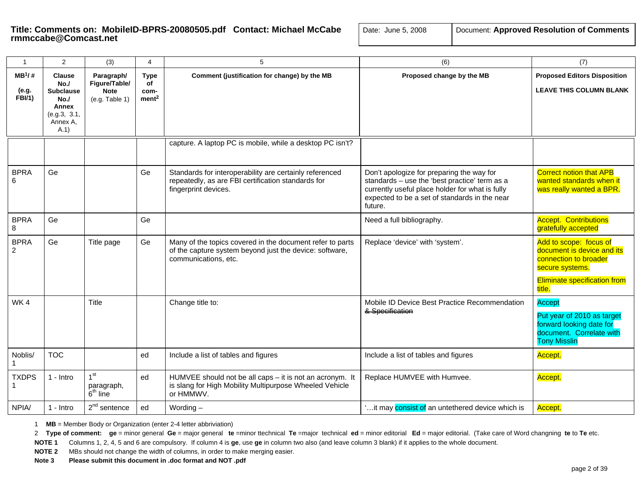| $\mathbf{1}$                        | 2                                                                                           | (3)                                                          | 4                                              | 5                                                                                                                                            | (6)                                                                                                                                                                                                       | (7)                                                                                                                                               |
|-------------------------------------|---------------------------------------------------------------------------------------------|--------------------------------------------------------------|------------------------------------------------|----------------------------------------------------------------------------------------------------------------------------------------------|-----------------------------------------------------------------------------------------------------------------------------------------------------------------------------------------------------------|---------------------------------------------------------------------------------------------------------------------------------------------------|
| $MB^1$ /#<br>(e.g.<br><b>FBI/1)</b> | <b>Clause</b><br>No.<br><b>Subclause</b><br>No.<br>Annex<br>(e.g.3, 3.1,<br>Annex A.<br>A.1 | Paragraph/<br>Figure/Table/<br><b>Note</b><br>(e.g. Table 1) | <b>Type</b><br>of<br>com-<br>ment <sup>2</sup> | Comment (justification for change) by the MB                                                                                                 | Proposed change by the MB                                                                                                                                                                                 | <b>Proposed Editors Disposition</b><br><b>LEAVE THIS COLUMN BLANK</b>                                                                             |
|                                     |                                                                                             |                                                              |                                                | capture. A laptop PC is mobile, while a desktop PC isn't?                                                                                    |                                                                                                                                                                                                           |                                                                                                                                                   |
| <b>BPRA</b><br>6                    | Ge                                                                                          |                                                              | Ge                                             | Standards for interoperability are certainly referenced<br>repeatedly, as are FBI certification standards for<br>fingerprint devices.        | Don't apologize for preparing the way for<br>standards - use the 'best practice' term as a<br>currently useful place holder for what is fully<br>expected to be a set of standards in the near<br>future. | <b>Correct notion that APB</b><br>wanted standards when it<br>was really wanted a BPR.                                                            |
| <b>BPRA</b><br>8                    | Ge                                                                                          |                                                              | Ge                                             |                                                                                                                                              | Need a full bibliography.                                                                                                                                                                                 | <b>Accept. Contributions</b><br>gratefully accepted                                                                                               |
| <b>BPRA</b><br>2                    | Ge                                                                                          | Title page                                                   | Ge                                             | Many of the topics covered in the document refer to parts<br>of the capture system beyond just the device: software,<br>communications, etc. | Replace 'device' with 'system'.                                                                                                                                                                           | Add to scope: focus of<br>document is device and its<br>connection to broader<br>secure systems.<br><b>Eliminate specification from</b><br>title. |
| WK4                                 |                                                                                             | Title                                                        |                                                | Change title to:                                                                                                                             | Mobile ID Device Best Practice Recommendation<br>& Spocification                                                                                                                                          | <b>Accept</b><br>Put year of 2010 as target<br>forward looking date for<br>document. Correlate with<br><b>Tony Misslin</b>                        |
| Noblis/                             | <b>TOC</b>                                                                                  |                                                              | ed                                             | Include a list of tables and figures                                                                                                         | Include a list of tables and figures                                                                                                                                                                      | Accept.                                                                                                                                           |
| <b>TXDPS</b>                        | 1 - Intro                                                                                   | 1 <sup>st</sup><br>paragraph,<br>$6th$ line                  | ed                                             | HUMVEE should not be all caps - it is not an acronym. It<br>is slang for High Mobility Multipurpose Wheeled Vehicle<br>or HMMWV.             | Replace HUMVEE with Humvee.                                                                                                                                                                               | Accept.                                                                                                                                           |
| NPIA/                               | 1 - Intro                                                                                   | $2nd$ sentence                                               | ed                                             | Wording $-$                                                                                                                                  | ' it may consist of an untethered device which is                                                                                                                                                         | Accept.                                                                                                                                           |

1 **MB** = Member Body or Organization (enter 2-4 letter abbriviation)

2 Type of comment: ge = minor general Ge = major general te =minor ttechnical Te =major technical ed = minor editorial Ed = major editorial. (Take care of Word changning te to Te etc.

**NOTE 1** Columns 1, 2, 4, 5 and 6 are compulsory. If column 4 is **ge**, use **ge** in column two also (and leave column 3 blank) if it applies to the whole document.

**NOTE 2** MBs should not change the width of columns, in order to make merging easier.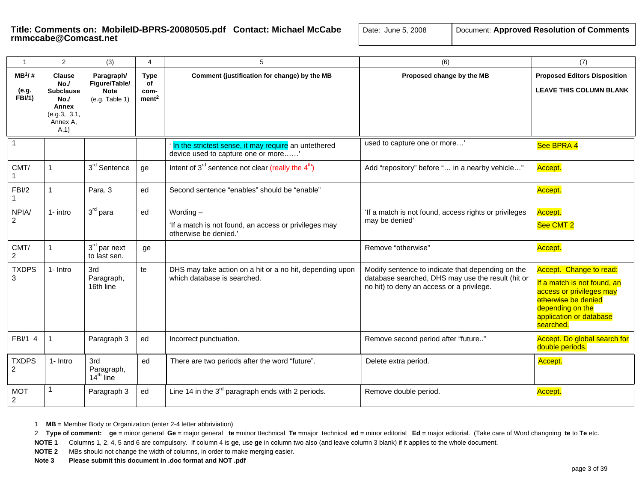| Document: Approved Resolution of Comments<br>Date: June 5, 2008 |  |
|-----------------------------------------------------------------|--|
|-----------------------------------------------------------------|--|

| $\mathbf{1}$                        | 2                                                                                                  | (3)                                                          | $\overline{4}$                                 | 5                                                                                             | (6)                                                                                                                                                 | (7)                                                                                                                                                                   |
|-------------------------------------|----------------------------------------------------------------------------------------------------|--------------------------------------------------------------|------------------------------------------------|-----------------------------------------------------------------------------------------------|-----------------------------------------------------------------------------------------------------------------------------------------------------|-----------------------------------------------------------------------------------------------------------------------------------------------------------------------|
| $MB^1$ /#<br>(e.g.<br><b>FBI/1)</b> | <b>Clause</b><br>No.<br><b>Subclause</b><br>No.<br><b>Annex</b><br>(e.g.3, 3.1,<br>Annex A.<br>A.1 | Paragraph/<br>Figure/Table/<br><b>Note</b><br>(e.g. Table 1) | <b>Type</b><br>of<br>com-<br>ment <sup>2</sup> | Comment (justification for change) by the MB                                                  | Proposed change by the MB                                                                                                                           | <b>Proposed Editors Disposition</b><br><b>LEAVE THIS COLUMN BLANK</b>                                                                                                 |
|                                     |                                                                                                    |                                                              |                                                | In the strictest sense, it may require an untethered<br>device used to capture one or more'   | used to capture one or more                                                                                                                         | See BPRA 4                                                                                                                                                            |
| CMT/                                |                                                                                                    | 3 <sup>rd</sup> Sentence                                     | ge                                             | Intent of $3^{rd}$ sentence not clear (really the $4^{th}$ )                                  | Add "repository" before " in a nearby vehicle"                                                                                                      | Accept.                                                                                                                                                               |
| FBI/2                               |                                                                                                    | Para, 3                                                      | ed                                             | Second sentence "enables" should be "enable"                                                  |                                                                                                                                                     | Accept.                                                                                                                                                               |
| NPIA/<br>$\overline{2}$             | 1- intro                                                                                           | $3rd$ para                                                   | ed                                             | Wording $-$<br>'If a match is not found, an access or privileges may<br>otherwise be denied.' | 'If a match is not found, access rights or privileges<br>may be denied'                                                                             | Accept.<br>See CMT <sub>2</sub>                                                                                                                                       |
| CMT/<br>$\overline{2}$              |                                                                                                    | $3rd$ par next<br>to last sen.                               | ge                                             |                                                                                               | Remove "otherwise"                                                                                                                                  | Accept.                                                                                                                                                               |
| <b>TXDPS</b><br>3                   | 1- Intro                                                                                           | 3rd<br>Paragraph,<br>16th line                               | te                                             | DHS may take action on a hit or a no hit, depending upon<br>which database is searched.       | Modify sentence to indicate that depending on the<br>database searched, DHS may use the result (hit or<br>no hit) to deny an access or a privilege. | Accept. Change to read:<br>If a match is not found, an<br>access or privileges may<br>etherwise be denied<br>depending on the<br>application or database<br>searched. |
| FBI/1 4                             | 1                                                                                                  | Paragraph 3                                                  | ed                                             | Incorrect punctuation.                                                                        | Remove second period after "future"                                                                                                                 | Accept. Do global search for<br>double periods.                                                                                                                       |
| <b>TXDPS</b><br>2                   | 1- Intro                                                                                           | 3rd<br>Paragraph,<br>$14th$ line                             | ed                                             | There are two periods after the word "future".                                                | Delete extra period.                                                                                                                                | Accept.                                                                                                                                                               |
| <b>MOT</b><br>$\overline{2}$        |                                                                                                    | Paragraph 3                                                  | ed                                             | Line 14 in the 3 <sup>rd</sup> paragraph ends with 2 periods.                                 | Remove double period.                                                                                                                               | Accept.                                                                                                                                                               |

1 **MB** = Member Body or Organization (enter 2-4 letter abbriviation)

2 Type of comment: ge = minor general Ge = major general te =minor ttechnical Te =major technical ed = minor editorial Ed = major editorial. (Take care of Word changning te to Te etc.

**NOTE 1** Columns 1, 2, 4, 5 and 6 are compulsory. If column 4 is **ge**, use **ge** in column two also (and leave column 3 blank) if it applies to the whole document.

**NOTE 2** MBs should not change the width of columns, in order to make merging easier.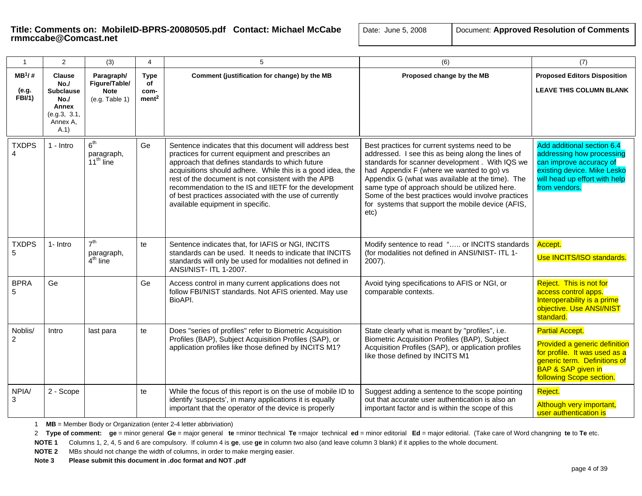| $\mathbf{1}$                       | $\overline{2}$                                                                              | (3)                                                          | 4                                              | 5                                                                                                                                                                                                                                                                                                                                                                                                                                            | (6)                                                                                                                                                                                                                                                                                                                                                                                                                         | (7)                                                                                                                                                                                   |
|------------------------------------|---------------------------------------------------------------------------------------------|--------------------------------------------------------------|------------------------------------------------|----------------------------------------------------------------------------------------------------------------------------------------------------------------------------------------------------------------------------------------------------------------------------------------------------------------------------------------------------------------------------------------------------------------------------------------------|-----------------------------------------------------------------------------------------------------------------------------------------------------------------------------------------------------------------------------------------------------------------------------------------------------------------------------------------------------------------------------------------------------------------------------|---------------------------------------------------------------------------------------------------------------------------------------------------------------------------------------|
| $MB^1/#$<br>(e.g.<br><b>FBI/1)</b> | <b>Clause</b><br>No.<br><b>Subclause</b><br>No.<br>Annex<br>(e.g.3, 3.1,<br>Annex A.<br>A.1 | Paragraph/<br>Figure/Table/<br><b>Note</b><br>(e.g. Table 1) | <b>Type</b><br>of<br>com-<br>ment <sup>2</sup> | Comment (justification for change) by the MB                                                                                                                                                                                                                                                                                                                                                                                                 | Proposed change by the MB                                                                                                                                                                                                                                                                                                                                                                                                   | <b>Proposed Editors Disposition</b><br><b>LEAVE THIS COLUMN BLANK</b>                                                                                                                 |
| <b>TXDPS</b>                       | $1 - Intro$                                                                                 | 6 <sup>th</sup><br>paragraph,<br>$11th$ line                 | Ge                                             | Sentence indicates that this document will address best<br>practices for current equipment and prescribes an<br>approach that defines standards to which future<br>acquisitions should adhere. While this is a good idea, the<br>rest of the document is not consistent with the APB<br>recommendation to the IS and IIETF for the development<br>of best practices associated with the use of currently<br>available equipment in specific. | Best practices for current systems need to be<br>addressed. I see this as being along the lines of<br>standards for scanner development . With IQS we<br>had Appendix F (where we wanted to go) vs<br>Appendix G (what was available at the time). The<br>same type of approach should be utilized here.<br>Some of the best practices would involve practices<br>for systems that support the mobile device (AFIS,<br>etc) | Add additional section 6.4<br>addressing how processing<br>can improve accuracy of<br>existing device. Mike Lesko<br>will head up effort with help<br>from vendors.                   |
| <b>TXDPS</b><br>5                  | 1- Intro                                                                                    | 7 <sup>th</sup><br>paragraph,<br>$4th$ line                  | te                                             | Sentence indicates that, for IAFIS or NGI, INCITS<br>standards can be used. It needs to indicate that INCITS<br>standards will only be used for modalities not defined in<br>ANSI/NIST- ITL 1-2007.                                                                                                                                                                                                                                          | Modify sentence to read " or INCITS standards<br>(for modalities not defined in ANSI/NIST- ITL 1-<br>$2007$ ).                                                                                                                                                                                                                                                                                                              | Accept.<br>Use INCITS/ISO standards.                                                                                                                                                  |
| <b>BPRA</b><br>5                   | Ge                                                                                          |                                                              | Ge                                             | Access control in many current applications does not<br>follow FBI/NIST standards. Not AFIS oriented. May use<br>BioAPI.                                                                                                                                                                                                                                                                                                                     | Avoid tying specifications to AFIS or NGI, or<br>comparable contexts.                                                                                                                                                                                                                                                                                                                                                       | Reject. This is not for<br>access control apps.<br>Interoperability is a prime<br>objective. Use ANSI/NIST<br>standard.                                                               |
| Noblis/<br>$\overline{2}$          | Intro                                                                                       | last para                                                    | te                                             | Does "series of profiles" refer to Biometric Acquisition<br>Profiles (BAP), Subject Acquisition Profiles (SAP), or<br>application profiles like those defined by INCITS M1?                                                                                                                                                                                                                                                                  | State clearly what is meant by "profiles", i.e.<br>Biometric Acquisition Profiles (BAP), Subject<br>Acquisition Profiles (SAP), or application profiles<br>like those defined by INCITS M1                                                                                                                                                                                                                                  | <b>Partial Accept.</b><br>Provided a generic definition<br>for profile. It was used as a<br>generic term. Definitions of<br><b>BAP &amp; SAP given in</b><br>following Scope section. |
| NPIA/<br>3                         | 2 - Scope                                                                                   |                                                              | te                                             | While the focus of this report is on the use of mobile ID to<br>identify 'suspects', in many applications it is equally<br>important that the operator of the device is properly                                                                                                                                                                                                                                                             | Suggest adding a sentence to the scope pointing<br>out that accurate user authentication is also an<br>important factor and is within the scope of this                                                                                                                                                                                                                                                                     | Reject.<br>Although very important,<br>user authentication is                                                                                                                         |

1 **MB** = Member Body or Organization (enter 2-4 letter abbriviation)

2 Type of comment: ge = minor general Ge = major general te =minor ttechnical Te =major technical ed = minor editorial Ed = major editorial. (Take care of Word changning te to Te etc.

**NOTE 1** Columns 1, 2, 4, 5 and 6 are compulsory. If column 4 is **ge**, use **ge** in column two also (and leave column 3 blank) if it applies to the whole document.

**NOTE 2** MBs should not change the width of columns, in order to make merging easier.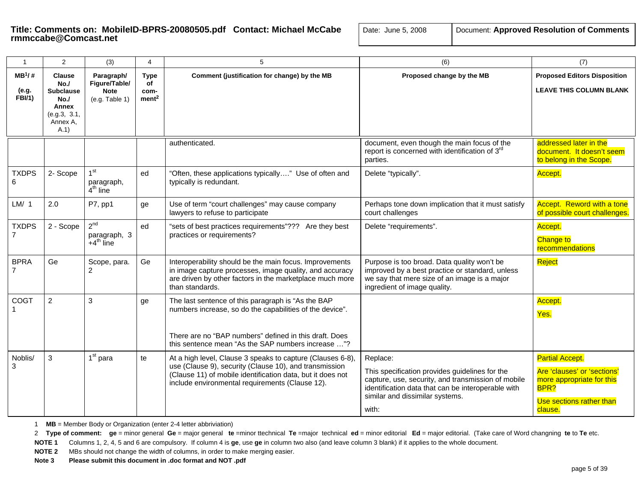| $\mathbf{1}$                        | 2                                                                                           | (3)                                                          | 4                                       | 5                                                                                                                                                                                                                                     | (6)                                                                                                                                                                                                                | (7)                                                                                                                               |
|-------------------------------------|---------------------------------------------------------------------------------------------|--------------------------------------------------------------|-----------------------------------------|---------------------------------------------------------------------------------------------------------------------------------------------------------------------------------------------------------------------------------------|--------------------------------------------------------------------------------------------------------------------------------------------------------------------------------------------------------------------|-----------------------------------------------------------------------------------------------------------------------------------|
| $MB^1$ /#<br>(e.g.<br><b>FBI/1)</b> | <b>Clause</b><br>No.<br><b>Subclause</b><br>No.<br>Annex<br>(e.g.3, 3.1,<br>Annex A.<br>A.1 | Paragraph/<br>Figure/Table/<br><b>Note</b><br>(e.g. Table 1) | Type<br>of<br>com-<br>ment <sup>2</sup> | Comment (justification for change) by the MB                                                                                                                                                                                          | Proposed change by the MB                                                                                                                                                                                          | <b>Proposed Editors Disposition</b><br><b>LEAVE THIS COLUMN BLANK</b>                                                             |
|                                     |                                                                                             |                                                              |                                         | authenticated.                                                                                                                                                                                                                        | document, even though the main focus of the<br>report is concerned with identification of 3rd<br>parties.                                                                                                          | addressed later in the<br>document. It doesn't seem<br>to belong in the Scope.                                                    |
| <b>TXDPS</b><br>6                   | 2- Scope                                                                                    | 1 <sup>st</sup><br>paragraph,<br>$4th$ line                  | ed                                      | "Often, these applications typically" Use of often and<br>typically is redundant.                                                                                                                                                     | Delete "typically".                                                                                                                                                                                                | Accept.                                                                                                                           |
| LM/1                                | 2.0                                                                                         | P7, pp1                                                      | ge                                      | Use of term "court challenges" may cause company<br>lawyers to refuse to participate                                                                                                                                                  | Perhaps tone down implication that it must satisfy<br>court challenges                                                                                                                                             | Accept. Reword with a tone<br>of possible court challenges.                                                                       |
| <b>TXDPS</b>                        | 2 - Scope                                                                                   | $2^{nd}$<br>paragraph, 3<br>$+4^{\text{th}}$ line            | ed                                      | "sets of best practices requirements"??? Are they best<br>practices or requirements?                                                                                                                                                  | Delete "requirements".                                                                                                                                                                                             | Accept.<br><b>Change to</b><br>recommendations                                                                                    |
| <b>BPRA</b>                         | Ge                                                                                          | Scope, para.<br>$\overline{c}$                               | Ge                                      | Interoperability should be the main focus. Improvements<br>in image capture processes, image quality, and accuracy<br>are driven by other factors in the marketplace much more<br>than standards.                                     | Purpose is too broad. Data quality won't be<br>improved by a best practice or standard, unless<br>we say that mere size of an image is a major<br>ingredient of image quality.                                     | Reject                                                                                                                            |
| COGT                                | $\overline{2}$                                                                              | 3                                                            | ge                                      | The last sentence of this paragraph is "As the BAP<br>numbers increase, so do the capabilities of the device".<br>There are no "BAP numbers" defined in this draft. Does<br>this sentence mean "As the SAP numbers increase "?        |                                                                                                                                                                                                                    | Accept.<br>Yes.                                                                                                                   |
| Noblis/<br>3                        | 3                                                                                           | $1st$ para                                                   | te                                      | At a high level, Clause 3 speaks to capture (Clauses 6-8),<br>use (Clause 9), security (Clause 10), and transmission<br>(Clause 11) of mobile identification data, but it does not<br>include environmental requirements (Clause 12). | Replace:<br>This specification provides guidelines for the<br>capture, use, security, and transmission of mobile<br>identification data that can be interoperable with<br>similar and dissimilar systems.<br>with: | <b>Partial Accept.</b><br>Are 'clauses' or 'sections'<br>more appropriate for this<br>BPR?<br>Use sections rather than<br>clause. |

1 **MB** = Member Body or Organization (enter 2-4 letter abbriviation)

2 Type of comment: ge = minor general Ge = major general te =minor ttechnical Te =major technical ed = minor editorial Ed = major editorial. (Take care of Word changning te to Te etc.

**NOTE 1** Columns 1, 2, 4, 5 and 6 are compulsory. If column 4 is **ge**, use **ge** in column two also (and leave column 3 blank) if it applies to the whole document.

**NOTE 2** MBs should not change the width of columns, in order to make merging easier.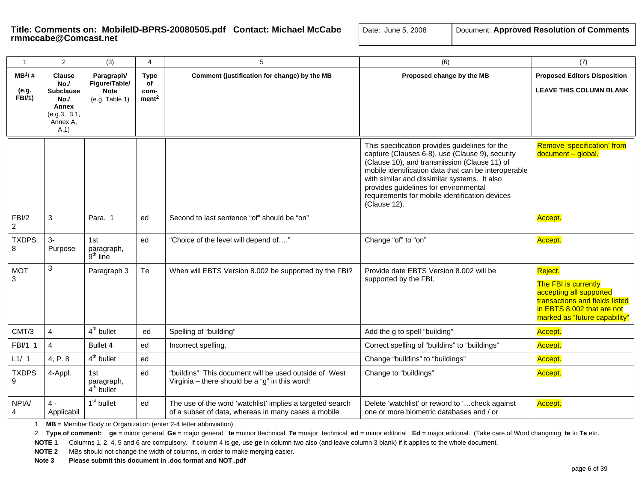| $\mathbf{1}$            | 2                                                                   | (3)                               | 4                         | 5                                                                                                                | (6)                                                                                                                                                                                                                                                                                                                                                                  | (7)                                                                                                                                                         |
|-------------------------|---------------------------------------------------------------------|-----------------------------------|---------------------------|------------------------------------------------------------------------------------------------------------------|----------------------------------------------------------------------------------------------------------------------------------------------------------------------------------------------------------------------------------------------------------------------------------------------------------------------------------------------------------------------|-------------------------------------------------------------------------------------------------------------------------------------------------------------|
| $MB^1$ /#               | <b>Clause</b><br>No.                                                | Paragraph/<br>Figure/Table/       | <b>Type</b><br>of         | Comment (justification for change) by the MB                                                                     | Proposed change by the MB                                                                                                                                                                                                                                                                                                                                            | <b>Proposed Editors Disposition</b>                                                                                                                         |
| (e.g.<br>FBI/1)         | <b>Subclause</b><br>No.<br>Annex<br>(e.g.3, 3.1,<br>Annex A,<br>A.1 | <b>Note</b><br>(e.g. Table 1)     | com-<br>ment <sup>2</sup> |                                                                                                                  |                                                                                                                                                                                                                                                                                                                                                                      | <b>LEAVE THIS COLUMN BLANK</b>                                                                                                                              |
|                         |                                                                     |                                   |                           |                                                                                                                  | This specification provides guidelines for the<br>capture (Clauses 6-8), use (Clause 9), security<br>(Clause 10), and transmission (Clause 11) of<br>mobile identification data that can be interoperable<br>with similar and dissimilar systems. It also<br>provides guidelines for environmental<br>requirements for mobile identification devices<br>(Clause 12). | Remove 'specification' from<br>document - global.                                                                                                           |
| FBI/2<br>$\overline{2}$ | 3                                                                   | Para, 1                           | ed                        | Second to last sentence "of" should be "on"                                                                      |                                                                                                                                                                                                                                                                                                                                                                      | Accept.                                                                                                                                                     |
| <b>TXDPS</b><br>8       | $3-$<br>Purpose                                                     | 1st<br>paragraph,<br>$9th$ line   | ed                        | "Choice of the level will depend of"                                                                             | Change "of" to "on"                                                                                                                                                                                                                                                                                                                                                  | Accept.                                                                                                                                                     |
| <b>MOT</b><br>3         | 3                                                                   | Paragraph 3                       | Te                        | When will EBTS Version 8.002 be supported by the FBI?                                                            | Provide date EBTS Version 8.002 will be<br>supported by the FBI.                                                                                                                                                                                                                                                                                                     | Reject.<br>The FBI is currently<br>accepting all supported<br>transactions and fields listed<br>in EBTS 8.002 that are not<br>marked as "future capability" |
| CMT/3                   | $\overline{4}$                                                      | $4th$ bullet                      | ed                        | Spelling of "building"                                                                                           | Add the g to spell "building"                                                                                                                                                                                                                                                                                                                                        | Accept.                                                                                                                                                     |
| FBI/1 1                 | $\overline{4}$                                                      | Bullet 4                          | ed                        | Incorrect spelling.                                                                                              | Correct spelling of "buildins" to "buildings"                                                                                                                                                                                                                                                                                                                        | Accept.                                                                                                                                                     |
| L1/1                    | 4, P. 8                                                             | $4th$ bullet                      | ed                        |                                                                                                                  | Change "buildins" to "buildings"                                                                                                                                                                                                                                                                                                                                     | Accept.                                                                                                                                                     |
| <b>TXDPS</b><br>9       | 4-Appl.                                                             | 1st<br>paragraph,<br>$4th$ bullet | ed                        | "buildins" This document will be used outside of West<br>Virginia - there should be a "g" in this word!          | Change to "buildings"                                                                                                                                                                                                                                                                                                                                                | Accept.                                                                                                                                                     |
| NPIA/<br>4              | $4 -$<br>Applicabil                                                 | 1 <sup>st</sup> bullet            | ed                        | The use of the word 'watchlist' implies a targeted search<br>of a subset of data, whereas in many cases a mobile | Delete 'watchlist' or reword to 'check against<br>one or more biometric databases and / or                                                                                                                                                                                                                                                                           | Accept.                                                                                                                                                     |

1 **MB** = Member Body or Organization (enter 2-4 letter abbriviation)

2 Type of comment: ge = minor general Ge = major general te =minor ttechnical Te =major technical ed = minor editorial Ed = major editorial. (Take care of Word changning te to Te etc.

**NOTE 1** Columns 1, 2, 4, 5 and 6 are compulsory. If column 4 is **ge**, use **ge** in column two also (and leave column 3 blank) if it applies to the whole document.

**NOTE 2** MBs should not change the width of columns, in order to make merging easier.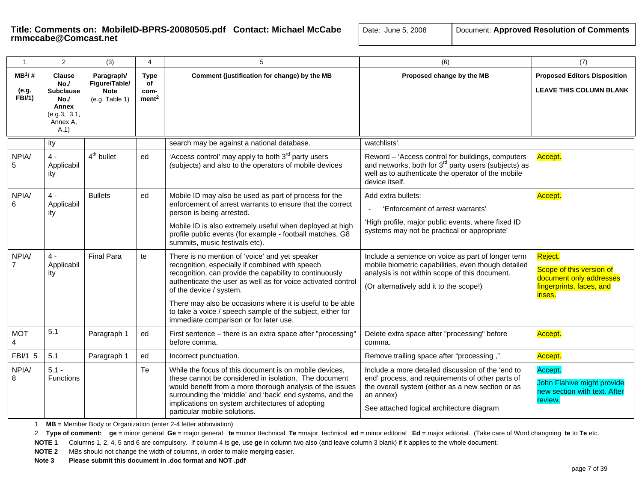| $\mathbf{1}$                        | 2                                                        | (3)                                                          | 4                                              | 5                                                                                                                                                                                                                                                                                                                            | (6)                                                                                                                                                                                                                  | (7)                                                                                                   |
|-------------------------------------|----------------------------------------------------------|--------------------------------------------------------------|------------------------------------------------|------------------------------------------------------------------------------------------------------------------------------------------------------------------------------------------------------------------------------------------------------------------------------------------------------------------------------|----------------------------------------------------------------------------------------------------------------------------------------------------------------------------------------------------------------------|-------------------------------------------------------------------------------------------------------|
| $MB^1$ /#<br>(e.g.<br><b>FBI/1)</b> | <b>Clause</b><br>No.<br><b>Subclause</b><br>No.<br>Annex | Paragraph/<br>Figure/Table/<br><b>Note</b><br>(e.g. Table 1) | <b>Type</b><br>of<br>com-<br>ment <sup>2</sup> | Comment (justification for change) by the MB                                                                                                                                                                                                                                                                                 | Proposed change by the MB                                                                                                                                                                                            | <b>Proposed Editors Disposition</b><br><b>LEAVE THIS COLUMN BLANK</b>                                 |
|                                     | (e.g.3, 3.1,<br>Annex A,<br>A.1                          |                                                              |                                                |                                                                                                                                                                                                                                                                                                                              |                                                                                                                                                                                                                      |                                                                                                       |
|                                     | ity                                                      |                                                              |                                                | search may be against a national database.                                                                                                                                                                                                                                                                                   | watchlists'.                                                                                                                                                                                                         |                                                                                                       |
| NPIA/                               | $4 -$<br>Applicabil<br>ity                               | $4th$ bullet                                                 | ed                                             | 'Access control' may apply to both 3 <sup>rd</sup> party users<br>(subjects) and also to the operators of mobile devices                                                                                                                                                                                                     | Reword - 'Access control for buildings, computers<br>and networks, both for 3 <sup>rd</sup> party users (subjects) as<br>well as to authenticate the operator of the mobile<br>device itself.                        | Accept.                                                                                               |
| NPIA/                               | $4 -$                                                    | <b>Bullets</b>                                               | ed                                             | Mobile ID may also be used as part of process for the                                                                                                                                                                                                                                                                        | Add extra bullets:                                                                                                                                                                                                   | Accept.                                                                                               |
|                                     | Applicabil<br>ity                                        |                                                              |                                                | enforcement of arrest warrants to ensure that the correct<br>person is being arrested.                                                                                                                                                                                                                                       | 'Enforcement of arrest warrants'                                                                                                                                                                                     |                                                                                                       |
|                                     |                                                          |                                                              |                                                | Mobile ID is also extremely useful when deployed at high<br>profile public events (for example - football matches, G8<br>summits, music festivals etc).                                                                                                                                                                      | 'High profile, major public events, where fixed ID<br>systems may not be practical or appropriate'                                                                                                                   |                                                                                                       |
| NPIA/<br>$\overline{7}$             | $4 -$<br>Applicabil<br>ity                               | <b>Final Para</b>                                            | te                                             | There is no mention of 'voice' and yet speaker<br>recognition, especially if combined with speech<br>recognition, can provide the capability to continuously<br>authenticate the user as well as for voice activated control<br>of the device / system.                                                                      | Include a sentence on voice as part of longer term<br>mobile biometric capabilities, even though detailed<br>analysis is not within scope of this document.<br>(Or alternatively add it to the scope!)               | Reject.<br>Scope of this version of<br>document only addresses<br>fingerprints, faces, and<br>irises. |
|                                     |                                                          |                                                              |                                                | There may also be occasions where it is useful to be able<br>to take a voice / speech sample of the subject, either for<br>immediate comparison or for later use.                                                                                                                                                            |                                                                                                                                                                                                                      |                                                                                                       |
| <b>MOT</b>                          | 5.1                                                      | Paragraph 1                                                  | ed                                             | First sentence - there is an extra space after "processing"<br>before comma.                                                                                                                                                                                                                                                 | Delete extra space after "processing" before<br>comma.                                                                                                                                                               | Accept.                                                                                               |
| FBI/1 5                             | 5.1                                                      | Paragraph 1                                                  | ed                                             | Incorrect punctuation.                                                                                                                                                                                                                                                                                                       | Remove trailing space after "processing,"                                                                                                                                                                            | Accept.                                                                                               |
| NPIA/<br>8                          | $5.1 -$<br>Functions                                     |                                                              | Te                                             | While the focus of this document is on mobile devices,<br>these cannot be considered in isolation. The document<br>would benefit from a more thorough analysis of the issues<br>surrounding the 'middle' and 'back' end systems, and the<br>implications on system architectures of adopting<br>particular mobile solutions. | Include a more detailed discussion of the 'end to<br>end' process, and requirements of other parts of<br>the overall system (either as a new section or as<br>an annex)<br>See attached logical architecture diagram | Accept.<br>John Flahive might provide<br>new section with text. After<br>review.                      |

1 **MB** = Member Body or Organization (enter 2-4 letter abbriviation)

2 Type of comment: ge = minor general Ge = major general te =minor ttechnical Te =major technical ed = minor editorial Ed = major editorial. (Take care of Word changning te to Te etc.

**NOTE 1** Columns 1, 2, 4, 5 and 6 are compulsory. If column 4 is **ge**, use **ge** in column two also (and leave column 3 blank) if it applies to the whole document.

**NOTE 2** MBs should not change the width of columns, in order to make merging easier.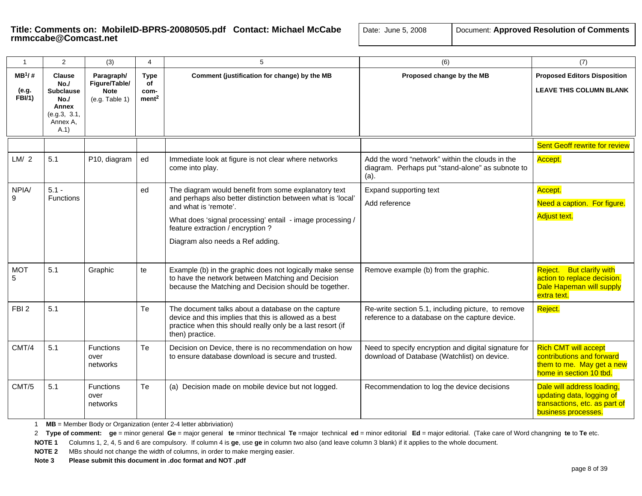| Document: Approved Resolution of Comments<br>Date: June 5, 2008 |  |
|-----------------------------------------------------------------|--|
|-----------------------------------------------------------------|--|

| $\mathbf{1}$                        | 2                                                                                           | (3)                                                          | $\overline{4}$                                 | 5                                                                                                                                                                                                                                                                                  | (6)                                                                                                            | (7)                                                                                                              |
|-------------------------------------|---------------------------------------------------------------------------------------------|--------------------------------------------------------------|------------------------------------------------|------------------------------------------------------------------------------------------------------------------------------------------------------------------------------------------------------------------------------------------------------------------------------------|----------------------------------------------------------------------------------------------------------------|------------------------------------------------------------------------------------------------------------------|
| $MB^1/$ #<br>(e.g.<br><b>FBI/1)</b> | <b>Clause</b><br>No.<br><b>Subclause</b><br>No.<br>Annex<br>(e.g.3, 3.1,<br>Annex A.<br>A.1 | Paragraph/<br>Figure/Table/<br><b>Note</b><br>(e.g. Table 1) | <b>Type</b><br>of<br>com-<br>ment <sup>2</sup> | Comment (justification for change) by the MB                                                                                                                                                                                                                                       | Proposed change by the MB                                                                                      | <b>Proposed Editors Disposition</b><br><b>LEAVE THIS COLUMN BLANK</b>                                            |
|                                     |                                                                                             |                                                              |                                                |                                                                                                                                                                                                                                                                                    |                                                                                                                | <b>Sent Geoff rewrite for review</b>                                                                             |
| LM/2                                | 5.1                                                                                         | P10, diagram                                                 | ed                                             | Immediate look at figure is not clear where networks<br>come into play.                                                                                                                                                                                                            | Add the word "network" within the clouds in the<br>diagram. Perhaps put "stand-alone" as subnote to<br>$(a)$ . | Accept.                                                                                                          |
| NPIA/<br>9                          | $5.1 -$<br><b>Functions</b>                                                                 |                                                              | ed                                             | The diagram would benefit from some explanatory text<br>and perhaps also better distinction between what is 'local'<br>and what is 'remote'.<br>What does 'signal processing' entail - image processing /<br>feature extraction / encryption ?<br>Diagram also needs a Ref adding. | Expand supporting text<br>Add reference                                                                        | Accept.<br>Need a caption. For figure.<br><b>Adjust text.</b>                                                    |
| <b>MOT</b><br>5                     | 5.1                                                                                         | Graphic                                                      | te                                             | Example (b) in the graphic does not logically make sense<br>to have the network between Matching and Decision<br>because the Matching and Decision should be together.                                                                                                             | Remove example (b) from the graphic.                                                                           | Reject. But clarify with<br>action to replace decision.<br>Dale Hapeman will supply<br>extra text.               |
| FBI <sub>2</sub>                    | 5.1                                                                                         |                                                              | Te                                             | The document talks about a database on the capture<br>device and this implies that this is allowed as a best<br>practice when this should really only be a last resort (if<br>then) practice.                                                                                      | Re-write section 5.1, including picture, to remove<br>reference to a database on the capture device.           | Reject.                                                                                                          |
| CMT/4                               | 5.1                                                                                         | <b>Functions</b><br>over<br>networks                         | Te                                             | Decision on Device, there is no recommendation on how<br>to ensure database download is secure and trusted.                                                                                                                                                                        | Need to specify encryption and digital signature for<br>download of Database (Watchlist) on device.            | <b>Rich CMT will accept</b><br>contributions and forward<br>them to me. May get a new<br>home in section 10 tbd. |
| CMT/5                               | 5.1                                                                                         | Functions<br>over<br>networks                                | Te                                             | (a) Decision made on mobile device but not logged.                                                                                                                                                                                                                                 | Recommendation to log the device decisions                                                                     | Dale will address loading,<br>updating data, logging of<br>transactions, etc. as part of<br>business processes.  |

1 **MB** = Member Body or Organization (enter 2-4 letter abbriviation)

2 Type of comment: ge = minor general Ge = major general te =minor ttechnical Te =major technical ed = minor editorial Ed = major editorial. (Take care of Word changning te to Te etc.

**NOTE 1** Columns 1, 2, 4, 5 and 6 are compulsory. If column 4 is **ge**, use **ge** in column two also (and leave column 3 blank) if it applies to the whole document.

**NOTE 2** MBs should not change the width of columns, in order to make merging easier.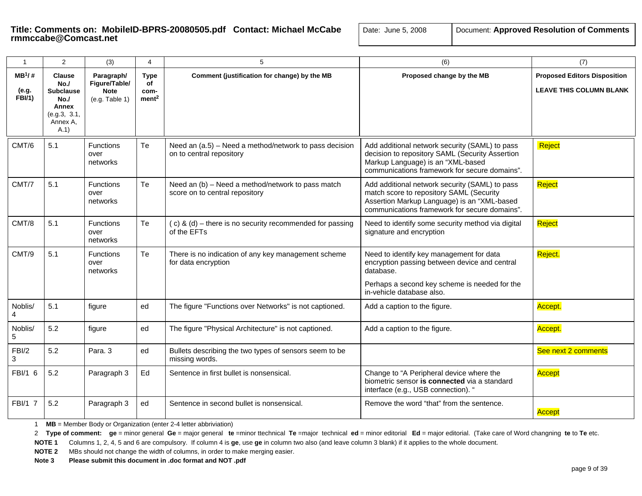| $\overline{1}$                       | $\overline{2}$                                                                              | (3)                                                          | 4                                              | 5                                                                                   | (6)                                                                                                                                                                                        | (7)                                                                   |
|--------------------------------------|---------------------------------------------------------------------------------------------|--------------------------------------------------------------|------------------------------------------------|-------------------------------------------------------------------------------------|--------------------------------------------------------------------------------------------------------------------------------------------------------------------------------------------|-----------------------------------------------------------------------|
| $MB^{1}/#$<br>(e.g.<br><b>FBI/1)</b> | <b>Clause</b><br>No.<br><b>Subclause</b><br>No.<br>Annex<br>(e.g.3, 3.1,<br>Annex A,<br>A.1 | Paragraph/<br>Figure/Table/<br><b>Note</b><br>(e.g. Table 1) | <b>Type</b><br>of<br>com-<br>ment <sup>2</sup> | Comment (justification for change) by the MB                                        | Proposed change by the MB                                                                                                                                                                  | <b>Proposed Editors Disposition</b><br><b>LEAVE THIS COLUMN BLANK</b> |
| CMT/6                                | 5.1                                                                                         | <b>Functions</b><br>over<br>networks                         | Te                                             | Need an (a.5) - Need a method/network to pass decision<br>on to central repository  | Add additional network security (SAML) to pass<br>decision to repository SAML (Security Assertion<br>Markup Language) is an "XML-based<br>communications framework for secure domains".    | Reject                                                                |
| CMT/7                                | 5.1                                                                                         | <b>Functions</b><br>over<br>networks                         | Te                                             | Need an (b) - Need a method/network to pass match<br>score on to central repository | Add additional network security (SAML) to pass<br>match score to repository SAML (Security<br>Assertion Markup Language) is an "XML-based<br>communications framework for secure domains". | Reject                                                                |
| CMT/8                                | 5.1                                                                                         | Functions<br>over<br>networks                                | Te                                             | (c) & (d) – there is no security recommended for passing<br>of the EFTs             | Need to identify some security method via digital<br>signature and encryption                                                                                                              | Reject                                                                |
| CMT/9                                | 5.1                                                                                         | <b>Functions</b><br>over<br>networks                         | Te                                             | There is no indication of any key management scheme<br>for data encryption          | Need to identify key management for data<br>encryption passing between device and central<br>database.<br>Perhaps a second key scheme is needed for the<br>in-vehicle database also.       | Reject.                                                               |
| Noblis/<br>4                         | 5.1                                                                                         | figure                                                       | ed                                             | The figure "Functions over Networks" is not captioned.                              | Add a caption to the figure.                                                                                                                                                               | Accept.                                                               |
| Noblis/<br>5                         | 5.2                                                                                         | figure                                                       | ed                                             | The figure "Physical Architecture" is not captioned.                                | Add a caption to the figure.                                                                                                                                                               | Accept.                                                               |
| FBI/2<br>3                           | 5.2                                                                                         | Para. 3                                                      | ed                                             | Bullets describing the two types of sensors seem to be<br>missing words.            |                                                                                                                                                                                            | See next 2 comments                                                   |
| FBI/1 6                              | 5.2                                                                                         | Paragraph 3                                                  | Ed                                             | Sentence in first bullet is nonsensical.                                            | Change to "A Peripheral device where the<br>biometric sensor is connected via a standard<br>interface (e.g., USB connection). "                                                            | Accept                                                                |
| FBI/1 7                              | 5.2                                                                                         | Paragraph 3                                                  | ed                                             | Sentence in second bullet is nonsensical.                                           | Remove the word "that" from the sentence.                                                                                                                                                  | Accept                                                                |

1 **MB** = Member Body or Organization (enter 2-4 letter abbriviation)

2 Type of comment: ge = minor general Ge = major general te =minor ttechnical Te =major technical ed = minor editorial Ed = major editorial. (Take care of Word changning te to Te etc.

**NOTE 1** Columns 1, 2, 4, 5 and 6 are compulsory. If column 4 is **ge**, use **ge** in column two also (and leave column 3 blank) if it applies to the whole document.

**NOTE 2** MBs should not change the width of columns, in order to make merging easier.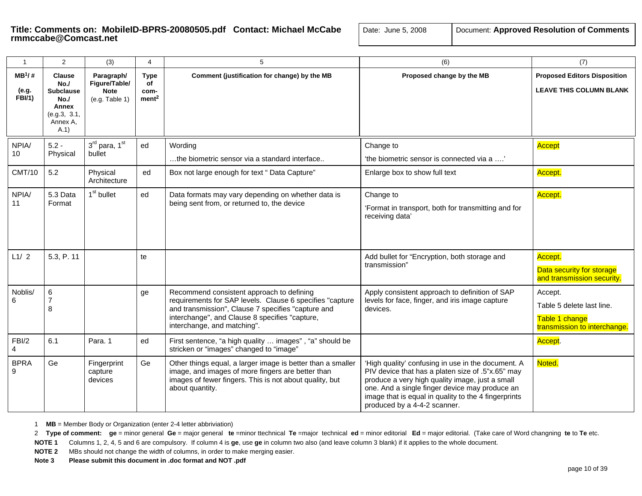| $\mathbf{1}$                       | $\overline{2}$                                                                                | (3)                                                          | 4                                              | $5\phantom{.0}$                                                                                                                                                                                                                              | (6)                                                                                                                                                                                                                                                                                                  | (7)                                                                                    |
|------------------------------------|-----------------------------------------------------------------------------------------------|--------------------------------------------------------------|------------------------------------------------|----------------------------------------------------------------------------------------------------------------------------------------------------------------------------------------------------------------------------------------------|------------------------------------------------------------------------------------------------------------------------------------------------------------------------------------------------------------------------------------------------------------------------------------------------------|----------------------------------------------------------------------------------------|
| $MB^1/#$<br>(e.g.<br><b>FBI/1)</b> | <b>Clause</b><br>No.<br><b>Subclause</b><br>No./<br>Annex<br>(e.g.3, 3.1,<br>Annex A,<br>A.1) | Paragraph/<br>Figure/Table/<br><b>Note</b><br>(e.g. Table 1) | <b>Type</b><br>of<br>com-<br>ment <sup>2</sup> | Comment (justification for change) by the MB                                                                                                                                                                                                 | Proposed change by the MB                                                                                                                                                                                                                                                                            | <b>Proposed Editors Disposition</b><br><b>LEAVE THIS COLUMN BLANK</b>                  |
| NPIA/<br>10                        | $5.2 -$<br>Physical                                                                           | 3 <sup>rd</sup> para, 1 <sup>st</sup><br>bullet              | ed                                             | Wording<br>the biometric sensor via a standard interface                                                                                                                                                                                     | Change to<br>'the biometric sensor is connected via a '                                                                                                                                                                                                                                              | Accept                                                                                 |
| <b>CMT/10</b>                      | 5.2                                                                                           | Physical<br>Architecture                                     | ed                                             | Box not large enough for text " Data Capture"                                                                                                                                                                                                | Enlarge box to show full text                                                                                                                                                                                                                                                                        | Accept.                                                                                |
| NPIA/<br>11                        | 5.3 Data<br>Format                                                                            | 1 <sup>st</sup> bullet                                       | ed                                             | Data formats may vary depending on whether data is<br>being sent from, or returned to, the device                                                                                                                                            | Change to<br>'Format in transport, both for transmitting and for<br>receiving data'                                                                                                                                                                                                                  | Accept.                                                                                |
| L1/2                               | 5.3, P. 11                                                                                    |                                                              | te                                             |                                                                                                                                                                                                                                              | Add bullet for "Encryption, both storage and<br>transmission"                                                                                                                                                                                                                                        | Accept.<br>Data security for storage<br>and transmission security.                     |
| Noblis/<br>6                       | 6<br>$\overline{7}$<br>8                                                                      |                                                              | ge                                             | Recommend consistent approach to defining<br>requirements for SAP levels. Clause 6 specifies "capture<br>and transmission", Clause 7 specifies "capture and<br>interchange", and Clause 8 specifies "capture,<br>interchange, and matching". | Apply consistent approach to definition of SAP<br>levels for face, finger, and iris image capture<br>devices.                                                                                                                                                                                        | Accept.<br>Table 5 delete last line.<br>Table 1 change<br>transmission to interchange. |
| FBI/2<br>$\overline{4}$            | 6.1                                                                                           | Para. 1                                                      | ed                                             | First sentence, "a high quality  images", "a" should be<br>stricken or "images" changed to "image"                                                                                                                                           |                                                                                                                                                                                                                                                                                                      | Accept.                                                                                |
| <b>BPRA</b><br>9                   | Ge                                                                                            | Fingerprint<br>capture<br>devices                            | Ge                                             | Other things equal, a larger image is better than a smaller<br>image, and images of more fingers are better than<br>images of fewer fingers. This is not about quality, but<br>about quantity.                                               | 'High quality' confusing in use in the document. A<br>PIV device that has a platen size of .5"x.65" may<br>produce a very high quality image, just a small<br>one. And a single finger device may produce an<br>image that is equal in quality to the 4 fingerprints<br>produced by a 4-4-2 scanner. | Noted.                                                                                 |

1 **MB** = Member Body or Organization (enter 2-4 letter abbriviation)

2 Type of comment: ge = minor general Ge = major general te =minor ttechnical Te =major technical ed = minor editorial Ed = major editorial. (Take care of Word changning te to Te etc.

**NOTE 1** Columns 1, 2, 4, 5 and 6 are compulsory. If column 4 is **ge**, use **ge** in column two also (and leave column 3 blank) if it applies to the whole document.

**NOTE 2** MBs should not change the width of columns, in order to make merging easier.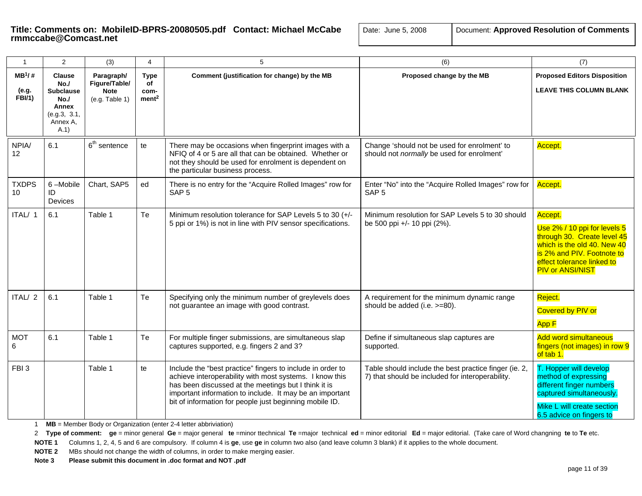# **Title: Comments on: MobileID-BPRS-20080505.pdf Contact: Michael McCabe | Date: June 5, 2008 | [ Comments Computer Resolution of Contact: <b>Approximate Resolution of Comments rmmccabe@Comcast.net**

| Document: Approved Resolution of Comments |  |  |  |
|-------------------------------------------|--|--|--|
|-------------------------------------------|--|--|--|

| $\mathbf{1}$                        | 2                                                                                           | (3)                                                          | 4                                              | 5                                                                                                                                                                                                                                                                                                    | (6)                                                                                                       | (7)                                                                                                                                                                                          |
|-------------------------------------|---------------------------------------------------------------------------------------------|--------------------------------------------------------------|------------------------------------------------|------------------------------------------------------------------------------------------------------------------------------------------------------------------------------------------------------------------------------------------------------------------------------------------------------|-----------------------------------------------------------------------------------------------------------|----------------------------------------------------------------------------------------------------------------------------------------------------------------------------------------------|
| $MB^1$ /#<br>(e.g.<br><b>FBI/1)</b> | <b>Clause</b><br>No.<br><b>Subclause</b><br>No.<br>Annex<br>(e.g.3, 3.1,<br>Annex A,<br>A.1 | Paragraph/<br>Figure/Table/<br><b>Note</b><br>(e.g. Table 1) | <b>Type</b><br>of<br>com-<br>ment <sup>2</sup> | Comment (justification for change) by the MB                                                                                                                                                                                                                                                         | Proposed change by the MB                                                                                 | <b>Proposed Editors Disposition</b><br><b>LEAVE THIS COLUMN BLANK</b>                                                                                                                        |
| NPIA/<br>12 <sub>2</sub>            | 6.1                                                                                         | $6th$ sentence                                               | te                                             | There may be occasions when fingerprint images with a<br>NFIQ of 4 or 5 are all that can be obtained. Whether or<br>not they should be used for enrolment is dependent on<br>the particular business process.                                                                                        | Change 'should not be used for enrolment' to<br>should not normally be used for enrolment'                | Accept.                                                                                                                                                                                      |
| <b>TXDPS</b><br>10 <sup>°</sup>     | 6-Mobile<br>ID<br>Devices                                                                   | Chart, SAP5                                                  | ed                                             | There is no entry for the "Acquire Rolled Images" row for<br>SAP <sub>5</sub>                                                                                                                                                                                                                        | Enter "No" into the "Acquire Rolled Images" row for<br>SAP <sub>5</sub>                                   | Accept.                                                                                                                                                                                      |
| ITAL/ 1                             | 6.1                                                                                         | Table 1                                                      | Te                                             | Minimum resolution tolerance for SAP Levels 5 to 30 (+/-<br>5 ppi or 1%) is not in line with PIV sensor specifications.                                                                                                                                                                              | Minimum resolution for SAP Levels 5 to 30 should<br>be 500 ppi +/- 10 ppi (2%).                           | Accept.<br>Use 2% / 10 ppi for levels 5<br>through 30. Create level 45<br>which is the old 40. New 40<br>is 2% and PIV. Footnote to<br>effect tolerance linked to<br><b>PIV or ANSI/NIST</b> |
| ITAL/2                              | 6.1                                                                                         | Table 1                                                      | Te                                             | Specifying only the minimum number of greylevels does<br>not guarantee an image with good contrast.                                                                                                                                                                                                  | A requirement for the minimum dynamic range<br>should be added (i.e. >=80).                               | Reject.<br>Covered by PIV or<br>App F                                                                                                                                                        |
| <b>MOT</b><br>6                     | 6.1                                                                                         | Table 1                                                      | Te                                             | For multiple finger submissions, are simultaneous slap<br>captures supported, e.g. fingers 2 and 3?                                                                                                                                                                                                  | Define if simultaneous slap captures are<br>supported.                                                    | <b>Add word simultaneous</b><br>fingers (not images) in row 9<br>of tab 1.                                                                                                                   |
| FBI <sub>3</sub>                    |                                                                                             | Table 1                                                      | te                                             | Include the "best practice" fingers to include in order to<br>achieve interoperability with most systems. I know this<br>has been discussed at the meetings but I think it is<br>important information to include. It may be an important<br>bit of information for people just beginning mobile ID. | Table should include the best practice finger (ie. 2,<br>7) that should be included for interoperability. | T. Hopper will develop<br>method of expressing<br>different finger numbers<br>captured simultaneously.<br>Mike L will create section<br>6.5 advice on fingers to                             |

1 **MB** = Member Body or Organization (enter 2-4 letter abbriviation)

2 Type of comment: ge = minor general Ge = major general te =minor ttechnical Te =major technical ed = minor editorial Ed = major editorial. (Take care of Word changning te to Te etc.

**NOTE 1** Columns 1, 2, 4, 5 and 6 are compulsory. If column 4 is **ge**, use **ge** in column two also (and leave column 3 blank) if it applies to the whole document.

**NOTE 2** MBs should not change the width of columns, in order to make merging easier.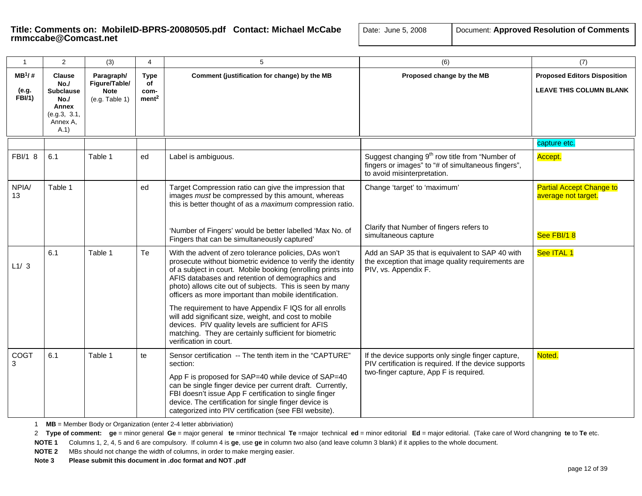| ate: June 5, 2008 | Document: Approved Resolution of Comment |
|-------------------|------------------------------------------|
|-------------------|------------------------------------------|

| $\mathbf{1}$                       | 2                                                                                             | (3)                                                          | $\overline{4}$                          | 5                                                                                                                                                                                                                                                                                                                                                                                                                                                                                                                                                                                                                           | (6)                                                                                                                                                   | (7)                                                                   |
|------------------------------------|-----------------------------------------------------------------------------------------------|--------------------------------------------------------------|-----------------------------------------|-----------------------------------------------------------------------------------------------------------------------------------------------------------------------------------------------------------------------------------------------------------------------------------------------------------------------------------------------------------------------------------------------------------------------------------------------------------------------------------------------------------------------------------------------------------------------------------------------------------------------------|-------------------------------------------------------------------------------------------------------------------------------------------------------|-----------------------------------------------------------------------|
| $MB^1/H$<br>(e.g.<br><b>FBI/1)</b> | <b>Clause</b><br>No./<br><b>Subclause</b><br>No./<br>Annex<br>(e.g.3, 3.1,<br>Annex A,<br>A.1 | Paragraph/<br>Figure/Table/<br><b>Note</b><br>(e.g. Table 1) | Type<br>of<br>com-<br>ment <sup>2</sup> | Comment (justification for change) by the MB                                                                                                                                                                                                                                                                                                                                                                                                                                                                                                                                                                                | Proposed change by the MB                                                                                                                             | <b>Proposed Editors Disposition</b><br><b>LEAVE THIS COLUMN BLANK</b> |
|                                    |                                                                                               |                                                              |                                         |                                                                                                                                                                                                                                                                                                                                                                                                                                                                                                                                                                                                                             |                                                                                                                                                       | capture etc.                                                          |
| FBI/1 8                            | 6.1                                                                                           | Table 1                                                      | ed                                      | Label is ambiguous.                                                                                                                                                                                                                                                                                                                                                                                                                                                                                                                                                                                                         | Suggest changing $9th$ row title from "Number of<br>fingers or images" to "# of simultaneous fingers",<br>to avoid misinterpretation.                 | Accept.                                                               |
| NPIA/<br>13                        | Table 1                                                                                       |                                                              | ed                                      | Target Compression ratio can give the impression that<br>images must be compressed by this amount, whereas<br>this is better thought of as a maximum compression ratio.<br>'Number of Fingers' would be better labelled 'Max No. of<br>Fingers that can be simultaneously captured'                                                                                                                                                                                                                                                                                                                                         | Change 'target' to 'maximum'<br>Clarify that Number of fingers refers to<br>simultaneous capture                                                      | <b>Partial Accept Change to</b><br>average not target.<br>See FBI/18  |
| L1/3                               | 6.1                                                                                           | Table 1                                                      | Te                                      | With the advent of zero tolerance policies, DAs won't<br>prosecute without biometric evidence to verify the identity<br>of a subject in court. Mobile booking (enrolling prints into<br>AFIS databases and retention of demographics and<br>photo) allows cite out of subjects. This is seen by many<br>officers as more important than mobile identification.<br>The requirement to have Appendix F IQS for all enrolls<br>will add significant size, weight, and cost to mobile<br>devices. PIV quality levels are sufficient for AFIS<br>matching. They are certainly sufficient for biometric<br>verification in court. | Add an SAP 35 that is equivalent to SAP 40 with<br>the exception that image quality requirements are<br>PIV, vs. Appendix F.                          | See ITAL 1                                                            |
| COGT<br>3                          | 6.1                                                                                           | Table 1                                                      | te                                      | Sensor certification -- The tenth item in the "CAPTURE"<br>section:<br>App F is proposed for SAP=40 while device of SAP=40<br>can be single finger device per current draft. Currently,<br>FBI doesn't issue App F certification to single finger<br>device. The certification for single finger device is<br>categorized into PIV certification (see FBI website).                                                                                                                                                                                                                                                         | If the device supports only single finger capture,<br>PIV certification is required. If the device supports<br>two-finger capture, App F is required. | Noted.                                                                |

1 **MB** = Member Body or Organization (enter 2-4 letter abbriviation)

2 Type of comment: ge = minor general Ge = major general te =minor ttechnical Te =major technical ed = minor editorial Ed = major editorial. (Take care of Word changning te to Te etc.

**NOTE 1** Columns 1, 2, 4, 5 and 6 are compulsory. If column 4 is **ge**, use **ge** in column two also (and leave column 3 blank) if it applies to the whole document.

**NOTE 2** MBs should not change the width of columns, in order to make merging easier.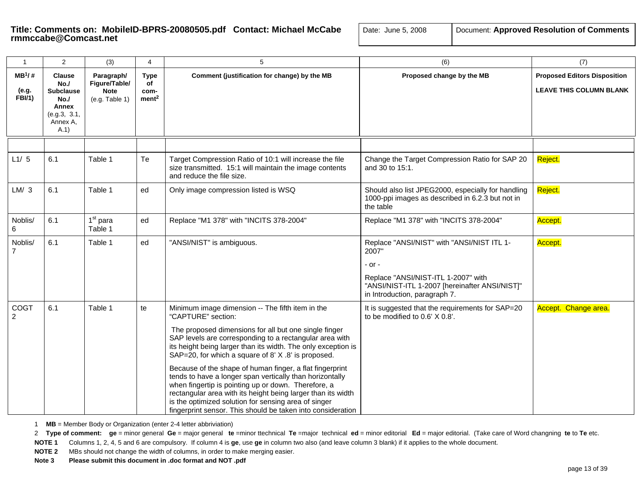# Title: Comments on: MobileID-BPRS-20080505.pdf Contact: Michael McCabe  $\Big| \begin{array}{c} \Box \ \Box \end{array}$

| Document: Approved Resolution of Comments<br>Date: June 5, 2008 |  |
|-----------------------------------------------------------------|--|
|-----------------------------------------------------------------|--|

| $\mathbf{1}$                         | $\overline{2}$                                                                               | (3)                                                          | 4                                              | 5                                                                                                                                                                                                                                                                                                                                                                                                                                                                                                                                                                                                                                                                                        | (6)                                                                                                                                                                                     | (7)                                                                   |
|--------------------------------------|----------------------------------------------------------------------------------------------|--------------------------------------------------------------|------------------------------------------------|------------------------------------------------------------------------------------------------------------------------------------------------------------------------------------------------------------------------------------------------------------------------------------------------------------------------------------------------------------------------------------------------------------------------------------------------------------------------------------------------------------------------------------------------------------------------------------------------------------------------------------------------------------------------------------------|-----------------------------------------------------------------------------------------------------------------------------------------------------------------------------------------|-----------------------------------------------------------------------|
| $MB^{1}/#$<br>(e.g.<br><b>FBI/1)</b> | <b>Clause</b><br>No.<br><b>Subclause</b><br>No.<br>Annex<br>(e.g.3, 3.1,<br>Annex A,<br>A.1) | Paragraph/<br>Figure/Table/<br><b>Note</b><br>(e.g. Table 1) | <b>Type</b><br>of<br>com-<br>ment <sup>2</sup> | Comment (justification for change) by the MB                                                                                                                                                                                                                                                                                                                                                                                                                                                                                                                                                                                                                                             | Proposed change by the MB                                                                                                                                                               | <b>Proposed Editors Disposition</b><br><b>LEAVE THIS COLUMN BLANK</b> |
| L1/5                                 | 6.1                                                                                          | Table 1                                                      | Te                                             | Target Compression Ratio of 10:1 will increase the file<br>size transmitted. 15:1 will maintain the image contents<br>and reduce the file size.                                                                                                                                                                                                                                                                                                                                                                                                                                                                                                                                          | Change the Target Compression Ratio for SAP 20<br>and 30 to 15:1.                                                                                                                       | Reject.                                                               |
| LM/3                                 | 6.1                                                                                          | Table 1                                                      | ed                                             | Only image compression listed is WSQ                                                                                                                                                                                                                                                                                                                                                                                                                                                                                                                                                                                                                                                     | Should also list JPEG2000, especially for handling<br>1000-ppi images as described in 6.2.3 but not in<br>the table                                                                     | Reject.                                                               |
| Noblis/<br>6                         | 6.1                                                                                          | $1st$ para<br>Table 1                                        | ed                                             | Replace "M1 378" with "INCITS 378-2004"                                                                                                                                                                                                                                                                                                                                                                                                                                                                                                                                                                                                                                                  | Replace "M1 378" with "INCITS 378-2004"                                                                                                                                                 | Accept.                                                               |
| Noblis/<br>$\overline{7}$            | 6.1                                                                                          | Table 1                                                      | ed                                             | "ANSI/NIST" is ambiguous.                                                                                                                                                                                                                                                                                                                                                                                                                                                                                                                                                                                                                                                                | Replace "ANSI/NIST" with "ANSI/NIST ITL 1-<br>2007"<br>- or -<br>Replace "ANSI/NIST-ITL 1-2007" with<br>"ANSI/NIST-ITL 1-2007 [hereinafter ANSI/NIST]"<br>in Introduction, paragraph 7. | Accept.                                                               |
| COGT<br>$\mathcal{P}$                | 6.1                                                                                          | Table 1                                                      | te                                             | Minimum image dimension -- The fifth item in the<br>"CAPTURE" section:<br>The proposed dimensions for all but one single finger<br>SAP levels are corresponding to a rectangular area with<br>its height being larger than its width. The only exception is<br>SAP=20, for which a square of 8' X .8' is proposed.<br>Because of the shape of human finger, a flat fingerprint<br>tends to have a longer span vertically than horizontally<br>when fingertip is pointing up or down. Therefore, a<br>rectangular area with its height being larger than its width<br>is the optimized solution for sensing area of singer<br>fingerprint sensor. This should be taken into consideration | It is suggested that the requirements for SAP=20<br>to be modified to 0.6' X 0.8'.                                                                                                      | Accept. Change area.                                                  |

1 **MB** = Member Body or Organization (enter 2-4 letter abbriviation)

2 Type of comment: ge = minor general Ge = major general te =minor ttechnical Te =major technical ed = minor editorial Ed = major editorial. (Take care of Word changning te to Te etc.

**NOTE 1** Columns 1, 2, 4, 5 and 6 are compulsory. If column 4 is **ge**, use **ge** in column two also (and leave column 3 blank) if it applies to the whole document.

**NOTE 2** MBs should not change the width of columns, in order to make merging easier.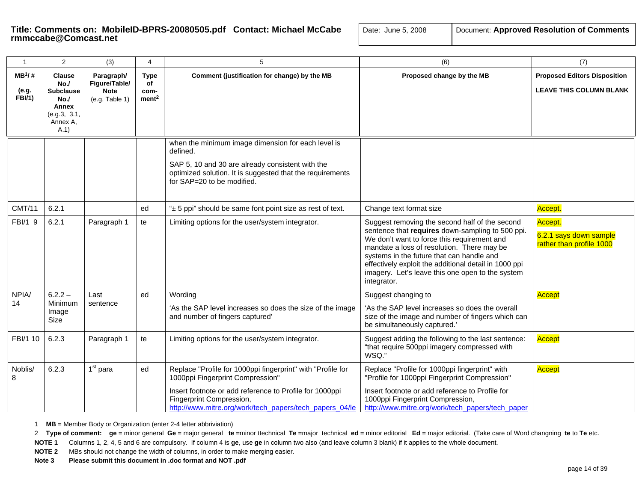# **Title: Comments on: MobileID-BPRS-20080505.pdf Contact: Michael McCabe** | Date: Transcabe@Comcast.net

| ate: June 5, 2008 | Document: Approved Resolution of Comments |
|-------------------|-------------------------------------------|
|-------------------|-------------------------------------------|

| $\mathbf{1}$                        | 2                                                                                            | (3)                                                          | 4                                              | 5                                                                                                                                                                                                                                                 | (6)                                                                                                                                                                                                                                                                                                                                                                      | (7)                                                                   |
|-------------------------------------|----------------------------------------------------------------------------------------------|--------------------------------------------------------------|------------------------------------------------|---------------------------------------------------------------------------------------------------------------------------------------------------------------------------------------------------------------------------------------------------|--------------------------------------------------------------------------------------------------------------------------------------------------------------------------------------------------------------------------------------------------------------------------------------------------------------------------------------------------------------------------|-----------------------------------------------------------------------|
| $MB^1$ /#<br>(e.g.<br><b>FBI/1)</b> | <b>Clause</b><br>No.<br><b>Subclause</b><br>No.<br>Annex<br>(e.g.3, 3.1,<br>Annex A,<br>A.1) | Paragraph/<br>Figure/Table/<br><b>Note</b><br>(e.g. Table 1) | <b>Type</b><br>of<br>com-<br>ment <sup>2</sup> | Comment (justification for change) by the MB                                                                                                                                                                                                      | Proposed change by the MB                                                                                                                                                                                                                                                                                                                                                | <b>Proposed Editors Disposition</b><br><b>LEAVE THIS COLUMN BLANK</b> |
|                                     |                                                                                              |                                                              |                                                | when the minimum image dimension for each level is<br>defined.<br>SAP 5, 10 and 30 are already consistent with the<br>optimized solution. It is suggested that the requirements<br>for SAP=20 to be modified.                                     |                                                                                                                                                                                                                                                                                                                                                                          |                                                                       |
| <b>CMT/11</b>                       | 6.2.1                                                                                        |                                                              | ed                                             | "± 5 ppi" should be same font point size as rest of text.                                                                                                                                                                                         | Change text format size                                                                                                                                                                                                                                                                                                                                                  | Accept.                                                               |
| FBI/1 9                             | 6.2.1                                                                                        | Paragraph 1                                                  | te                                             | Limiting options for the user/system integrator.                                                                                                                                                                                                  | Suggest removing the second half of the second<br>sentence that requires down-sampling to 500 ppi.<br>We don't want to force this requirement and<br>mandate a loss of resolution. There may be<br>systems in the future that can handle and<br>effectively exploit the additional detail in 1000 ppi<br>imagery. Let's leave this one open to the system<br>integrator. | Accept.<br>6.2.1 says down sample<br>rather than profile 1000         |
| NPIA/                               | $6.2.2 -$                                                                                    | Last                                                         | ed                                             | Wording                                                                                                                                                                                                                                           | Suggest changing to                                                                                                                                                                                                                                                                                                                                                      | <b>Accept</b>                                                         |
| 14                                  | Minimum<br>Image<br>Size                                                                     | sentence                                                     |                                                | 'As the SAP level increases so does the size of the image<br>and number of fingers captured'                                                                                                                                                      | 'As the SAP level increases so does the overall<br>size of the image and number of fingers which can<br>be simultaneously captured.'                                                                                                                                                                                                                                     |                                                                       |
| FBI/1 10                            | 6.2.3                                                                                        | Paragraph 1                                                  | te                                             | Limiting options for the user/system integrator.                                                                                                                                                                                                  | Suggest adding the following to the last sentence:<br>"that require 500ppi imagery compressed with<br>WSQ."                                                                                                                                                                                                                                                              | Accept                                                                |
| Noblis/<br>8                        | 6.2.3                                                                                        | 1 <sup>st</sup> para                                         | ed                                             | Replace "Profile for 1000ppi fingerprint" with "Profile for<br>1000ppi Fingerprint Compression"<br>Insert footnote or add reference to Profile for 1000ppi<br>Fingerprint Compression,<br>http://www.mitre.org/work/tech_papers/tech_papers_04/le | Replace "Profile for 1000ppi fingerprint" with<br>"Profile for 1000ppi Fingerprint Compression"<br>Insert footnote or add reference to Profile for<br>1000ppi Fingerprint Compression,<br>http://www.mitre.org/work/tech_papers/tech_paper                                                                                                                               | <b>Accept</b>                                                         |

1 **MB** = Member Body or Organization (enter 2-4 letter abbriviation)

2 Type of comment: ge = minor general Ge = major general te =minor ttechnical Te =major technical ed = minor editorial Ed = major editorial. (Take care of Word changning te to Te etc.

**NOTE 1** Columns 1, 2, 4, 5 and 6 are compulsory. If column 4 is **ge**, use **ge** in column two also (and leave column 3 blank) if it applies to the whole document.

**NOTE 2** MBs should not change the width of columns, in order to make merging easier.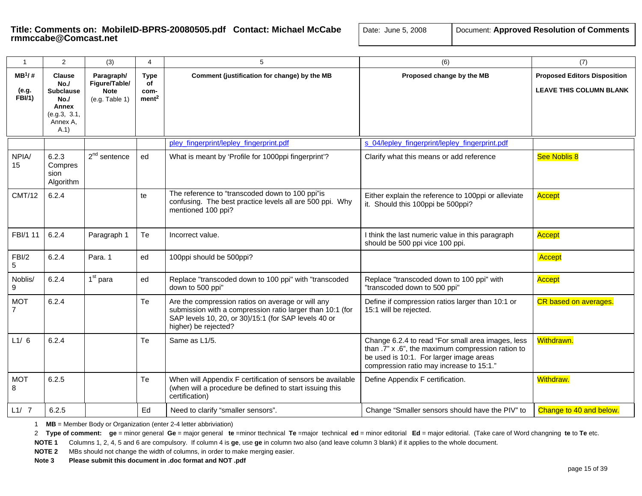# Title: Comments on: MobileID-BPRS-20080505.pdf Contact: Michael McCabe  $\Box$

| Document: Approved Resolution of Comments<br>Date: June 5, 2008 |
|-----------------------------------------------------------------|
|-----------------------------------------------------------------|

| $\mathbf{1}$                        | 2                                                                                            | (3)                                                          | $\overline{4}$                                 | 5                                                                                                                                                                                              | (6)                                                                                                                                                                                           | (7)                                                                   |
|-------------------------------------|----------------------------------------------------------------------------------------------|--------------------------------------------------------------|------------------------------------------------|------------------------------------------------------------------------------------------------------------------------------------------------------------------------------------------------|-----------------------------------------------------------------------------------------------------------------------------------------------------------------------------------------------|-----------------------------------------------------------------------|
| $MB^1$ /#<br>(e.g.<br><b>FBI/1)</b> | <b>Clause</b><br>No.<br><b>Subclause</b><br>No./<br>Annex<br>(e.g.3, 3.1,<br>Annex A,<br>A.1 | Paragraph/<br>Figure/Table/<br><b>Note</b><br>(e.g. Table 1) | <b>Type</b><br>of<br>com-<br>ment <sup>2</sup> | Comment (justification for change) by the MB                                                                                                                                                   | Proposed change by the MB                                                                                                                                                                     | <b>Proposed Editors Disposition</b><br><b>LEAVE THIS COLUMN BLANK</b> |
|                                     |                                                                                              |                                                              |                                                | pley fingerprint/lepley fingerprint.pdf                                                                                                                                                        | s 04/lepley_fingerprint/lepley_fingerprint.pdf                                                                                                                                                |                                                                       |
| NPIA/<br>15 <sub>1</sub>            | 6.2.3<br>Compres<br>sion<br>Algorithm                                                        | $2nd$ sentence                                               | ed                                             | What is meant by 'Profile for 1000ppi fingerprint'?                                                                                                                                            | Clarify what this means or add reference                                                                                                                                                      | See Noblis 8                                                          |
| <b>CMT/12</b>                       | 6.2.4                                                                                        |                                                              | te                                             | The reference to "transcoded down to 100 ppi"is<br>confusing. The best practice levels all are 500 ppi. Why<br>mentioned 100 ppi?                                                              | Either explain the reference to 100ppi or alleviate<br>it. Should this 100ppi be 500ppi?                                                                                                      | Accept                                                                |
| FBI/1 11                            | 6.2.4                                                                                        | Paragraph 1                                                  | Te                                             | Incorrect value.                                                                                                                                                                               | I think the last numeric value in this paragraph<br>should be 500 ppi vice 100 ppi.                                                                                                           | Accept                                                                |
| FBI/2<br>5                          | 6.2.4                                                                                        | Para, 1                                                      | ed                                             | 100ppi should be 500ppi?                                                                                                                                                                       |                                                                                                                                                                                               | Accept                                                                |
| Noblis/<br>9                        | 6.2.4                                                                                        | 1 <sup>st</sup> para                                         | ed                                             | Replace "transcoded down to 100 ppi" with "transcoded<br>down to 500 ppi"                                                                                                                      | Replace "transcoded down to 100 ppi" with<br>"transcoded down to 500 ppi"                                                                                                                     | Accept                                                                |
| <b>MOT</b><br>$\overline{7}$        | 6.2.4                                                                                        |                                                              | Te                                             | Are the compression ratios on average or will any<br>submission with a compression ratio larger than 10:1 (for<br>SAP levels 10, 20, or 30)/15:1 (for SAP levels 40 or<br>higher) be rejected? | Define if compression ratios larger than 10:1 or<br>15:1 will be rejected.                                                                                                                    | CR based on averages.                                                 |
| L1/6                                | 6.2.4                                                                                        |                                                              | Te                                             | Same as L1/5.                                                                                                                                                                                  | Change 6.2.4 to read "For small area images, less<br>than .7" x .6", the maximum compression ration to<br>be used is 10:1. For larger image areas<br>compression ratio may increase to 15:1." | Withdrawn.                                                            |
| <b>MOT</b><br>8                     | 6.2.5                                                                                        |                                                              | Te                                             | When will Appendix F certification of sensors be available<br>(when will a procedure be defined to start issuing this<br>certification)                                                        | Define Appendix F certification.                                                                                                                                                              | <b>Withdraw.</b>                                                      |
| L1/7                                | 6.2.5                                                                                        |                                                              | Ed                                             | Need to clarify "smaller sensors".                                                                                                                                                             | Change "Smaller sensors should have the PIV" to                                                                                                                                               | Change to 40 and below.                                               |

1 **MB** = Member Body or Organization (enter 2-4 letter abbriviation)

2 Type of comment: ge = minor general Ge = major general te =minor ttechnical Te =major technical ed = minor editorial Ed = major editorial. (Take care of Word changning te to Te etc.

**NOTE 1** Columns 1, 2, 4, 5 and 6 are compulsory. If column 4 is **ge**, use **ge** in column two also (and leave column 3 blank) if it applies to the whole document.

**NOTE 2** MBs should not change the width of columns, in order to make merging easier.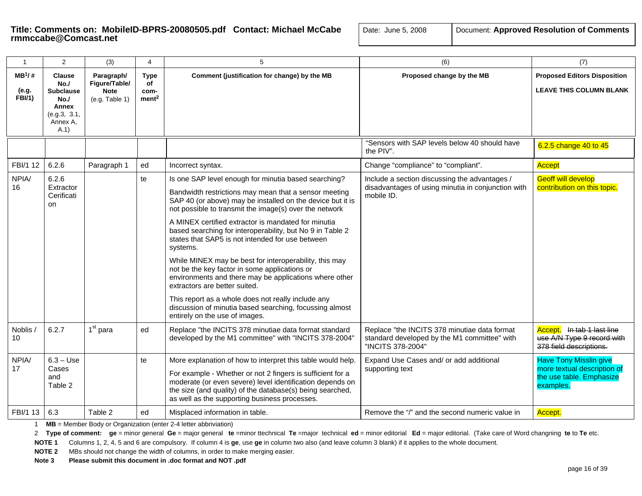| ite: June 5, 2008 | Document: Approved Resolution of Commen |
|-------------------|-----------------------------------------|
|-------------------|-----------------------------------------|

| $\mathbf{1}$                       | 2                                                                                            | (3)                                                          | 4                                              | 5                                                                                                                                                                                                                                                                                                                                                                                                                                                                                                                                                                                                                                                                                                                                                                                  | (6)                                                                                                               | (7)                                                                                                   |
|------------------------------------|----------------------------------------------------------------------------------------------|--------------------------------------------------------------|------------------------------------------------|------------------------------------------------------------------------------------------------------------------------------------------------------------------------------------------------------------------------------------------------------------------------------------------------------------------------------------------------------------------------------------------------------------------------------------------------------------------------------------------------------------------------------------------------------------------------------------------------------------------------------------------------------------------------------------------------------------------------------------------------------------------------------------|-------------------------------------------------------------------------------------------------------------------|-------------------------------------------------------------------------------------------------------|
| $MB^1/#$<br>(e.g.<br><b>FBI/1)</b> | <b>Clause</b><br>No./<br><b>Subclause</b><br>No.<br>Annex<br>(e.g.3, 3.1,<br>Annex A,<br>A.1 | Paragraph/<br>Figure/Table/<br><b>Note</b><br>(e.g. Table 1) | <b>Type</b><br>of<br>com-<br>ment <sup>2</sup> | Comment (justification for change) by the MB                                                                                                                                                                                                                                                                                                                                                                                                                                                                                                                                                                                                                                                                                                                                       | Proposed change by the MB                                                                                         | <b>Proposed Editors Disposition</b><br><b>LEAVE THIS COLUMN BLANK</b>                                 |
|                                    |                                                                                              |                                                              |                                                |                                                                                                                                                                                                                                                                                                                                                                                                                                                                                                                                                                                                                                                                                                                                                                                    | "Sensors with SAP levels below 40 should have<br>the PIV".                                                        | 6.2.5 change 40 to 45                                                                                 |
| FBI/1 12                           | 6.2.6                                                                                        | Paragraph 1                                                  | ed                                             | Incorrect syntax.                                                                                                                                                                                                                                                                                                                                                                                                                                                                                                                                                                                                                                                                                                                                                                  | Change "compliance" to "compliant".                                                                               | Accept                                                                                                |
| NPIA/<br>16                        | 6.2.6<br>Extractor<br>Cerificati<br>on                                                       |                                                              | te                                             | Is one SAP level enough for minutia based searching?<br>Bandwidth restrictions may mean that a sensor meeting<br>SAP 40 (or above) may be installed on the device but it is<br>not possible to transmit the image(s) over the network<br>A MINEX certified extractor is mandated for minutia<br>based searching for interoperability, but No 9 in Table 2<br>states that SAP5 is not intended for use between<br>systems.<br>While MINEX may be best for interoperability, this may<br>not be the key factor in some applications or<br>environments and there may be applications where other<br>extractors are better suited.<br>This report as a whole does not really include any<br>discussion of minutia based searching, focussing almost<br>entirely on the use of images. | Include a section discussing the advantages /<br>disadvantages of using minutia in conjunction with<br>mobile ID. | <b>Geoff will develop</b><br>contribution on this topic.                                              |
| Noblis /<br>10                     | 6.2.7                                                                                        | 1 <sup>st</sup> para                                         | ed                                             | Replace "the INCITS 378 minutiae data format standard<br>developed by the M1 committee" with "INCITS 378-2004"                                                                                                                                                                                                                                                                                                                                                                                                                                                                                                                                                                                                                                                                     | Replace "the INCITS 378 minutiae data format<br>standard developed by the M1 committee" with<br>"INCITS 378-2004" | In tab 1 last line<br>Accept.<br>use A/N Type 9 record with<br>378 field descriptions.                |
| NPIA/<br>17                        | $6.3 - Use$<br>Cases<br>and<br>Table 2                                                       |                                                              | te                                             | More explanation of how to interpret this table would help.<br>For example - Whether or not 2 fingers is sufficient for a<br>moderate (or even severe) level identification depends on<br>the size (and quality) of the database(s) being searched,<br>as well as the supporting business processes.                                                                                                                                                                                                                                                                                                                                                                                                                                                                               | Expand Use Cases and/ or add additional<br>supporting text                                                        | <b>Have Tony Misslin give</b><br>more textual description of<br>the use table. Emphasize<br>examples. |
| FBI/1 13                           | 6.3                                                                                          | Table 2                                                      | ed                                             | Misplaced information in table.                                                                                                                                                                                                                                                                                                                                                                                                                                                                                                                                                                                                                                                                                                                                                    | Remove the "/" and the second numeric value in                                                                    | Accept.                                                                                               |

1 **MB** = Member Body or Organization (enter 2-4 letter abbriviation)

2 Type of comment: ge = minor general Ge = major general te =minor ttechnical Te =major technical ed = minor editorial Ed = major editorial. (Take care of Word changning te to Te etc.

**NOTE 1** Columns 1, 2, 4, 5 and 6 are compulsory. If column 4 is **ge**, use **ge** in column two also (and leave column 3 blank) if it applies to the whole document.

**NOTE 2** MBs should not change the width of columns, in order to make merging easier.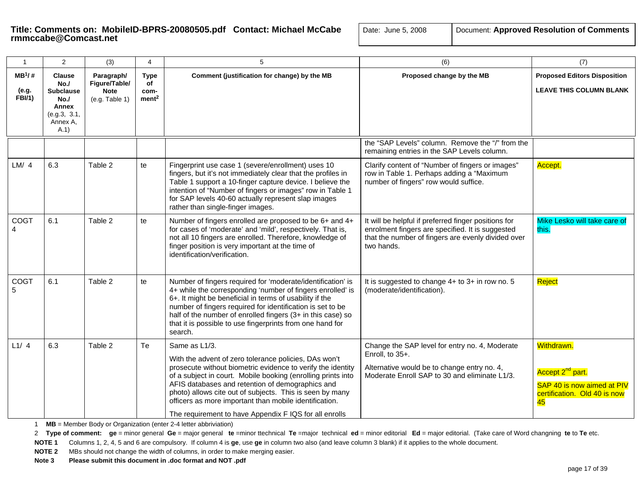| $\mathbf{1}$                        | 2                                                                                           | (3)                                                          | $\overline{4}$                                 | 5                                                                                                                                                                                                                                                                                                                                                                                                                                         | (6)                                                                                                                                                                          | (7)                                                                                                            |
|-------------------------------------|---------------------------------------------------------------------------------------------|--------------------------------------------------------------|------------------------------------------------|-------------------------------------------------------------------------------------------------------------------------------------------------------------------------------------------------------------------------------------------------------------------------------------------------------------------------------------------------------------------------------------------------------------------------------------------|------------------------------------------------------------------------------------------------------------------------------------------------------------------------------|----------------------------------------------------------------------------------------------------------------|
| $MB^1$ /#<br>(e.g.<br><b>FBI/1)</b> | <b>Clause</b><br>No.<br><b>Subclause</b><br>No.<br>Annex<br>(e.g.3, 3.1,<br>Annex A,<br>A.1 | Paragraph/<br>Figure/Table/<br><b>Note</b><br>(e.g. Table 1) | <b>Type</b><br>of<br>com-<br>ment <sup>2</sup> | Comment (justification for change) by the MB                                                                                                                                                                                                                                                                                                                                                                                              | Proposed change by the MB                                                                                                                                                    | <b>Proposed Editors Disposition</b><br><b>LEAVE THIS COLUMN BLANK</b>                                          |
|                                     |                                                                                             |                                                              |                                                |                                                                                                                                                                                                                                                                                                                                                                                                                                           | the "SAP Levels" column. Remove the "/" from the<br>remaining entries in the SAP Levels column.                                                                              |                                                                                                                |
| LM/4                                | 6.3                                                                                         | Table 2                                                      | te                                             | Fingerprint use case 1 (severe/enrollment) uses 10<br>fingers, but it's not immediately clear that the profiles in<br>Table 1 support a 10-finger capture device. I believe the<br>intention of "Number of fingers or images" row in Table 1<br>for SAP levels 40-60 actually represent slap images<br>rather than single-finger images.                                                                                                  | Clarify content of "Number of fingers or images"<br>row in Table 1. Perhaps adding a "Maximum<br>number of fingers" row would suffice.                                       | Accept.                                                                                                        |
| COGT<br>4                           | 6.1                                                                                         | Table 2                                                      | te                                             | Number of fingers enrolled are proposed to be 6+ and 4+<br>for cases of 'moderate' and 'mild', respectively. That is,<br>not all 10 fingers are enrolled. Therefore, knowledge of<br>finger position is very important at the time of<br>identification/verification.                                                                                                                                                                     | It will be helpful if preferred finger positions for<br>enrolment fingers are specified. It is suggested<br>that the number of fingers are evenly divided over<br>two hands. | Mike Lesko will take care of<br>this.                                                                          |
| COGT<br>5                           | 6.1                                                                                         | Table 2                                                      | te                                             | Number of fingers required for 'moderate/identification' is<br>4+ while the corresponding 'number of fingers enrolled' is<br>6+. It might be beneficial in terms of usability if the<br>number of fingers required for identification is set to be<br>half of the number of enrolled fingers (3+ in this case) so<br>that it is possible to use fingerprints from one hand for<br>search.                                                 | It is suggested to change $4+$ to $3+$ in row no. 5<br>(moderate/identification).                                                                                            | Reject                                                                                                         |
| L1/4                                | 6.3                                                                                         | Table 2                                                      | Te                                             | Same as L1/3.<br>With the advent of zero tolerance policies, DAs won't<br>prosecute without biometric evidence to verify the identity<br>of a subject in court. Mobile booking (enrolling prints into<br>AFIS databases and retention of demographics and<br>photo) allows cite out of subjects. This is seen by many<br>officers as more important than mobile identification.<br>The requirement to have Appendix F IQS for all enrolls | Change the SAP level for entry no. 4, Moderate<br>Enroll, to 35+.<br>Alternative would be to change entry no. 4,<br>Moderate Enroll SAP to 30 and eliminate L1/3.            | Withdrawn.<br>Accept 2 <sup>nd</sup> part.<br>SAP 40 is now aimed at PIV<br>certification. Old 40 is now<br>45 |

1 **MB** = Member Body or Organization (enter 2-4 letter abbriviation)

2 Type of comment: ge = minor general Ge = major general te =minor ttechnical Te =major technical ed = minor editorial Ed = major editorial. (Take care of Word changning te to Te etc.

**NOTE 1** Columns 1, 2, 4, 5 and 6 are compulsory. If column 4 is **ge**, use **ge** in column two also (and leave column 3 blank) if it applies to the whole document.

**NOTE 2** MBs should not change the width of columns, in order to make merging easier.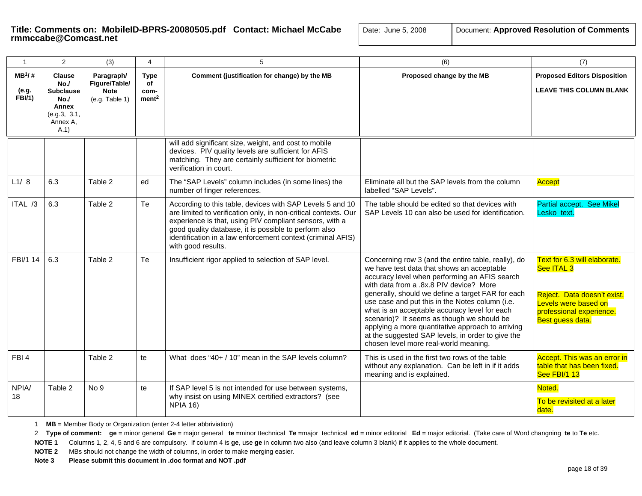| e:  June 5, 2008 | Document: Approved Resolution of Comm |  |  |
|------------------|---------------------------------------|--|--|
|------------------|---------------------------------------|--|--|

| $\mathbf{1}$                        | $\overline{2}$                                                                              | (3)                                                          | $\overline{4}$                                 | 5                                                                                                                                                                                                                                                                                                                                     | (6)                                                                                                                                                                                                                                                                                                                                                                                                                                                                                                                                                     | (7)                                                                                                                                               |
|-------------------------------------|---------------------------------------------------------------------------------------------|--------------------------------------------------------------|------------------------------------------------|---------------------------------------------------------------------------------------------------------------------------------------------------------------------------------------------------------------------------------------------------------------------------------------------------------------------------------------|---------------------------------------------------------------------------------------------------------------------------------------------------------------------------------------------------------------------------------------------------------------------------------------------------------------------------------------------------------------------------------------------------------------------------------------------------------------------------------------------------------------------------------------------------------|---------------------------------------------------------------------------------------------------------------------------------------------------|
| $MB^1/$ #<br>(e.g.<br><b>FBI/1)</b> | <b>Clause</b><br>No.<br><b>Subclause</b><br>No.<br>Annex<br>(e.g.3, 3.1,<br>Annex A.<br>A.1 | Paragraph/<br>Figure/Table/<br><b>Note</b><br>(e.g. Table 1) | <b>Type</b><br>of<br>com-<br>ment <sup>2</sup> | Comment (justification for change) by the MB                                                                                                                                                                                                                                                                                          | Proposed change by the MB                                                                                                                                                                                                                                                                                                                                                                                                                                                                                                                               | <b>Proposed Editors Disposition</b><br><b>LEAVE THIS COLUMN BLANK</b>                                                                             |
|                                     |                                                                                             |                                                              |                                                | will add significant size, weight, and cost to mobile<br>devices. PIV quality levels are sufficient for AFIS<br>matching. They are certainly sufficient for biometric<br>verification in court.                                                                                                                                       |                                                                                                                                                                                                                                                                                                                                                                                                                                                                                                                                                         |                                                                                                                                                   |
| L1/8                                | 6.3                                                                                         | Table 2                                                      | ed                                             | The "SAP Levels" column includes (in some lines) the<br>number of finger references.                                                                                                                                                                                                                                                  | Eliminate all but the SAP levels from the column<br>labelled "SAP Levels".                                                                                                                                                                                                                                                                                                                                                                                                                                                                              | Accept                                                                                                                                            |
| ITAL /3                             | 6.3                                                                                         | Table 2                                                      | Te                                             | According to this table, devices with SAP Levels 5 and 10<br>are limited to verification only, in non-critical contexts. Our<br>experience is that, using PIV compliant sensors, with a<br>good quality database, it is possible to perform also<br>identification in a law enforcement context (criminal AFIS)<br>with good results. | The table should be edited so that devices with<br>SAP Levels 10 can also be used for identification.                                                                                                                                                                                                                                                                                                                                                                                                                                                   | <b>Partial accept. See Mikel</b><br>Lesko text.                                                                                                   |
| FBI/1 14                            | 6.3                                                                                         | Table 2                                                      | Te                                             | Insufficient rigor applied to selection of SAP level.                                                                                                                                                                                                                                                                                 | Concerning row 3 (and the entire table, really), do<br>we have test data that shows an acceptable<br>accuracy level when performing an AFIS search<br>with data from a .8x.8 PIV device? More<br>generally, should we define a target FAR for each<br>use case and put this in the Notes column (i.e.<br>what is an acceptable accuracy level for each<br>scenario)? It seems as though we should be<br>applying a more quantitative approach to arriving<br>at the suggested SAP levels, in order to give the<br>chosen level more real-world meaning. | Text for 6.3 will elaborate.<br>See ITAL 3<br>Reject. Data doesn't exist.<br>Levels were based on<br>professional experience.<br>Best guess data. |
| FBI4                                |                                                                                             | Table 2                                                      | te                                             | What does "40+ / 10" mean in the SAP levels column?                                                                                                                                                                                                                                                                                   | This is used in the first two rows of the table<br>without any explanation. Can be left in if it adds<br>meaning and is explained.                                                                                                                                                                                                                                                                                                                                                                                                                      | Accept. This was an error in<br>table that has been fixed.<br><b>See FBI/1 13</b>                                                                 |
| NPIA/<br>18                         | Table 2                                                                                     | No 9                                                         | te                                             | If SAP level 5 is not intended for use between systems,<br>why insist on using MINEX certified extractors? (see<br><b>NPIA 16)</b>                                                                                                                                                                                                    |                                                                                                                                                                                                                                                                                                                                                                                                                                                                                                                                                         | Noted.<br>To be revisited at a later<br>date.                                                                                                     |

1 **MB** = Member Body or Organization (enter 2-4 letter abbriviation)

2 Type of comment: ge = minor general Ge = major general te =minor ttechnical Te =major technical ed = minor editorial Ed = major editorial. (Take care of Word changning te to Te etc.

**NOTE 1** Columns 1, 2, 4, 5 and 6 are compulsory. If column 4 is **ge**, use **ge** in column two also (and leave column 3 blank) if it applies to the whole document.

**NOTE 2** MBs should not change the width of columns, in order to make merging easier.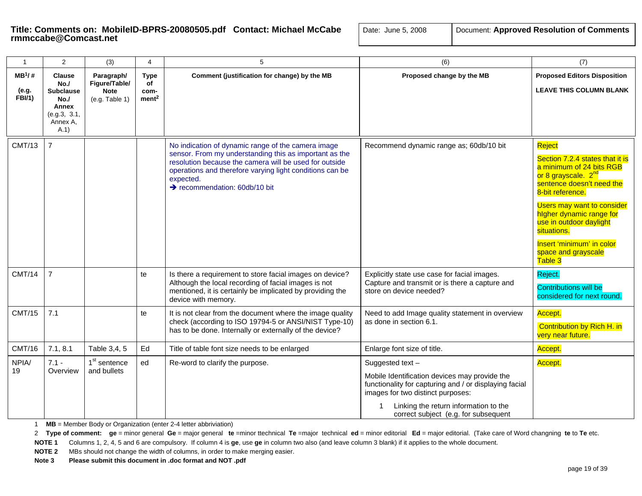| $\mathbf{1}$                | 2                                                                                           | (3)                                                          | 4                                              | 5                                                                                                                                                                                                                                                                                            | (6)                                                                                                                                                                                                                                              | (7)                                                                                                                                                                                                                                                                                                                                 |
|-----------------------------|---------------------------------------------------------------------------------------------|--------------------------------------------------------------|------------------------------------------------|----------------------------------------------------------------------------------------------------------------------------------------------------------------------------------------------------------------------------------------------------------------------------------------------|--------------------------------------------------------------------------------------------------------------------------------------------------------------------------------------------------------------------------------------------------|-------------------------------------------------------------------------------------------------------------------------------------------------------------------------------------------------------------------------------------------------------------------------------------------------------------------------------------|
| $MB^1/H$<br>(e.g.<br>FBI/1) | <b>Clause</b><br>No.<br><b>Subclause</b><br>No.<br>Annex<br>(e.g.3, 3.1,<br>Annex A.<br>A.1 | Paragraph/<br>Figure/Table/<br><b>Note</b><br>(e.g. Table 1) | <b>Type</b><br>of<br>com-<br>ment <sup>2</sup> | Comment (justification for change) by the MB                                                                                                                                                                                                                                                 | Proposed change by the MB                                                                                                                                                                                                                        | <b>Proposed Editors Disposition</b><br><b>LEAVE THIS COLUMN BLANK</b>                                                                                                                                                                                                                                                               |
| <b>CMT/13</b>               | $\overline{7}$                                                                              |                                                              |                                                | No indication of dynamic range of the camera image<br>sensor. From my understanding this as important as the<br>resolution because the camera will be used for outside<br>operations and therefore varying light conditions can be<br>expected.<br>$\rightarrow$ recommendation: 60db/10 bit | Recommend dynamic range as; 60db/10 bit                                                                                                                                                                                                          | Reject<br>Section 7.2.4 states that it is<br>a minimum of 24 bits RGB<br>or 8 grayscale. 2 <sup>nd</sup><br>sentence doesn't need the<br>8-bit reference.<br><b>Users may want to consider</b><br>higher dynamic range for<br>use in outdoor daylight<br>situations.<br>Insert 'minimum' in color<br>space and grayscale<br>Table 3 |
| <b>CMT/14</b>               | $\overline{7}$                                                                              |                                                              | te                                             | Is there a requirement to store facial images on device?<br>Although the local recording of facial images is not<br>mentioned, it is certainly be implicated by providing the<br>device with memory.                                                                                         | Explicitly state use case for facial images.<br>Capture and transmit or is there a capture and<br>store on device needed?                                                                                                                        | Reject.<br><b>Contributions will be</b><br>considered for next round.                                                                                                                                                                                                                                                               |
| <b>CMT/15</b>               | 7.1                                                                                         |                                                              | te                                             | It is not clear from the document where the image quality<br>check (according to ISO 19794-5 or ANSI/NIST Type-10)<br>has to be done. Internally or externally of the device?                                                                                                                | Need to add Image quality statement in overview<br>as done in section 6.1.                                                                                                                                                                       | Accept.<br>Contribution by Rich H. in<br>very near future.                                                                                                                                                                                                                                                                          |
| <b>CMT/16</b>               | 7.1, 8.1                                                                                    | Table 3,4, 5                                                 | Ed                                             | Title of table font size needs to be enlarged                                                                                                                                                                                                                                                | Enlarge font size of title.                                                                                                                                                                                                                      | Accept.                                                                                                                                                                                                                                                                                                                             |
| NPIA/<br>19                 | $7.1 -$<br>Overview                                                                         | 1 <sup>st</sup> sentence<br>and bullets                      | ed                                             | Re-word to clarify the purpose.                                                                                                                                                                                                                                                              | Suggested text-<br>Mobile Identification devices may provide the<br>functionality for capturing and / or displaying facial<br>images for two distinct purposes:<br>Linking the return information to the<br>correct subject (e.g. for subsequent | Accept.                                                                                                                                                                                                                                                                                                                             |

1 **MB** = Member Body or Organization (enter 2-4 letter abbriviation)

2 Type of comment: ge = minor general Ge = major general te =minor ttechnical Te =major technical ed = minor editorial Ed = major editorial. (Take care of Word changning te to Te etc.

**NOTE 1** Columns 1, 2, 4, 5 and 6 are compulsory. If column 4 is **ge**, use **ge** in column two also (and leave column 3 blank) if it applies to the whole document.

**NOTE 2** MBs should not change the width of columns, in order to make merging easier.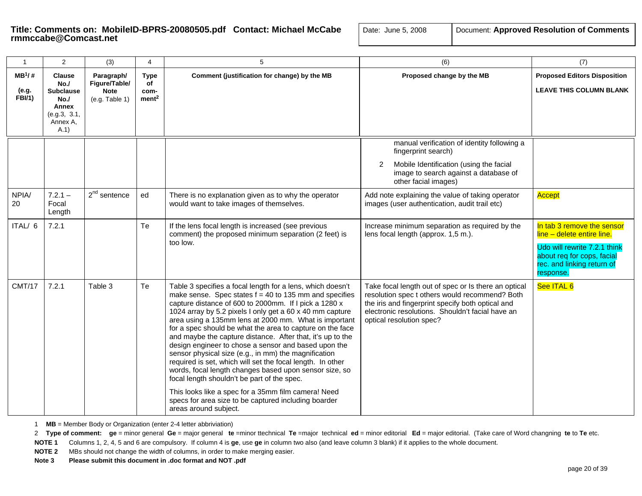| $\mathbf{1}$                       | $\mathbf{2}$                                                                                | (3)                                                          | 4                                       | 5                                                                                                                                                                                                                                                                                                                                                                                                                                                                                                                                                                                                                                                                                                                                                                                                                                                              | (6)                                                                                                                                                                                                                                         | (7)                                                                                                                                                               |
|------------------------------------|---------------------------------------------------------------------------------------------|--------------------------------------------------------------|-----------------------------------------|----------------------------------------------------------------------------------------------------------------------------------------------------------------------------------------------------------------------------------------------------------------------------------------------------------------------------------------------------------------------------------------------------------------------------------------------------------------------------------------------------------------------------------------------------------------------------------------------------------------------------------------------------------------------------------------------------------------------------------------------------------------------------------------------------------------------------------------------------------------|---------------------------------------------------------------------------------------------------------------------------------------------------------------------------------------------------------------------------------------------|-------------------------------------------------------------------------------------------------------------------------------------------------------------------|
| $MB^1/H$<br>(e.g.<br><b>FBI/1)</b> | <b>Clause</b><br>No.<br><b>Subclause</b><br>No.<br>Annex<br>(e.g.3, 3.1,<br>Annex A.<br>A.1 | Paragraph/<br>Figure/Table/<br><b>Note</b><br>(e.g. Table 1) | Type<br>of<br>com-<br>ment <sup>2</sup> | Comment (justification for change) by the MB                                                                                                                                                                                                                                                                                                                                                                                                                                                                                                                                                                                                                                                                                                                                                                                                                   | Proposed change by the MB                                                                                                                                                                                                                   | <b>Proposed Editors Disposition</b><br><b>LEAVE THIS COLUMN BLANK</b>                                                                                             |
|                                    |                                                                                             |                                                              |                                         |                                                                                                                                                                                                                                                                                                                                                                                                                                                                                                                                                                                                                                                                                                                                                                                                                                                                | manual verification of identity following a<br>fingerprint search)<br>Mobile Identification (using the facial<br>2<br>image to search against a database of<br>other facial images)                                                         |                                                                                                                                                                   |
| NPIA/<br>20                        | $7.2.1 -$<br>Focal<br>Length                                                                | $2nd$ sentence                                               | ed                                      | There is no explanation given as to why the operator<br>would want to take images of themselves.                                                                                                                                                                                                                                                                                                                                                                                                                                                                                                                                                                                                                                                                                                                                                               | Add note explaining the value of taking operator<br>images (user authentication, audit trail etc)                                                                                                                                           | Accept                                                                                                                                                            |
| ITAL/ 6                            | 7.2.1                                                                                       |                                                              | Te                                      | If the lens focal length is increased (see previous<br>comment) the proposed minimum separation (2 feet) is<br>too low.                                                                                                                                                                                                                                                                                                                                                                                                                                                                                                                                                                                                                                                                                                                                        | Increase minimum separation as required by the<br>lens focal length (approx. 1,5 m.).                                                                                                                                                       | In tab 3 remove the sensor<br>line - delete entire line.<br>Udo will rewrite 7.2.1 think<br>about req for cops, facial<br>rec. and linking return of<br>response. |
| <b>CMT/17</b>                      | 7.2.1                                                                                       | Table 3                                                      | Te                                      | Table 3 specifies a focal length for a lens, which doesn't<br>make sense. Spec states $f = 40$ to 135 mm and specifies<br>capture distance of 600 to 2000mm. If I pick a 1280 x<br>1024 array by 5.2 pixels I only get a 60 x 40 mm capture<br>area using a 135mm lens at 2000 mm. What is important<br>for a spec should be what the area to capture on the face<br>and maybe the capture distance. After that, it's up to the<br>design engineer to chose a sensor and based upon the<br>sensor physical size (e.g., in mm) the magnification<br>required is set, which will set the focal length. In other<br>words, focal length changes based upon sensor size, so<br>focal length shouldn't be part of the spec.<br>This looks like a spec for a 35mm film camera! Need<br>specs for area size to be captured including boarder<br>areas around subject. | Take focal length out of spec or Is there an optical<br>resolution spec t others would recommend? Both<br>the iris and fingerprint specify both optical and<br>electronic resolutions. Shouldn't facial have an<br>optical resolution spec? | See ITAL 6                                                                                                                                                        |

1 **MB** = Member Body or Organization (enter 2-4 letter abbriviation)

2 Type of comment: ge = minor general Ge = major general te =minor ttechnical Te =major technical ed = minor editorial Ed = major editorial. (Take care of Word changning te to Te etc.

**NOTE 1** Columns 1, 2, 4, 5 and 6 are compulsory. If column 4 is **ge**, use **ge** in column two also (and leave column 3 blank) if it applies to the whole document.

**NOTE 2** MBs should not change the width of columns, in order to make merging easier.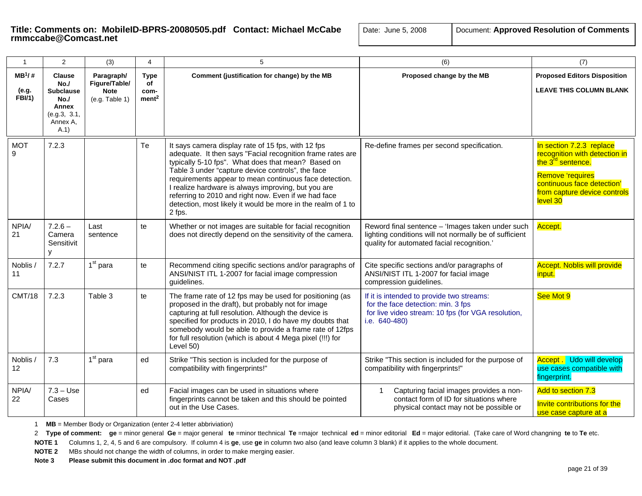| -1                                 | 2                                                                                            | (3)                                                          | 4                                              | 5                                                                                                                                                                                                                                                                                                                                                                                                                                                                              | (6)                                                                                                                                                      | (7)                                                                                                                                                                                             |
|------------------------------------|----------------------------------------------------------------------------------------------|--------------------------------------------------------------|------------------------------------------------|--------------------------------------------------------------------------------------------------------------------------------------------------------------------------------------------------------------------------------------------------------------------------------------------------------------------------------------------------------------------------------------------------------------------------------------------------------------------------------|----------------------------------------------------------------------------------------------------------------------------------------------------------|-------------------------------------------------------------------------------------------------------------------------------------------------------------------------------------------------|
| $MB^1/#$<br>(e.g.<br><b>FBI/1)</b> | <b>Clause</b><br>No./<br><b>Subclause</b><br>No.<br><b>Annex</b><br>(e.g.3, 3.1,<br>Annex A. | Paragraph/<br>Figure/Table/<br><b>Note</b><br>(e.g. Table 1) | <b>Type</b><br>οf<br>com-<br>ment <sup>2</sup> | Comment (justification for change) by the MB                                                                                                                                                                                                                                                                                                                                                                                                                                   | Proposed change by the MB                                                                                                                                | <b>Proposed Editors Disposition</b><br><b>LEAVE THIS COLUMN BLANK</b>                                                                                                                           |
| <b>MOT</b><br>9                    | A.1<br>7.2.3                                                                                 |                                                              | Te                                             | It says camera display rate of 15 fps, with 12 fps<br>adequate. It then says "Facial recognition frame rates are<br>typically 5-10 fps". What does that mean? Based on<br>Table 3 under "capture device controls", the face<br>requirements appear to mean continuous face detection.<br>I realize hardware is always improving, but you are<br>referring to 2010 and right now. Even if we had face<br>detection, most likely it would be more in the realm of 1 to<br>2 fps. | Re-define frames per second specification.                                                                                                               | In section 7.2.3 replace<br>recognition with detection in<br>the 3 <sup>rd</sup> sentence.<br><b>Remove 'requires</b><br>continuous face detection'<br>from capture device controls<br>level 30 |
| NPIA/<br>21                        | $7.2.6 -$<br>Camera<br>Sensitivit                                                            | Last<br>sentence                                             | te                                             | Whether or not images are suitable for facial recognition<br>does not directly depend on the sensitivity of the camera.                                                                                                                                                                                                                                                                                                                                                        | Reword final sentence - 'Images taken under such<br>lighting conditions will not normally be of sufficient<br>quality for automated facial recognition.' | Accept.                                                                                                                                                                                         |
| Noblis /<br>11                     | 7.2.7                                                                                        | $1st$ para                                                   | te                                             | Recommend citing specific sections and/or paragraphs of<br>ANSI/NIST ITL 1-2007 for facial image compression<br>guidelines.                                                                                                                                                                                                                                                                                                                                                    | Cite specific sections and/or paragraphs of<br>ANSI/NIST ITL 1-2007 for facial image<br>compression guidelines.                                          | <b>Accept. Noblis will provide</b><br>input.                                                                                                                                                    |
| <b>CMT/18</b>                      | 7.2.3                                                                                        | Table 3                                                      | te                                             | The frame rate of 12 fps may be used for positioning (as<br>proposed in the draft), but probably not for image<br>capturing at full resolution. Although the device is<br>specified for products in 2010, I do have my doubts that<br>somebody would be able to provide a frame rate of 12fps<br>for full resolution (which is about 4 Mega pixel (!!!) for<br>Level 50)                                                                                                       | If it is intended to provide two streams:<br>for the face detection: min. 3 fps<br>for live video stream: 10 fps (for VGA resolution,<br>i.e. 640-480)   | See Mot 9                                                                                                                                                                                       |
| Noblis /<br>12                     | 7.3                                                                                          | $1st$ para                                                   | ed                                             | Strike "This section is included for the purpose of<br>compatibility with fingerprints!"                                                                                                                                                                                                                                                                                                                                                                                       | Strike "This section is included for the purpose of<br>compatibility with fingerprints!"                                                                 | <b>Accept.</b> Udo will develop<br>use cases compatible with<br>fingerprint.                                                                                                                    |
| NPIA/<br>22                        | $7.3 - Use$<br>Cases                                                                         |                                                              | ed                                             | Facial images can be used in situations where<br>fingerprints cannot be taken and this should be pointed<br>out in the Use Cases.                                                                                                                                                                                                                                                                                                                                              | Capturing facial images provides a non-<br>1<br>contact form of ID for situations where<br>physical contact may not be possible or                       | Add to section 7.3<br>Invite contributions for the<br>use case capture at a                                                                                                                     |

1 **MB** = Member Body or Organization (enter 2-4 letter abbriviation)

2 Type of comment: ge = minor general Ge = major general te =minor ttechnical Te =major technical ed = minor editorial Ed = major editorial. (Take care of Word changning te to Te etc.

**NOTE 1** Columns 1, 2, 4, 5 and 6 are compulsory. If column 4 is **ge**, use **ge** in column two also (and leave column 3 blank) if it applies to the whole document.

**NOTE 2** MBs should not change the width of columns, in order to make merging easier.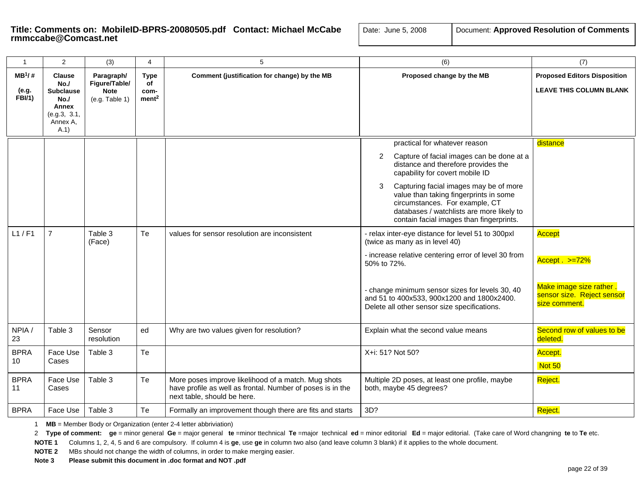| $\mathbf{1}$                 | 2                                                                                            | (3)                                                          | 4                                              | 5                                                                                                                                                | (6)                                                                                                                                                                                                                                                                                                                                                                           | (7)                                                                                                  |
|------------------------------|----------------------------------------------------------------------------------------------|--------------------------------------------------------------|------------------------------------------------|--------------------------------------------------------------------------------------------------------------------------------------------------|-------------------------------------------------------------------------------------------------------------------------------------------------------------------------------------------------------------------------------------------------------------------------------------------------------------------------------------------------------------------------------|------------------------------------------------------------------------------------------------------|
| $MB^1$ /#<br>(e.g.<br>FBI/1) | <b>Clause</b><br>No.<br><b>Subclause</b><br>No.<br>Annex<br>(e.g.3, 3.1,<br>Annex A.<br>A.1) | Paragraph/<br>Figure/Table/<br><b>Note</b><br>(e.g. Table 1) | <b>Type</b><br>of<br>com-<br>ment <sup>2</sup> | Comment (justification for change) by the MB                                                                                                     | Proposed change by the MB                                                                                                                                                                                                                                                                                                                                                     | <b>Proposed Editors Disposition</b><br><b>LEAVE THIS COLUMN BLANK</b>                                |
|                              |                                                                                              |                                                              |                                                |                                                                                                                                                  | practical for whatever reason<br>Capture of facial images can be done at a<br>2<br>distance and therefore provides the<br>capability for covert mobile ID<br>Capturing facial images may be of more<br>3<br>value than taking fingerprints in some<br>circumstances. For example, CT<br>databases / watchlists are more likely to<br>contain facial images than fingerprints. | distance                                                                                             |
| L1/F1                        | $\overline{7}$                                                                               | Table 3<br>(Face)                                            | Te                                             | values for sensor resolution are inconsistent                                                                                                    | - relax inter-eye distance for level 51 to 300pxl<br>(twice as many as in level 40)<br>- increase relative centering error of level 30 from<br>50% to 72%.<br>- change minimum sensor sizes for levels 30, 40<br>and 51 to 400x533, 900x1200 and 1800x2400.<br>Delete all other sensor size specifications.                                                                   | Accept<br>$Accept . >=72%$<br>Make image size rather.<br>sensor size. Reject sensor<br>size comment. |
| NPIA/<br>23                  | Table 3                                                                                      | Sensor<br>resolution                                         | ed                                             | Why are two values given for resolution?                                                                                                         | Explain what the second value means                                                                                                                                                                                                                                                                                                                                           | Second row of values to be<br>deleted.                                                               |
| <b>BPRA</b><br>10            | Face Use<br>Cases                                                                            | Table 3                                                      | Te                                             |                                                                                                                                                  | X+i: 51? Not 50?                                                                                                                                                                                                                                                                                                                                                              | Accept.<br>Not 50                                                                                    |
| <b>BPRA</b><br>11            | Face Use<br>Cases                                                                            | Table 3                                                      | Te                                             | More poses improve likelihood of a match. Mug shots<br>have profile as well as frontal. Number of poses is in the<br>next table, should be here. | Multiple 2D poses, at least one profile, maybe<br>both, maybe 45 degrees?                                                                                                                                                                                                                                                                                                     | Reject.                                                                                              |
| <b>BPRA</b>                  | Face Use                                                                                     | Table 3                                                      | Te                                             | Formally an improvement though there are fits and starts                                                                                         | 3D?                                                                                                                                                                                                                                                                                                                                                                           | Reject.                                                                                              |

1 **MB** = Member Body or Organization (enter 2-4 letter abbriviation)

2 Type of comment: ge = minor general Ge = major general te =minor ttechnical Te =major technical ed = minor editorial Ed = major editorial. (Take care of Word changning te to Te etc.

**NOTE 1** Columns 1, 2, 4, 5 and 6 are compulsory. If column 4 is **ge**, use **ge** in column two also (and leave column 3 blank) if it applies to the whole document.

**NOTE 2** MBs should not change the width of columns, in order to make merging easier.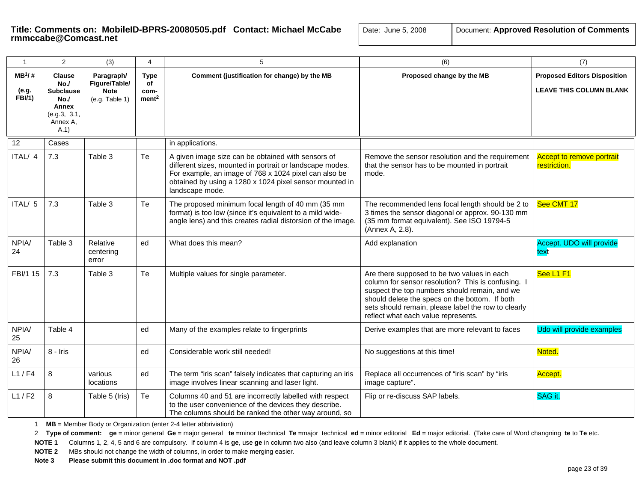| ite: June 5, 2008 | Document: Approved Resolution of Commer |
|-------------------|-----------------------------------------|
|-------------------|-----------------------------------------|

| $\mathbf{1}$                        | 2                                                                                            | (3)                                                          | $\overline{4}$                                 | 5                                                                                                                                                                                                                                                     | (6)                                                                                                                                                                                                                                                                                                | (7)                                                                   |
|-------------------------------------|----------------------------------------------------------------------------------------------|--------------------------------------------------------------|------------------------------------------------|-------------------------------------------------------------------------------------------------------------------------------------------------------------------------------------------------------------------------------------------------------|----------------------------------------------------------------------------------------------------------------------------------------------------------------------------------------------------------------------------------------------------------------------------------------------------|-----------------------------------------------------------------------|
| $MB^1$ /#<br>(e.g.<br><b>FBI/1)</b> | <b>Clause</b><br>No.<br><b>Subclause</b><br>No./<br>Annex<br>(e.g.3, 3.1,<br>Annex A,<br>A.1 | Paragraph/<br>Figure/Table/<br><b>Note</b><br>(e.g. Table 1) | <b>Type</b><br>of<br>com-<br>ment <sup>2</sup> | Comment (justification for change) by the MB                                                                                                                                                                                                          | Proposed change by the MB                                                                                                                                                                                                                                                                          | <b>Proposed Editors Disposition</b><br><b>LEAVE THIS COLUMN BLANK</b> |
| 12                                  | Cases                                                                                        |                                                              |                                                | in applications.                                                                                                                                                                                                                                      |                                                                                                                                                                                                                                                                                                    |                                                                       |
| ITAL/ 4                             | 7.3                                                                                          | Table 3                                                      | Te                                             | A given image size can be obtained with sensors of<br>different sizes, mounted in portrait or landscape modes.<br>For example, an image of 768 x 1024 pixel can also be<br>obtained by using a 1280 x 1024 pixel sensor mounted in<br>landscape mode. | Remove the sensor resolution and the requirement<br>that the sensor has to be mounted in portrait<br>mode.                                                                                                                                                                                         | <b>Accept to remove portrait</b><br>restriction.                      |
| ITAL/ 5                             | 7.3                                                                                          | Table 3                                                      | Te                                             | The proposed minimum focal length of 40 mm (35 mm<br>format) is too low (since it's equivalent to a mild wide-<br>angle lens) and this creates radial distorsion of the image.                                                                        | The recommended lens focal length should be 2 to<br>3 times the sensor diagonal or approx. 90-130 mm<br>(35 mm format equivalent). See ISO 19794-5<br>(Annex A, 2.8).                                                                                                                              | See CMT 17                                                            |
| NPIA/<br>24                         | Table 3                                                                                      | Relative<br>centering<br>error                               | ed                                             | What does this mean?                                                                                                                                                                                                                                  | Add explanation                                                                                                                                                                                                                                                                                    | Accept. UDO will provide<br>text                                      |
| FBI/1 15                            | 7.3                                                                                          | Table 3                                                      | Te                                             | Multiple values for single parameter.                                                                                                                                                                                                                 | Are there supposed to be two values in each<br>column for sensor resolution? This is confusing. I<br>suspect the top numbers should remain, and we<br>should delete the specs on the bottom. If both<br>sets should remain, please label the row to clearly<br>reflect what each value represents. | See L1 F1                                                             |
| NPIA/<br>25                         | Table 4                                                                                      |                                                              | ed                                             | Many of the examples relate to fingerprints                                                                                                                                                                                                           | Derive examples that are more relevant to faces                                                                                                                                                                                                                                                    | Udo will provide examples                                             |
| NPIA/<br>26                         | 8 - Iris                                                                                     |                                                              | ed                                             | Considerable work still needed!                                                                                                                                                                                                                       | No suggestions at this time!                                                                                                                                                                                                                                                                       | Noted.                                                                |
| L1/F4                               | 8                                                                                            | various<br>locations                                         | ed                                             | The term "iris scan" falsely indicates that capturing an iris<br>image involves linear scanning and laser light.                                                                                                                                      | Replace all occurrences of "iris scan" by "iris<br>image capture".                                                                                                                                                                                                                                 | Accept.                                                               |
| L1/F2                               | 8                                                                                            | Table 5 (Iris)                                               | Te                                             | Columns 40 and 51 are incorrectly labelled with respect<br>to the user convenience of the devices they describe.<br>The columns should be ranked the other way around, so                                                                             | Flip or re-discuss SAP labels.                                                                                                                                                                                                                                                                     | SAG it.                                                               |

1 **MB** = Member Body or Organization (enter 2-4 letter abbriviation)

2 Type of comment: ge = minor general Ge = major general te =minor ttechnical Te =major technical ed = minor editorial Ed = major editorial. (Take care of Word changning te to Te etc.

**NOTE 1** Columns 1, 2, 4, 5 and 6 are compulsory. If column 4 is **ge**, use **ge** in column two also (and leave column 3 blank) if it applies to the whole document.

**NOTE 2** MBs should not change the width of columns, in order to make merging easier.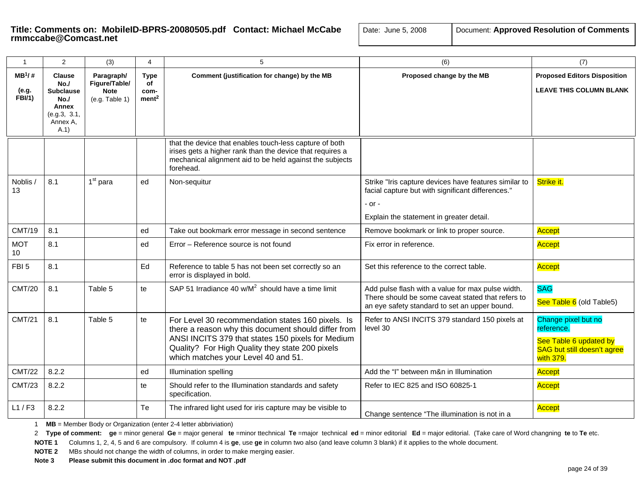# **Title: Comments on: MobileID-BPRS-20080505.pdf Contact: Michael McCabe** | Date: Transcabe@Comcast.net

| ate: June 5, 2008 | Document: Approved Resolution of Comments |
|-------------------|-------------------------------------------|
|-------------------|-------------------------------------------|

| $\mathbf{1}$                        | 2                                                                                           | (3)                                                          | $\overline{4}$                                 | 5                                                                                                                                                                                                                                                       | (6)                                                                                                                                                              | (7)                                                                                                     |
|-------------------------------------|---------------------------------------------------------------------------------------------|--------------------------------------------------------------|------------------------------------------------|---------------------------------------------------------------------------------------------------------------------------------------------------------------------------------------------------------------------------------------------------------|------------------------------------------------------------------------------------------------------------------------------------------------------------------|---------------------------------------------------------------------------------------------------------|
| $MB^1$ /#<br>(e.g.<br><b>FBI/1)</b> | <b>Clause</b><br>No.<br><b>Subclause</b><br>No.<br>Annex<br>(e.g.3, 3.1,<br>Annex A.<br>A.1 | Paragraph/<br>Figure/Table/<br><b>Note</b><br>(e.g. Table 1) | <b>Type</b><br>of<br>com-<br>ment <sup>2</sup> | Comment (justification for change) by the MB                                                                                                                                                                                                            | Proposed change by the MB                                                                                                                                        | <b>Proposed Editors Disposition</b><br><b>LEAVE THIS COLUMN BLANK</b>                                   |
|                                     |                                                                                             |                                                              |                                                | that the device that enables touch-less capture of both<br>irises gets a higher rank than the device that requires a<br>mechanical alignment aid to be held against the subjects<br>forehead.                                                           |                                                                                                                                                                  |                                                                                                         |
| Noblis /<br>13                      | 8.1                                                                                         | $1st$ para                                                   | ed                                             | Non-sequitur                                                                                                                                                                                                                                            | Strike "Iris capture devices have features similar to<br>facial capture but with significant differences."<br>- or -<br>Explain the statement in greater detail. | Strike it.                                                                                              |
| <b>CMT/19</b>                       | 8.1                                                                                         |                                                              | ed                                             | Take out bookmark error message in second sentence                                                                                                                                                                                                      | Remove bookmark or link to proper source.                                                                                                                        | Accept                                                                                                  |
| <b>MOT</b><br>10 <sup>10</sup>      | 8.1                                                                                         |                                                              | ed                                             | Error - Reference source is not found                                                                                                                                                                                                                   | Fix error in reference.                                                                                                                                          | Accept                                                                                                  |
| FBI <sub>5</sub>                    | 8.1                                                                                         |                                                              | Ed                                             | Reference to table 5 has not been set correctly so an<br>error is displayed in bold.                                                                                                                                                                    | Set this reference to the correct table.                                                                                                                         | Accept                                                                                                  |
| <b>CMT/20</b>                       | 8.1                                                                                         | Table 5                                                      | te                                             | SAP 51 Irradiance 40 $w/M^2$ should have a time limit                                                                                                                                                                                                   | Add pulse flash with a value for max pulse width.<br>There should be some caveat stated that refers to<br>an eye safety standard to set an upper bound.          | <b>SAG</b><br>See Table 6 (old Table5)                                                                  |
| <b>CMT/21</b>                       | 8.1                                                                                         | Table 5                                                      | te                                             | For Level 30 recommendation states 160 pixels. Is<br>there a reason why this document should differ from<br>ANSI INCITS 379 that states 150 pixels for Medium<br>Quality? For High Quality they state 200 pixels<br>which matches your Level 40 and 51. | Refer to ANSI INCITS 379 standard 150 pixels at<br>level 30                                                                                                      | Change pixel but no<br>reference.<br>See Table 6 updated by<br>SAG but still doesn't agree<br>with 379. |
| <b>CMT/22</b>                       | 8.2.2                                                                                       |                                                              | ed                                             | Illumination spelling                                                                                                                                                                                                                                   | Add the "I" between m&n in Illumination                                                                                                                          | Accept                                                                                                  |
| <b>CMT/23</b>                       | 8.2.2                                                                                       |                                                              | te                                             | Should refer to the Illumination standards and safety<br>specification.                                                                                                                                                                                 | Refer to IEC 825 and ISO 60825-1                                                                                                                                 | Accept                                                                                                  |
| L1/F3                               | 8.2.2                                                                                       |                                                              | Te                                             | The infrared light used for iris capture may be visible to                                                                                                                                                                                              | Change sentence "The illumination is not in a                                                                                                                    | Accept                                                                                                  |

1 **MB** = Member Body or Organization (enter 2-4 letter abbriviation)

2 Type of comment: ge = minor general Ge = major general te =minor ttechnical Te =major technical ed = minor editorial Ed = major editorial. (Take care of Word changning te to Te etc.

**NOTE 1** Columns 1, 2, 4, 5 and 6 are compulsory. If column 4 is **ge**, use **ge** in column two also (and leave column 3 blank) if it applies to the whole document.

**NOTE 2** MBs should not change the width of columns, in order to make merging easier.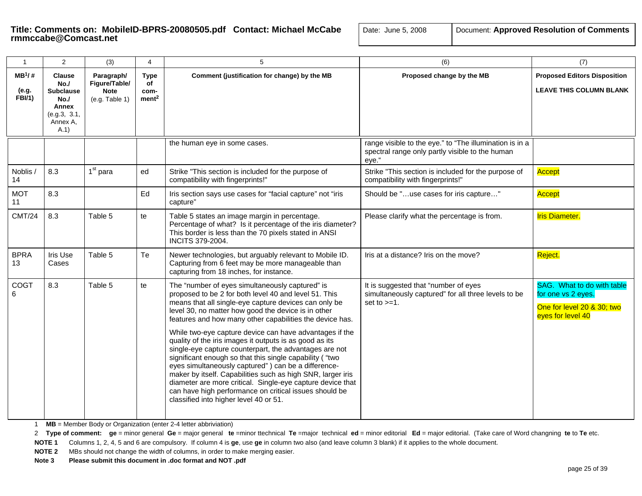| $\overline{1}$                      | $\overline{2}$                                                                               | (3)                                                          | 4                                              | 5                                                                                                                                                                                                                                                                                                                                                                                                                                                                                                                                                                                                                                                                                                                                                                                                                       | (6)                                                                                                                 | (7)                                                                                                 |
|-------------------------------------|----------------------------------------------------------------------------------------------|--------------------------------------------------------------|------------------------------------------------|-------------------------------------------------------------------------------------------------------------------------------------------------------------------------------------------------------------------------------------------------------------------------------------------------------------------------------------------------------------------------------------------------------------------------------------------------------------------------------------------------------------------------------------------------------------------------------------------------------------------------------------------------------------------------------------------------------------------------------------------------------------------------------------------------------------------------|---------------------------------------------------------------------------------------------------------------------|-----------------------------------------------------------------------------------------------------|
| $MB^1$ /#<br>(e.g.<br><b>FBI/1)</b> | <b>Clause</b><br>No./<br><b>Subclause</b><br>No.<br>Annex<br>(e.g.3, 3.1,<br>Annex A,<br>A.1 | Paragraph/<br>Figure/Table/<br><b>Note</b><br>(e.g. Table 1) | <b>Type</b><br>of<br>com-<br>ment <sup>2</sup> | Comment (justification for change) by the MB                                                                                                                                                                                                                                                                                                                                                                                                                                                                                                                                                                                                                                                                                                                                                                            | Proposed change by the MB                                                                                           | <b>Proposed Editors Disposition</b><br><b>LEAVE THIS COLUMN BLANK</b>                               |
|                                     |                                                                                              |                                                              |                                                | the human eye in some cases.                                                                                                                                                                                                                                                                                                                                                                                                                                                                                                                                                                                                                                                                                                                                                                                            | range visible to the eye." to "The illumination is in a<br>spectral range only partly visible to the human<br>eye." |                                                                                                     |
| Noblis /<br>14                      | 8.3                                                                                          | 1 <sup>st</sup> para                                         | ed                                             | Strike "This section is included for the purpose of<br>compatibility with fingerprints!"                                                                                                                                                                                                                                                                                                                                                                                                                                                                                                                                                                                                                                                                                                                                | Strike "This section is included for the purpose of<br>compatibility with fingerprints!"                            | Accept                                                                                              |
| <b>MOT</b><br>11                    | 8.3                                                                                          |                                                              | Ed                                             | Iris section says use cases for "facial capture" not "iris<br>capture"                                                                                                                                                                                                                                                                                                                                                                                                                                                                                                                                                                                                                                                                                                                                                  | Should be "use cases for iris capture"                                                                              | Accept                                                                                              |
| <b>CMT/24</b>                       | 8.3                                                                                          | Table 5                                                      | te                                             | Table 5 states an image margin in percentage.<br>Percentage of what? Is it percentage of the iris diameter?<br>This border is less than the 70 pixels stated in ANSI<br><b>INCITS 379-2004.</b>                                                                                                                                                                                                                                                                                                                                                                                                                                                                                                                                                                                                                         | Please clarify what the percentage is from.                                                                         | <b>Iris Diameter.</b>                                                                               |
| <b>BPRA</b><br>13                   | Iris Use<br>Cases                                                                            | Table 5                                                      | Te                                             | Newer technologies, but arguably relevant to Mobile ID.<br>Capturing from 6 feet may be more manageable than<br>capturing from 18 inches, for instance.                                                                                                                                                                                                                                                                                                                                                                                                                                                                                                                                                                                                                                                                 | Iris at a distance? Iris on the move?                                                                               | Reject.                                                                                             |
| COGT<br>6                           | 8.3                                                                                          | Table 5                                                      | te                                             | The "number of eyes simultaneously captured" is<br>proposed to be 2 for both level 40 and level 51. This<br>means that all single-eye capture devices can only be<br>level 30, no matter how good the device is in other<br>features and how many other capabilities the device has.<br>While two-eye capture device can have advantages if the<br>quality of the iris images it outputs is as good as its<br>single-eye capture counterpart, the advantages are not<br>significant enough so that this single capability ("two<br>eyes simultaneously captured") can be a difference-<br>maker by itself. Capabilities such as high SNR, larger iris<br>diameter are more critical. Single-eye capture device that<br>can have high performance on critical issues should be<br>classified into higher level 40 or 51. | It is suggested that "number of eyes<br>simultaneously captured" for all three levels to be<br>set to $>=1$ .       | SAG. What to do with table<br>for one vs 2 eyes.<br>One for level 20 & 30; two<br>eyes for level 40 |

1 **MB** = Member Body or Organization (enter 2-4 letter abbriviation)

2 Type of comment: ge = minor general Ge = major general te =minor ttechnical Te =major technical ed = minor editorial Ed = major editorial. (Take care of Word changning te to Te etc.

**NOTE 1** Columns 1, 2, 4, 5 and 6 are compulsory. If column 4 is **ge**, use **ge** in column two also (and leave column 3 blank) if it applies to the whole document.

**NOTE 2** MBs should not change the width of columns, in order to make merging easier.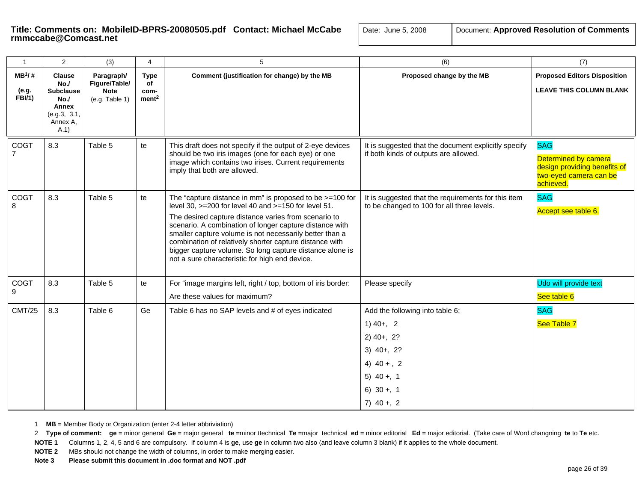| $\mathbf{1}$                       | 2                                                                                            | (3)                                                          | 4                                              | 5                                                                                                                                                                                                                                                                                                                                                                                                                                                                         | (6)                                                                                                                                        | (7)                                                                                                       |
|------------------------------------|----------------------------------------------------------------------------------------------|--------------------------------------------------------------|------------------------------------------------|---------------------------------------------------------------------------------------------------------------------------------------------------------------------------------------------------------------------------------------------------------------------------------------------------------------------------------------------------------------------------------------------------------------------------------------------------------------------------|--------------------------------------------------------------------------------------------------------------------------------------------|-----------------------------------------------------------------------------------------------------------|
| $MB^1/#$<br>(e.g.<br><b>FBI/1)</b> | <b>Clause</b><br>No.<br><b>Subclause</b><br>No./<br>Annex<br>(e.g.3, 3.1,<br>Annex A,<br>A.1 | Paragraph/<br>Figure/Table/<br><b>Note</b><br>(e.g. Table 1) | <b>Type</b><br>of<br>com-<br>ment <sup>2</sup> | Comment (justification for change) by the MB                                                                                                                                                                                                                                                                                                                                                                                                                              | Proposed change by the MB                                                                                                                  | <b>Proposed Editors Disposition</b><br><b>LEAVE THIS COLUMN BLANK</b>                                     |
| COGT                               | 8.3                                                                                          | Table 5                                                      | te                                             | This draft does not specify if the output of 2-eye devices<br>should be two iris images (one for each eye) or one<br>image which contains two irises. Current requirements<br>imply that both are allowed.                                                                                                                                                                                                                                                                | It is suggested that the document explicitly specify<br>if both kinds of outputs are allowed.                                              | <b>SAG</b><br>Determined by camera<br>design providing benefits of<br>two-eyed camera can be<br>achieved. |
| <b>COGT</b><br>8                   | 8.3                                                                                          | Table 5                                                      | te                                             | The "capture distance in mm" is proposed to be $>=100$ for<br>level 30, >=200 for level 40 and >=150 for level 51.<br>The desired capture distance varies from scenario to<br>scenario. A combination of longer capture distance with<br>smaller capture volume is not necessarily better than a<br>combination of relatively shorter capture distance with<br>bigger capture volume. So long capture distance alone is<br>not a sure characteristic for high end device. | It is suggested that the requirements for this item<br>to be changed to 100 for all three levels.                                          | <b>SAG</b><br>Accept see table 6.                                                                         |
| COGT<br>g                          | 8.3                                                                                          | Table 5                                                      | te                                             | For "image margins left, right / top, bottom of iris border:<br>Are these values for maximum?                                                                                                                                                                                                                                                                                                                                                                             | Please specify                                                                                                                             | Udo will provide text<br>See table 6                                                                      |
| <b>CMT/25</b>                      | 8.3                                                                                          | Table 6                                                      | Ge                                             | Table 6 has no SAP levels and # of eyes indicated                                                                                                                                                                                                                                                                                                                                                                                                                         | Add the following into table 6;<br>$1)$ 40+, 2<br>$2)$ 40+, 2?<br>$3)$ 40+, 2?<br>4) $40 + 2$<br>5) $40 + 1$<br>6) $30 + 1$<br>7) $40 + 2$ | <b>SAG</b><br>See Table 7                                                                                 |

1 **MB** = Member Body or Organization (enter 2-4 letter abbriviation)

2 Type of comment: ge = minor general Ge = major general te =minor ttechnical Te =major technical ed = minor editorial Ed = major editorial. (Take care of Word changning te to Te etc.

**NOTE 1** Columns 1, 2, 4, 5 and 6 are compulsory. If column 4 is **ge**, use **ge** in column two also (and leave column 3 blank) if it applies to the whole document.

**NOTE 2** MBs should not change the width of columns, in order to make merging easier.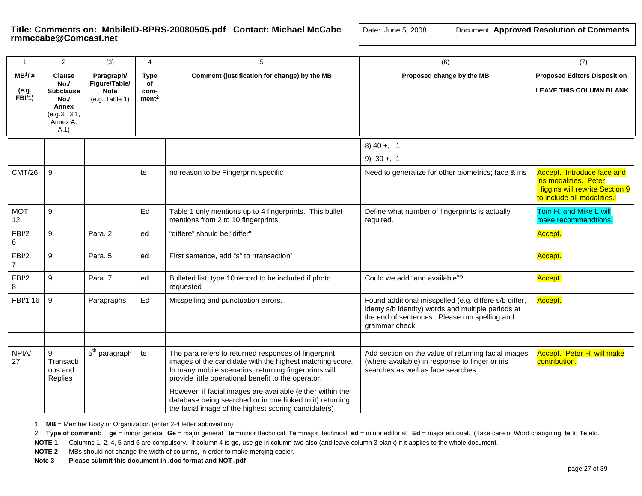| $\mathbf 1$             | $\overline{2}$                                                      | (3)                           | 4                         | $\,$ 5 $\,$                                                                                                                                                                                                                                                                                                                                                                                                         | (6)                                                                                                                                                                            | (7)                                                                                                                         |
|-------------------------|---------------------------------------------------------------------|-------------------------------|---------------------------|---------------------------------------------------------------------------------------------------------------------------------------------------------------------------------------------------------------------------------------------------------------------------------------------------------------------------------------------------------------------------------------------------------------------|--------------------------------------------------------------------------------------------------------------------------------------------------------------------------------|-----------------------------------------------------------------------------------------------------------------------------|
| $MB^1/#$                | <b>Clause</b><br>No.                                                | Paragraph/<br>Figure/Table/   | Type<br>of                | Comment (justification for change) by the MB                                                                                                                                                                                                                                                                                                                                                                        | Proposed change by the MB                                                                                                                                                      | <b>Proposed Editors Disposition</b>                                                                                         |
| (e.g.<br><b>FBI/1)</b>  | <b>Subclause</b><br>No.<br>Annex<br>(e.g.3, 3.1,<br>Annex A,<br>A.1 | <b>Note</b><br>(e.g. Table 1) | com-<br>ment <sup>2</sup> |                                                                                                                                                                                                                                                                                                                                                                                                                     |                                                                                                                                                                                | <b>LEAVE THIS COLUMN BLANK</b>                                                                                              |
|                         |                                                                     |                               |                           |                                                                                                                                                                                                                                                                                                                                                                                                                     | $8)$ 40 +, 1                                                                                                                                                                   |                                                                                                                             |
|                         |                                                                     |                               |                           |                                                                                                                                                                                                                                                                                                                                                                                                                     | 9) $30 + 1$                                                                                                                                                                    |                                                                                                                             |
| <b>CMT/26</b>           | 9                                                                   |                               | te                        | no reason to be Fingerprint specific                                                                                                                                                                                                                                                                                                                                                                                | Need to generalize for other biometrics; face & iris                                                                                                                           | Accept. Introduce face and<br>iris modalities. Peter<br><b>Higgins will rewrite Section 9</b><br>to include all modalities. |
| <b>MOT</b><br>12        | 9                                                                   |                               | Ed                        | Table 1 only mentions up to 4 fingerprints. This bullet<br>mentions from 2 to 10 fingerprints.                                                                                                                                                                                                                                                                                                                      | Define what number of fingerprints is actually<br>required.                                                                                                                    | Tom H. and Mike L will<br>make recommendtions.                                                                              |
| FBI/2<br>6              | 9                                                                   | Para. 2                       | ed                        | "differe" should be "differ"                                                                                                                                                                                                                                                                                                                                                                                        |                                                                                                                                                                                | Accept.                                                                                                                     |
| FBI/2<br>$\overline{7}$ | 9                                                                   | Para. 5                       | ed                        | First sentence, add "s" to "transaction"                                                                                                                                                                                                                                                                                                                                                                            |                                                                                                                                                                                | Accept.                                                                                                                     |
| FBI/2<br>8              | 9                                                                   | Para. 7                       | ed                        | Bulleted list, type 10 record to be included if photo<br>requested                                                                                                                                                                                                                                                                                                                                                  | Could we add "and available"?                                                                                                                                                  | Accept.                                                                                                                     |
| FBI/1 16                | 9                                                                   | Paragraphs                    | Ed                        | Misspelling and punctuation errors.                                                                                                                                                                                                                                                                                                                                                                                 | Found additional misspelled (e.g. differe s/b differ,<br>identy s/b identity) words and multiple periods at<br>the end of sentences. Please run spelling and<br>grammar check. | Accept.                                                                                                                     |
|                         |                                                                     |                               |                           |                                                                                                                                                                                                                                                                                                                                                                                                                     |                                                                                                                                                                                |                                                                                                                             |
| NPIA/<br>27             | $9-$<br>Transacti<br>ons and<br>Replies                             | 5 <sup>th</sup> paragraph     | te                        | The para refers to returned responses of fingerprint<br>images of the candidate with the highest matching score.<br>In many mobile scenarios, returning fingerprints will<br>provide little operational benefit to the operator.<br>However, if facial images are available (either within the<br>database being searched or in one linked to it) returning<br>the facial image of the highest scoring candidate(s) | Add section on the value of returning facial images<br>(where available) in response to finger or iris<br>searches as well as face searches.                                   | Accept. Peter H. will make<br>contribution.                                                                                 |

1 **MB** = Member Body or Organization (enter 2-4 letter abbriviation)

2 Type of comment: ge = minor general Ge = major general te =minor ttechnical Te =major technical ed = minor editorial Ed = major editorial. (Take care of Word changning te to Te etc.

**NOTE 1** Columns 1, 2, 4, 5 and 6 are compulsory. If column 4 is **ge**, use **ge** in column two also (and leave column 3 blank) if it applies to the whole document.

**NOTE 2** MBs should not change the width of columns, in order to make merging easier.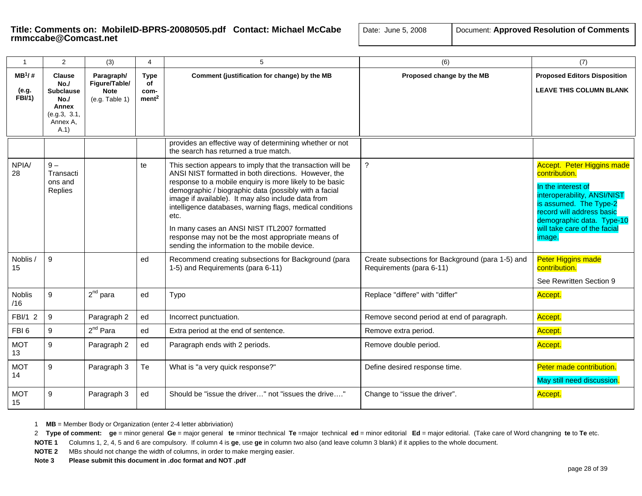| $\overline{1}$              | 2                                                                                            | (3)                                                          | 4                                              | 5                                                                                                                                                                                                                                                                                                                                                                                                                                                                                                                       | (6)                                                                          | (7)                                                                                                                                                                                                                                   |
|-----------------------------|----------------------------------------------------------------------------------------------|--------------------------------------------------------------|------------------------------------------------|-------------------------------------------------------------------------------------------------------------------------------------------------------------------------------------------------------------------------------------------------------------------------------------------------------------------------------------------------------------------------------------------------------------------------------------------------------------------------------------------------------------------------|------------------------------------------------------------------------------|---------------------------------------------------------------------------------------------------------------------------------------------------------------------------------------------------------------------------------------|
| $MB^1/#$<br>(e.g.<br>FBI/1) | <b>Clause</b><br>No.<br><b>Subclause</b><br>No.<br>Annex<br>(e.g.3, 3.1,<br>Annex A,<br>A.1) | Paragraph/<br>Figure/Table/<br><b>Note</b><br>(e.g. Table 1) | <b>Type</b><br>οf<br>com-<br>ment <sup>2</sup> | Comment (justification for change) by the MB                                                                                                                                                                                                                                                                                                                                                                                                                                                                            | Proposed change by the MB                                                    | <b>Proposed Editors Disposition</b><br><b>LEAVE THIS COLUMN BLANK</b>                                                                                                                                                                 |
|                             |                                                                                              |                                                              |                                                | provides an effective way of determining whether or not<br>the search has returned a true match.                                                                                                                                                                                                                                                                                                                                                                                                                        |                                                                              |                                                                                                                                                                                                                                       |
| NPIA/<br>28                 | $9-$<br>Transacti<br>ons and<br>Replies                                                      |                                                              | te                                             | This section appears to imply that the transaction will be<br>ANSI NIST formatted in both directions. However, the<br>response to a mobile enquiry is more likely to be basic<br>demographic / biographic data (possibly with a facial<br>image if available). It may also include data from<br>intelligence databases, warning flags, medical conditions<br>etc.<br>In many cases an ANSI NIST ITL2007 formatted<br>response may not be the most appropriate means of<br>sending the information to the mobile device. | ?                                                                            | <b>Accept. Peter Higgins made</b><br>contribution.<br>In the interest of<br>interoperability, ANSI/NIST<br>is assumed. The Type-2<br>record will address basic<br>demographic data. Type-10<br>will take care of the facial<br>image. |
| Noblis /<br>15              | 9                                                                                            |                                                              | ed                                             | Recommend creating subsections for Background (para<br>1-5) and Requirements (para 6-11)                                                                                                                                                                                                                                                                                                                                                                                                                                | Create subsections for Background (para 1-5) and<br>Requirements (para 6-11) | <b>Peter Higgins made</b><br>contribution.<br>See Rewritten Section 9                                                                                                                                                                 |
| Noblis<br>/16               | 9                                                                                            | $2^{nd}$ para                                                | ed                                             | Typo                                                                                                                                                                                                                                                                                                                                                                                                                                                                                                                    | Replace "differe" with "differ"                                              | Accept.                                                                                                                                                                                                                               |
| FBI/1 2                     | 9                                                                                            | Paragraph 2                                                  | ed                                             | Incorrect punctuation.                                                                                                                                                                                                                                                                                                                                                                                                                                                                                                  | Remove second period at end of paragraph.                                    | Accept.                                                                                                                                                                                                                               |
| FBI <sub>6</sub>            | 9                                                                                            | $2^{nd}$ Para                                                | ed                                             | Extra period at the end of sentence.                                                                                                                                                                                                                                                                                                                                                                                                                                                                                    | Remove extra period.                                                         | Accept.                                                                                                                                                                                                                               |
| <b>MOT</b><br>13            | 9                                                                                            | Paragraph 2                                                  | ed                                             | Paragraph ends with 2 periods.                                                                                                                                                                                                                                                                                                                                                                                                                                                                                          | Remove double period.                                                        | Accept.                                                                                                                                                                                                                               |
| <b>MOT</b><br>14            | 9                                                                                            | Paragraph 3                                                  | Te                                             | What is "a very quick response?"                                                                                                                                                                                                                                                                                                                                                                                                                                                                                        | Define desired response time.                                                | Peter made contribution.<br>May still need discussion.                                                                                                                                                                                |
| <b>MOT</b><br>15            | $\boldsymbol{9}$                                                                             | Paragraph 3                                                  | ed                                             | Should be "issue the driver" not "issues the drive"                                                                                                                                                                                                                                                                                                                                                                                                                                                                     | Change to "issue the driver".                                                | Accept.                                                                                                                                                                                                                               |

1 **MB** = Member Body or Organization (enter 2-4 letter abbriviation)

2 Type of comment: ge = minor general Ge = major general te =minor ttechnical Te =major technical ed = minor editorial Ed = major editorial. (Take care of Word changning te to Te etc.

**NOTE 1** Columns 1, 2, 4, 5 and 6 are compulsory. If column 4 is **ge**, use **ge** in column two also (and leave column 3 blank) if it applies to the whole document.

**NOTE 2** MBs should not change the width of columns, in order to make merging easier.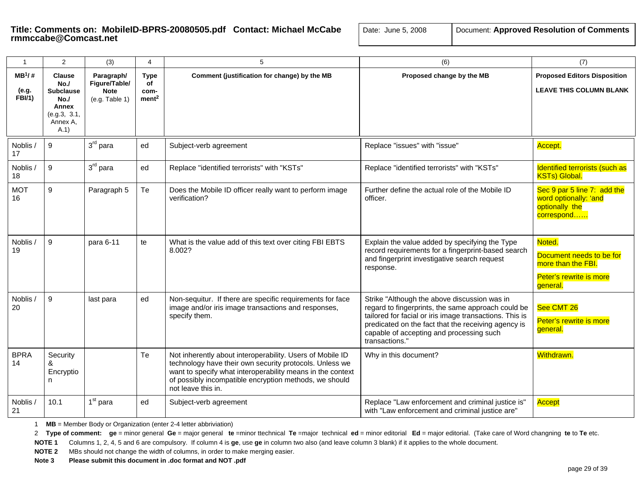| $\mathbf{1}$                         | 2                                                                                            | (3)                                                          | 4                                              | 5                                                                                                                                                                                                                                                                  | (6)                                                                                                                                                                                                                                                                                | (7)                                                                                             |
|--------------------------------------|----------------------------------------------------------------------------------------------|--------------------------------------------------------------|------------------------------------------------|--------------------------------------------------------------------------------------------------------------------------------------------------------------------------------------------------------------------------------------------------------------------|------------------------------------------------------------------------------------------------------------------------------------------------------------------------------------------------------------------------------------------------------------------------------------|-------------------------------------------------------------------------------------------------|
| $MB^{1}/#$<br>(e.g.<br><b>FBI/1)</b> | <b>Clause</b><br>No.<br><b>Subclause</b><br>No./<br>Annex<br>(e.g.3, 3.1,<br>Annex A.<br>A.1 | Paragraph/<br>Figure/Table/<br><b>Note</b><br>(e.g. Table 1) | <b>Type</b><br>of<br>com-<br>ment <sup>2</sup> | Comment (justification for change) by the MB                                                                                                                                                                                                                       | Proposed change by the MB                                                                                                                                                                                                                                                          | <b>Proposed Editors Disposition</b><br><b>LEAVE THIS COLUMN BLANK</b>                           |
| Noblis /<br>17                       | $\overline{9}$                                                                               | $3rd$ para                                                   | ed                                             | Subject-verb agreement                                                                                                                                                                                                                                             | Replace "issues" with "issue"                                                                                                                                                                                                                                                      | Accept.                                                                                         |
| Noblis /<br>18                       | 9                                                                                            | $3rd$ para                                                   | ed                                             | Replace "identified terrorists" with "KSTs"                                                                                                                                                                                                                        | Replace "identified terrorists" with "KSTs"                                                                                                                                                                                                                                        | Identified terrorists (such as<br><b>KSTs) Global.</b>                                          |
| <b>MOT</b><br>16                     | 9                                                                                            | Paragraph 5                                                  | Te                                             | Does the Mobile ID officer really want to perform image<br>verification?                                                                                                                                                                                           | Further define the actual role of the Mobile ID<br>officer.                                                                                                                                                                                                                        | Sec 9 par 5 line 7: add the<br>word optionally: 'and<br>optionally the<br>correspond            |
| Noblis /<br>19                       | 9                                                                                            | para 6-11                                                    | te                                             | What is the value add of this text over citing FBI EBTS<br>8.002?                                                                                                                                                                                                  | Explain the value added by specifying the Type<br>record requirements for a fingerprint-based search<br>and fingerprint investigative search request<br>response.                                                                                                                  | Noted.<br>Document needs to be for<br>more than the FBI.<br>Peter's rewrite is more<br>general. |
| Noblis /<br>20                       | 9                                                                                            | last para                                                    | ed                                             | Non-sequitur. If there are specific requirements for face<br>image and/or iris image transactions and responses,<br>specify them.                                                                                                                                  | Strike "Although the above discussion was in<br>regard to fingerprints, the same approach could be<br>tailored for facial or iris image transactions. This is<br>predicated on the fact that the receiving agency is<br>capable of accepting and processing such<br>transactions." | See CMT 26<br>Peter's rewrite is more<br>general.                                               |
| <b>BPRA</b><br>14                    | Security<br>&<br>Encryptio<br>n.                                                             |                                                              | Te                                             | Not inherently about interoperability. Users of Mobile ID<br>technology have their own security protocols. Unless we<br>want to specify what interoperability means in the context<br>of possibly incompatible encryption methods, we should<br>not leave this in. | Why in this document?                                                                                                                                                                                                                                                              | Withdrawn.                                                                                      |
| Noblis /<br>21                       | 10.1                                                                                         | $1st$ para                                                   | ed                                             | Subject-verb agreement                                                                                                                                                                                                                                             | Replace "Law enforcement and criminal justice is"<br>with "Law enforcement and criminal justice are"                                                                                                                                                                               | Accept                                                                                          |

1 **MB** = Member Body or Organization (enter 2-4 letter abbriviation)

2 Type of comment: ge = minor general Ge = major general te =minor ttechnical Te =major technical ed = minor editorial Ed = major editorial. (Take care of Word changning te to Te etc.

**NOTE 1** Columns 1, 2, 4, 5 and 6 are compulsory. If column 4 is **ge**, use **ge** in column two also (and leave column 3 blank) if it applies to the whole document.

**NOTE 2** MBs should not change the width of columns, in order to make merging easier.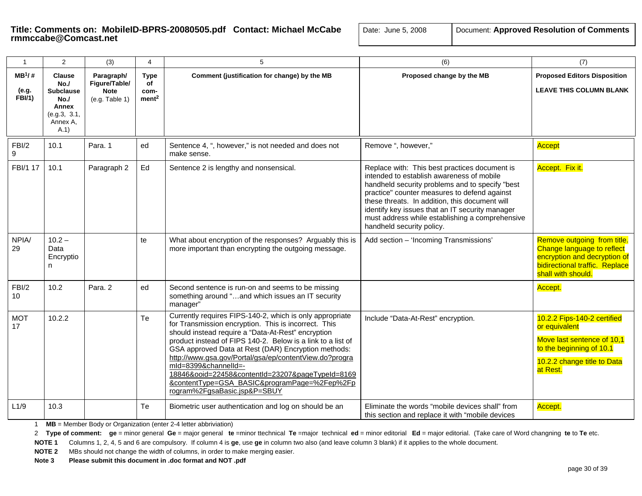| $\mathbf{1}$                       | 2                                                                                           | (3)                                                          | 4                                              | 5                                                                                                                                                                                                                                                                                                                                                                                                                                                                                                                  | (6)                                                                                                                                                                                                                                                                                                                                                                                | (7)                                                                                                                                               |
|------------------------------------|---------------------------------------------------------------------------------------------|--------------------------------------------------------------|------------------------------------------------|--------------------------------------------------------------------------------------------------------------------------------------------------------------------------------------------------------------------------------------------------------------------------------------------------------------------------------------------------------------------------------------------------------------------------------------------------------------------------------------------------------------------|------------------------------------------------------------------------------------------------------------------------------------------------------------------------------------------------------------------------------------------------------------------------------------------------------------------------------------------------------------------------------------|---------------------------------------------------------------------------------------------------------------------------------------------------|
| $MB^1/#$<br>(e.g.<br><b>FBI/1)</b> | <b>Clause</b><br>No.<br><b>Subclause</b><br>No.<br>Annex<br>(e.g.3, 3.1,<br>Annex A,<br>A.1 | Paragraph/<br>Figure/Table/<br><b>Note</b><br>(e.g. Table 1) | <b>Type</b><br>οf<br>com-<br>ment <sup>2</sup> | Comment (justification for change) by the MB                                                                                                                                                                                                                                                                                                                                                                                                                                                                       | Proposed change by the MB                                                                                                                                                                                                                                                                                                                                                          | <b>Proposed Editors Disposition</b><br><b>LEAVE THIS COLUMN BLANK</b>                                                                             |
| FBI/2<br>9                         | 10.1                                                                                        | Para, 1                                                      | ed                                             | Sentence 4, ", however," is not needed and does not<br>make sense.                                                                                                                                                                                                                                                                                                                                                                                                                                                 | Remove ", however,"                                                                                                                                                                                                                                                                                                                                                                | Accept                                                                                                                                            |
| FBI/1 17                           | 10.1                                                                                        | Paragraph 2                                                  | Ed                                             | Sentence 2 is lengthy and nonsensical.                                                                                                                                                                                                                                                                                                                                                                                                                                                                             | Replace with: This best practices document is<br>intended to establish awareness of mobile<br>handheld security problems and to specify "best<br>practice" counter measures to defend against<br>these threats. In addition, this document will<br>identify key issues that an IT security manager<br>must address while establishing a comprehensive<br>handheld security policy. | Accept. Fix it.                                                                                                                                   |
| NPIA/<br>29                        | $10.2 -$<br>Data<br>Encryptio<br>n.                                                         |                                                              | te                                             | What about encryption of the responses? Arguably this is<br>more important than encrypting the outgoing message.                                                                                                                                                                                                                                                                                                                                                                                                   | Add section - 'Incoming Transmissions'                                                                                                                                                                                                                                                                                                                                             | Remove outgoing from title.<br>Change language to reflect<br>encryption and decryption of<br>bidirectional traffic. Replace<br>shall with should. |
| FBI/2<br>10                        | 10.2                                                                                        | Para. 2                                                      | ed                                             | Second sentence is run-on and seems to be missing<br>something around "and which issues an IT security<br>manager"                                                                                                                                                                                                                                                                                                                                                                                                 |                                                                                                                                                                                                                                                                                                                                                                                    | Accept.                                                                                                                                           |
| <b>MOT</b><br>17                   | 10.2.2                                                                                      |                                                              | Te                                             | Currently requires FIPS-140-2, which is only appropriate<br>for Transmission encryption. This is incorrect. This<br>should instead require a "Data-At-Rest" encryption<br>product instead of FIPS 140-2. Below is a link to a list of<br>GSA approved Data at Rest (DAR) Encryption methods:<br>http://www.gsa.gov/Portal/gsa/ep/contentView.do?progra<br>mld=8399&channelId=-<br>18846&ooid=22458&contentId=23207&pageTypeId=8169<br>&contentType=GSA_BASIC&programPage=%2Fep%2Fp<br>rogram%2FgsaBasic.jsp&P=SBUY | Include "Data-At-Rest" encryption.                                                                                                                                                                                                                                                                                                                                                 | 10.2.2 Fips-140-2 certified<br>or equivalent<br>Move last sentence of 10,1<br>to the beginning of 10.1<br>10.2.2 change title to Data<br>at Rest. |
| L1/9                               | 10.3                                                                                        |                                                              | Te                                             | Biometric user authentication and log on should be an                                                                                                                                                                                                                                                                                                                                                                                                                                                              | Eliminate the words "mobile devices shall" from<br>this section and replace it with "mobile devices"                                                                                                                                                                                                                                                                               | Accept.                                                                                                                                           |

1 **MB** = Member Body or Organization (enter 2-4 letter abbriviation)

2 Type of comment: ge = minor general Ge = major general te =minor ttechnical Te =major technical ed = minor editorial Ed = major editorial. (Take care of Word changning te to Te etc.

**NOTE 1** Columns 1, 2, 4, 5 and 6 are compulsory. If column 4 is **ge**, use **ge** in column two also (and leave column 3 blank) if it applies to the whole document.

**NOTE 2** MBs should not change the width of columns, in order to make merging easier.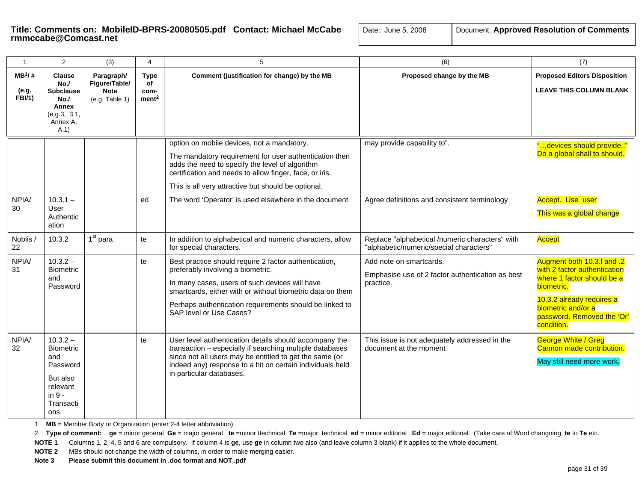| $\mathbf{1}$                       | 2                                                                                                         | (3)                                                          | 4                                              | 5                                                                                                                                                                                                                                                                                               | (6)                                                                                        | (7)                                                                                                                                                                                                   |
|------------------------------------|-----------------------------------------------------------------------------------------------------------|--------------------------------------------------------------|------------------------------------------------|-------------------------------------------------------------------------------------------------------------------------------------------------------------------------------------------------------------------------------------------------------------------------------------------------|--------------------------------------------------------------------------------------------|-------------------------------------------------------------------------------------------------------------------------------------------------------------------------------------------------------|
| $MB^1/#$<br>(e.g.<br><b>FBI/1)</b> | <b>Clause</b><br>No.<br><b>Subclause</b><br>No.<br>Annex<br>(e.g.3, 3.1,<br>Annex A,<br>A.1               | Paragraph/<br>Figure/Table/<br><b>Note</b><br>(e.g. Table 1) | <b>Type</b><br>of<br>com-<br>ment <sup>2</sup> | Comment (justification for change) by the MB                                                                                                                                                                                                                                                    | Proposed change by the MB                                                                  | <b>Proposed Editors Disposition</b><br><b>LEAVE THIS COLUMN BLANK</b>                                                                                                                                 |
|                                    |                                                                                                           |                                                              |                                                | option on mobile devices, not a mandatory.<br>The mandatory requirement for user authentication then<br>adds the need to specify the level of algorithm<br>certification and needs to allow finger, face, or iris.<br>This is all very attractive but should be optional.                       | may provide capability to".                                                                | "devices should provide"<br>Do a global shall to should.                                                                                                                                              |
| NPIA/<br>30                        | $10.3.1 -$<br>User<br>Authentic<br>ation                                                                  |                                                              | ed                                             | The word 'Operator' is used elsewhere in the document                                                                                                                                                                                                                                           | Agree definitions and consistent terminology                                               | Accept. Use user<br>This was a global change                                                                                                                                                          |
| Noblis /<br>22                     | 10.3.2                                                                                                    | $1st$ para                                                   | te                                             | In addition to alphabetical and numeric characters, allow<br>for special characters.                                                                                                                                                                                                            | Replace "alphabetical /numeric characters" with<br>"alphabetic/numeric/special characters" | <b>Accept</b>                                                                                                                                                                                         |
| NPIA/<br>31                        | $10.3.2 -$<br><b>Biometric</b><br>and<br>Password                                                         |                                                              | te                                             | Best practice should require 2 factor authentication,<br>preferably involving a biometric.<br>In many cases, users of such devices will have<br>smartcards, either with or without biometric data on them<br>Perhaps authentication requirements should be linked to<br>SAP level or Use Cases? | Add note on smartcards.<br>Emphasise use of 2 factor authentication as best<br>practice.   | Augment both 10.3.I and .2<br>with 2 factor authentication<br>where 1 factor should be a<br>biometric.<br>10.3.2 already requires a<br>biometric and/or a<br>password. Removed the 'Or'<br>condition. |
| NPIA/<br>32                        | $10.3.2 -$<br><b>Biometric</b><br>and<br>Password<br>But also<br>relevant<br>in $9 -$<br>Transacti<br>ons |                                                              | te                                             | User level authentication details should accompany the<br>transaction - especially if searching multiple databases<br>since not all users may be entitled to get the same (or<br>indeed any) response to a hit on certain individuals held<br>in particular databases.                          | This issue is not adequately addressed in the<br>document at the moment                    | <b>George White / Greg</b><br>Cannon made contribution.<br>May still need more work.                                                                                                                  |

1 **MB** = Member Body or Organization (enter 2-4 letter abbriviation)

2 Type of comment: ge = minor general Ge = major general te =minor ttechnical Te =major technical ed = minor editorial Ed = major editorial. (Take care of Word changning te to Te etc.

**NOTE 1** Columns 1, 2, 4, 5 and 6 are compulsory. If column 4 is **ge**, use **ge** in column two also (and leave column 3 blank) if it applies to the whole document.

**NOTE 2** MBs should not change the width of columns, in order to make merging easier.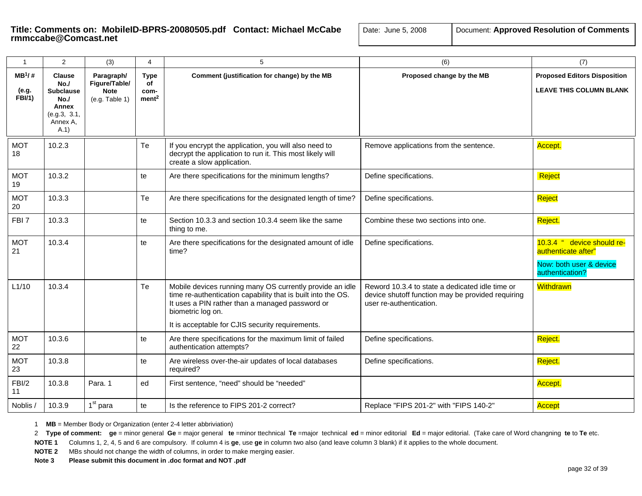# **Title: Comments on: MobileID-BPRS-20080505.pdf Contact: Michael McCabe** | Date: Transcabe@Comcast.net

| ate: June 5, 2008 | Document: Approved Resolution of Comments |
|-------------------|-------------------------------------------|
|-------------------|-------------------------------------------|

| $\mathbf{1}$                        | 2                                                                                           | (3)                                                          | 4                                              | 5                                                                                                                                                                                                                                                    | (6)                                                                                                                             | (7)                                                                                             |
|-------------------------------------|---------------------------------------------------------------------------------------------|--------------------------------------------------------------|------------------------------------------------|------------------------------------------------------------------------------------------------------------------------------------------------------------------------------------------------------------------------------------------------------|---------------------------------------------------------------------------------------------------------------------------------|-------------------------------------------------------------------------------------------------|
| $MB^1$ /#<br>(e.g.<br><b>FBI/1)</b> | <b>Clause</b><br>No.<br><b>Subclause</b><br>No.<br>Annex<br>(e.g.3, 3.1,<br>Annex A.<br>A.1 | Paragraph/<br>Figure/Table/<br><b>Note</b><br>(e.g. Table 1) | <b>Type</b><br>of<br>com-<br>ment <sup>2</sup> | Comment (justification for change) by the MB                                                                                                                                                                                                         | Proposed change by the MB                                                                                                       | <b>Proposed Editors Disposition</b><br><b>LEAVE THIS COLUMN BLANK</b>                           |
| <b>MOT</b><br>18                    | 10.2.3                                                                                      |                                                              | Te                                             | If you encrypt the application, you will also need to<br>decrypt the application to run it. This most likely will<br>create a slow application.                                                                                                      | Remove applications from the sentence.                                                                                          | Accept.                                                                                         |
| <b>MOT</b><br>19                    | 10.3.2                                                                                      |                                                              | te                                             | Are there specifications for the minimum lengths?                                                                                                                                                                                                    | Define specifications.                                                                                                          | Reject                                                                                          |
| <b>MOT</b><br>20                    | 10.3.3                                                                                      |                                                              | Te                                             | Are there specifications for the designated length of time?                                                                                                                                                                                          | Define specifications.                                                                                                          | Reject                                                                                          |
| FBI <sub>7</sub>                    | 10.3.3                                                                                      |                                                              | te                                             | Section 10.3.3 and section 10.3.4 seem like the same<br>thing to me.                                                                                                                                                                                 | Combine these two sections into one.                                                                                            | Reject.                                                                                         |
| <b>MOT</b><br>21                    | 10.3.4                                                                                      |                                                              | te                                             | Are there specifications for the designated amount of idle<br>time?                                                                                                                                                                                  | Define specifications.                                                                                                          | 10.3.4 " device should re-<br>authenticate after"<br>Now: both user & device<br>authentication? |
| L1/10                               | 10.3.4                                                                                      |                                                              | Te                                             | Mobile devices running many OS currently provide an idle<br>time re-authentication capability that is built into the OS.<br>It uses a PIN rather than a managed password or<br>biometric log on.<br>It is acceptable for CJIS security requirements. | Reword 10.3.4 to state a dedicated idle time or<br>device shutoff function may be provided requiring<br>user re-authentication. | Withdrawn                                                                                       |
| <b>MOT</b><br>22                    | 10.3.6                                                                                      |                                                              | te                                             | Are there specifications for the maximum limit of failed<br>authentication attempts?                                                                                                                                                                 | Define specifications.                                                                                                          | Reject.                                                                                         |
| <b>MOT</b><br>23                    | 10.3.8                                                                                      |                                                              | te                                             | Are wireless over-the-air updates of local databases<br>required?                                                                                                                                                                                    | Define specifications.                                                                                                          | Reject.                                                                                         |
| FBI/2<br>11                         | 10.3.8                                                                                      | Para. 1                                                      | ed                                             | First sentence, "need" should be "needed"                                                                                                                                                                                                            |                                                                                                                                 | Accept.                                                                                         |
| Noblis /                            | 10.3.9                                                                                      | 1 <sup>st</sup> para                                         | te                                             | Is the reference to FIPS 201-2 correct?                                                                                                                                                                                                              | Replace "FIPS 201-2" with "FIPS 140-2"                                                                                          | Accept                                                                                          |

1 **MB** = Member Body or Organization (enter 2-4 letter abbriviation)

2 Type of comment: ge = minor general Ge = major general te =minor ttechnical Te =major technical ed = minor editorial Ed = major editorial. (Take care of Word changning te to Te etc.

**NOTE 1** Columns 1, 2, 4, 5 and 6 are compulsory. If column 4 is **ge**, use **ge** in column two also (and leave column 3 blank) if it applies to the whole document.

**NOTE 2** MBs should not change the width of columns, in order to make merging easier.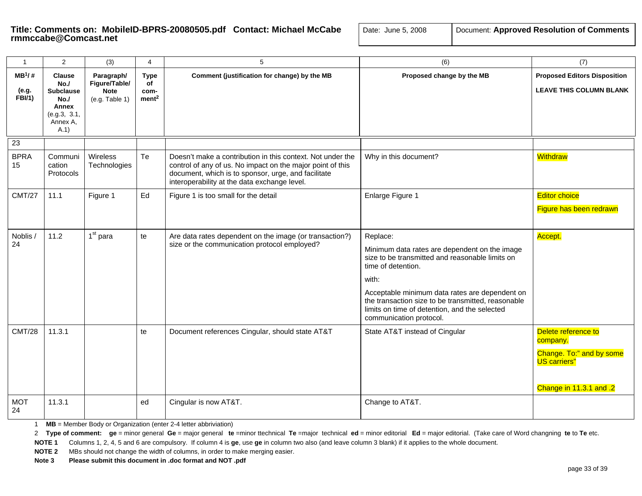# Title: Comments on: MobileID-BPRS-20080505.pdf Contact: Michael McCabe  $\Box$

| Document: Approved Resolution of Comments<br>Date: June 5, 2008 |  |
|-----------------------------------------------------------------|--|
|-----------------------------------------------------------------|--|

| $\mathbf{1}$                        | 2                                                                                           | (3)                                                          | 4                                              | 5                                                                                                                                                                                                                               | (6)                                                                                                                                                                                                                                                                                                                             | (7)                                                                                                           |
|-------------------------------------|---------------------------------------------------------------------------------------------|--------------------------------------------------------------|------------------------------------------------|---------------------------------------------------------------------------------------------------------------------------------------------------------------------------------------------------------------------------------|---------------------------------------------------------------------------------------------------------------------------------------------------------------------------------------------------------------------------------------------------------------------------------------------------------------------------------|---------------------------------------------------------------------------------------------------------------|
| $MB^1$ /#<br>(e.g.<br><b>FBI/1)</b> | <b>Clause</b><br>No.<br><b>Subclause</b><br>No.<br>Annex<br>(e.g.3, 3.1,<br>Annex A,<br>A.1 | Paragraph/<br>Figure/Table/<br><b>Note</b><br>(e.g. Table 1) | <b>Type</b><br>of<br>com-<br>ment <sup>2</sup> | Comment (justification for change) by the MB                                                                                                                                                                                    | Proposed change by the MB                                                                                                                                                                                                                                                                                                       | <b>Proposed Editors Disposition</b><br><b>LEAVE THIS COLUMN BLANK</b>                                         |
| 23                                  |                                                                                             |                                                              |                                                |                                                                                                                                                                                                                                 |                                                                                                                                                                                                                                                                                                                                 |                                                                                                               |
| <b>BPRA</b><br>15                   | Communi<br>cation<br>Protocols                                                              | Wireless<br>Technologies                                     | Te                                             | Doesn't make a contribution in this context. Not under the<br>control of any of us. No impact on the major point of this<br>document, which is to sponsor, urge, and facilitate<br>interoperability at the data exchange level. | Why in this document?                                                                                                                                                                                                                                                                                                           | Withdraw                                                                                                      |
| <b>CMT/27</b>                       | 11.1                                                                                        | Figure 1                                                     | Ed                                             | Figure 1 is too small for the detail                                                                                                                                                                                            | Enlarge Figure 1                                                                                                                                                                                                                                                                                                                | <b>Editor choice</b><br>Figure has been redrawn                                                               |
| Noblis /<br>24                      | 11.2                                                                                        | 1 <sup>st</sup> para                                         | te                                             | Are data rates dependent on the image (or transaction?)<br>size or the communication protocol employed?                                                                                                                         | Replace:<br>Minimum data rates are dependent on the image<br>size to be transmitted and reasonable limits on<br>time of detention.<br>with:<br>Acceptable minimum data rates are dependent on<br>the transaction size to be transmitted, reasonable<br>limits on time of detention, and the selected<br>communication protocol. | Accept.                                                                                                       |
| <b>CMT/28</b>                       | 11.3.1                                                                                      |                                                              | te                                             | Document references Cingular, should state AT&T                                                                                                                                                                                 | State AT&T instead of Cingular                                                                                                                                                                                                                                                                                                  | Delete reference to<br>company.<br>Change. To:" and by some<br><b>US carriers"</b><br>Change in 11.3.1 and .2 |
| <b>MOT</b><br>24                    | 11.3.1                                                                                      |                                                              | ed                                             | Cingular is now AT&T.                                                                                                                                                                                                           | Change to AT&T.                                                                                                                                                                                                                                                                                                                 |                                                                                                               |

1 **MB** = Member Body or Organization (enter 2-4 letter abbriviation)

2 Type of comment: ge = minor general Ge = major general te =minor ttechnical Te =major technical ed = minor editorial Ed = major editorial. (Take care of Word changning te to Te etc.

**NOTE 1** Columns 1, 2, 4, 5 and 6 are compulsory. If column 4 is **ge**, use **ge** in column two also (and leave column 3 blank) if it applies to the whole document.

**NOTE 2** MBs should not change the width of columns, in order to make merging easier.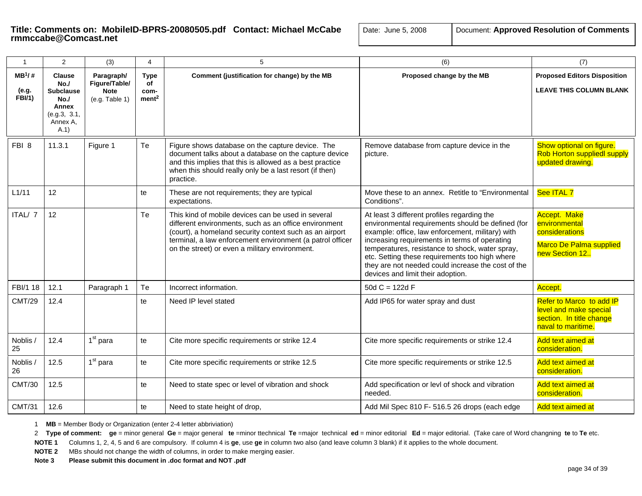| $\mathbf{1}$                        | $\overline{2}$                                                                              | (3)                                                          | 4                                              | 5                                                                                                                                                                                                                                                                                     | (6)                                                                                                                                                                                                                                                                                                                                                                                                   | (7)                                                                                                  |
|-------------------------------------|---------------------------------------------------------------------------------------------|--------------------------------------------------------------|------------------------------------------------|---------------------------------------------------------------------------------------------------------------------------------------------------------------------------------------------------------------------------------------------------------------------------------------|-------------------------------------------------------------------------------------------------------------------------------------------------------------------------------------------------------------------------------------------------------------------------------------------------------------------------------------------------------------------------------------------------------|------------------------------------------------------------------------------------------------------|
| $MB^1$ /#<br>(e.g.<br><b>FBI/1)</b> | <b>Clause</b><br>No.<br><b>Subclause</b><br>No.<br>Annex<br>(e.g.3, 3.1,<br>Annex A,<br>A.1 | Paragraph/<br>Figure/Table/<br><b>Note</b><br>(e.g. Table 1) | <b>Type</b><br>of<br>com-<br>ment <sup>2</sup> | Comment (justification for change) by the MB                                                                                                                                                                                                                                          | Proposed change by the MB                                                                                                                                                                                                                                                                                                                                                                             | <b>Proposed Editors Disposition</b><br><b>LEAVE THIS COLUMN BLANK</b>                                |
| FBI <sub>8</sub>                    | 11.3.1                                                                                      | Figure 1                                                     | Te                                             | Figure shows database on the capture device. The<br>document talks about a database on the capture device<br>and this implies that this is allowed as a best practice<br>when this should really only be a last resort (if then)<br>practice.                                         | Remove database from capture device in the<br>picture.                                                                                                                                                                                                                                                                                                                                                | Show optional on figure.<br><b>Rob Horton suppliedl supply</b><br>updated drawing.                   |
| L1/11                               | 12                                                                                          |                                                              | te                                             | These are not requirements; they are typical<br>expectations.                                                                                                                                                                                                                         | Move these to an annex. Retitle to "Environmental<br>Conditions".                                                                                                                                                                                                                                                                                                                                     | See ITAL 7                                                                                           |
| ITAL/ 7                             | 12                                                                                          |                                                              | Te                                             | This kind of mobile devices can be used in several<br>different environments, such as an office environment<br>(court), a homeland security context such as an airport<br>terminal, a law enforcement environment (a patrol officer<br>on the street) or even a military environment. | At least 3 different profiles regarding the<br>environmental requirements should be defined (for<br>example: office, law enforcement, military) with<br>increasing requirements in terms of operating<br>temperatures, resistance to shock, water spray,<br>etc. Setting these requirements too high where<br>they are not needed could increase the cost of the<br>devices and limit their adoption. | <b>Accept. Make</b><br>environmental<br>considerations<br>Marco De Palma supplied<br>new Section 12. |
| FBI/1 18                            | 12.1                                                                                        | Paragraph 1                                                  | Te                                             | Incorrect information.                                                                                                                                                                                                                                                                | 50d $C = 122d$ F                                                                                                                                                                                                                                                                                                                                                                                      | Accept.                                                                                              |
| <b>CMT/29</b>                       | 12.4                                                                                        |                                                              | te                                             | Need IP level stated                                                                                                                                                                                                                                                                  | Add IP65 for water spray and dust                                                                                                                                                                                                                                                                                                                                                                     | Refer to Marco to add IP<br>level and make special<br>section. In title change<br>naval to maritime. |
| Noblis /<br>25                      | 12.4                                                                                        | $1st$ para                                                   | te                                             | Cite more specific requirements or strike 12.4                                                                                                                                                                                                                                        | Cite more specific requirements or strike 12.4                                                                                                                                                                                                                                                                                                                                                        | Add text aimed at<br>consideration.                                                                  |
| Noblis /<br>26                      | 12.5                                                                                        | $1st$ para                                                   | te                                             | Cite more specific requirements or strike 12.5                                                                                                                                                                                                                                        | Cite more specific requirements or strike 12.5                                                                                                                                                                                                                                                                                                                                                        | Add text aimed at<br>consideration.                                                                  |
| <b>CMT/30</b>                       | 12.5                                                                                        |                                                              | te                                             | Need to state spec or level of vibration and shock                                                                                                                                                                                                                                    | Add specification or levl of shock and vibration<br>needed.                                                                                                                                                                                                                                                                                                                                           | Add text aimed at<br>consideration.                                                                  |
| <b>CMT/31</b>                       | 12.6                                                                                        |                                                              | te                                             | Need to state height of drop,                                                                                                                                                                                                                                                         | Add Mil Spec 810 F- 516.5 26 drops (each edge                                                                                                                                                                                                                                                                                                                                                         | Add text aimed at                                                                                    |

1 **MB** = Member Body or Organization (enter 2-4 letter abbriviation)

2 Type of comment: ge = minor general Ge = major general te =minor ttechnical Te =major technical ed = minor editorial Ed = major editorial. (Take care of Word changning te to Te etc.

**NOTE 1** Columns 1, 2, 4, 5 and 6 are compulsory. If column 4 is **ge**, use **ge** in column two also (and leave column 3 blank) if it applies to the whole document.

**NOTE 2** MBs should not change the width of columns, in order to make merging easier.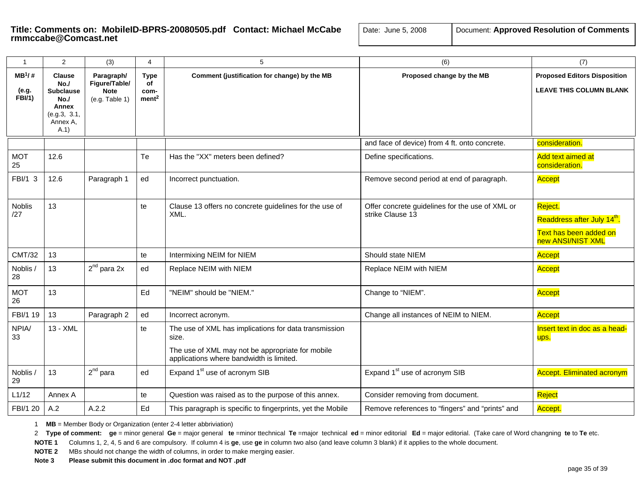# **Title: Comments on: MobileID-BPRS-20080505.pdf Contact: Michael McCabe** | Date: Transcabe@Comcast.net

| 0ate: June 5, 2008 | Document: Approved Resolution of Comments |
|--------------------|-------------------------------------------|
|--------------------|-------------------------------------------|

| $\mathbf{1}$                        | 2                                                                                           | (3)                                                          | 4                                              | 5                                                                                                                                                              | (6)                                                                 | (7)                                                                                               |
|-------------------------------------|---------------------------------------------------------------------------------------------|--------------------------------------------------------------|------------------------------------------------|----------------------------------------------------------------------------------------------------------------------------------------------------------------|---------------------------------------------------------------------|---------------------------------------------------------------------------------------------------|
| $MB^1$ /#<br>(e.g.<br><b>FBI/1)</b> | <b>Clause</b><br>No.<br><b>Subclause</b><br>No.<br>Annex<br>(e.g.3, 3.1,<br>Annex A.<br>A.1 | Paragraph/<br>Figure/Table/<br><b>Note</b><br>(e.g. Table 1) | <b>Type</b><br>of<br>com-<br>ment <sup>2</sup> | Comment (justification for change) by the MB                                                                                                                   | Proposed change by the MB                                           | <b>Proposed Editors Disposition</b><br><b>LEAVE THIS COLUMN BLANK</b>                             |
|                                     |                                                                                             |                                                              |                                                |                                                                                                                                                                | and face of device) from 4 ft. onto concrete.                       | consideration.                                                                                    |
| <b>MOT</b><br>25                    | 12.6                                                                                        |                                                              | Te                                             | Has the "XX" meters been defined?                                                                                                                              | Define specifications.                                              | Add text aimed at<br>consideration                                                                |
| FBI/1 3                             | 12.6                                                                                        | Paragraph 1                                                  | ed                                             | Incorrect punctuation.                                                                                                                                         | Remove second period at end of paragraph.                           | Accept                                                                                            |
| <b>Noblis</b><br>127                | 13                                                                                          |                                                              | te                                             | Clause 13 offers no concrete guidelines for the use of<br>XML.                                                                                                 | Offer concrete guidelines for the use of XML or<br>strike Clause 13 | Reject.<br>Readdress after July 14 <sup>th</sup> .<br>Text has been added on<br>new ANSI/NIST XML |
| <b>CMT/32</b>                       | 13                                                                                          |                                                              | te                                             | Intermixing NEIM for NIEM                                                                                                                                      | Should state NIEM                                                   | Accept                                                                                            |
| Noblis /<br>28                      | 13                                                                                          | $2^{nd}$ para 2x                                             | ed                                             | Replace NEIM with NIEM                                                                                                                                         | Replace NEIM with NIEM                                              | <b>Accept</b>                                                                                     |
| <b>MOT</b><br>26                    | 13                                                                                          |                                                              | Ed                                             | "NEIM" should be "NIEM."                                                                                                                                       | Change to "NIEM".                                                   | Accept                                                                                            |
| FBI/1 19                            | 13                                                                                          | Paragraph 2                                                  | ed                                             | Incorrect acronym.                                                                                                                                             | Change all instances of NEIM to NIEM.                               | <b>Accept</b>                                                                                     |
| NPIA/<br>33                         | 13 - XML                                                                                    |                                                              | te                                             | The use of XML has implications for data transmission<br>size.<br>The use of XML may not be appropriate for mobile<br>applications where bandwidth is limited. |                                                                     | Insert text in doc as a head-<br>ups.                                                             |
| Noblis /<br>29                      | 13                                                                                          | $2^{nd}$ para                                                | ed                                             | Expand 1 <sup>st</sup> use of acronym SIB                                                                                                                      | Expand 1 <sup>st</sup> use of acronym SIB                           | <b>Accept. Eliminated acronym</b>                                                                 |
| L1/12                               | Annex A                                                                                     |                                                              | te                                             | Question was raised as to the purpose of this annex.                                                                                                           | Consider removing from document.                                    | Reject                                                                                            |
| FBI/1 20                            | A.2                                                                                         | A.2.2                                                        | Ed                                             | This paragraph is specific to fingerprints, yet the Mobile                                                                                                     | Remove references to "fingers" and "prints" and                     | Accept.                                                                                           |

1 **MB** = Member Body or Organization (enter 2-4 letter abbriviation)

2 Type of comment: ge = minor general Ge = major general te =minor ttechnical Te =major technical ed = minor editorial Ed = major editorial. (Take care of Word changning te to Te etc.

**NOTE 1** Columns 1, 2, 4, 5 and 6 are compulsory. If column 4 is **ge**, use **ge** in column two also (and leave column 3 blank) if it applies to the whole document.

**NOTE 2** MBs should not change the width of columns, in order to make merging easier.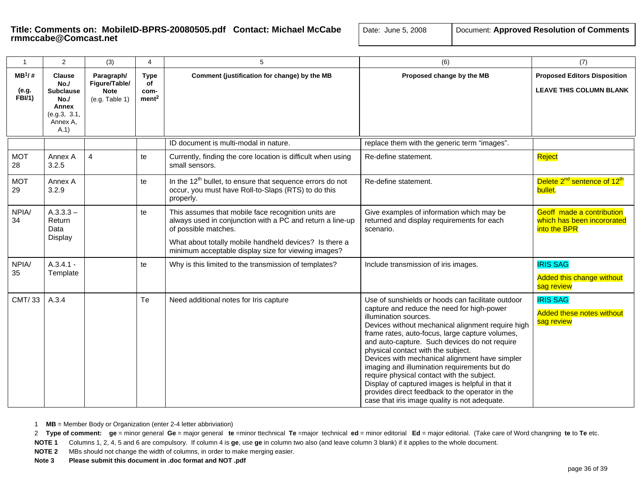| ate:  June 5, 2008 | Document: Approved Resolution of Comment |
|--------------------|------------------------------------------|
|--------------------|------------------------------------------|

| $\mathbf{1}$                       | 2                                                                                                  | (3)                                                          | 4                                              | 5                                                                                                                                                                                                                                                         | (6)                                                                                                                                                                                                                                                                                                                                                                                                                                                                                                                                                                                                                             | (7)                                                                     |
|------------------------------------|----------------------------------------------------------------------------------------------------|--------------------------------------------------------------|------------------------------------------------|-----------------------------------------------------------------------------------------------------------------------------------------------------------------------------------------------------------------------------------------------------------|---------------------------------------------------------------------------------------------------------------------------------------------------------------------------------------------------------------------------------------------------------------------------------------------------------------------------------------------------------------------------------------------------------------------------------------------------------------------------------------------------------------------------------------------------------------------------------------------------------------------------------|-------------------------------------------------------------------------|
| $MB^1/#$<br>(e.g.<br><b>FBI/1)</b> | <b>Clause</b><br>No.<br><b>Subclause</b><br>No.<br><b>Annex</b><br>(e.g.3, 3.1,<br>Annex A,<br>A.1 | Paragraph/<br>Figure/Table/<br><b>Note</b><br>(e.g. Table 1) | <b>Type</b><br>of<br>com-<br>ment <sup>2</sup> | Comment (justification for change) by the MB                                                                                                                                                                                                              | Proposed change by the MB                                                                                                                                                                                                                                                                                                                                                                                                                                                                                                                                                                                                       | <b>Proposed Editors Disposition</b><br><b>LEAVE THIS COLUMN BLANK</b>   |
|                                    |                                                                                                    |                                                              |                                                | ID document is multi-modal in nature.                                                                                                                                                                                                                     | replace them with the generic term "images".                                                                                                                                                                                                                                                                                                                                                                                                                                                                                                                                                                                    |                                                                         |
| <b>MOT</b><br>28                   | Annex A<br>3.2.5                                                                                   | $\overline{4}$                                               | te                                             | Currently, finding the core location is difficult when using<br>small sensors.                                                                                                                                                                            | Re-define statement.                                                                                                                                                                                                                                                                                                                                                                                                                                                                                                                                                                                                            | Reject                                                                  |
| <b>MOT</b><br>29                   | Annex A<br>3.2.9                                                                                   |                                                              | te                                             | In the $12th$ bullet, to ensure that sequence errors do not<br>occur, you must have Roll-to-Slaps (RTS) to do this<br>properly.                                                                                                                           | Re-define statement.                                                                                                                                                                                                                                                                                                                                                                                                                                                                                                                                                                                                            | Delete 2 <sup>nd</sup> sentence of 12 <sup>th</sup><br>bullet.          |
| NPIA/<br>34                        | $A.3.3.3 -$<br>Return<br>Data<br>Display                                                           |                                                              | te                                             | This assumes that mobile face recognition units are<br>always used in conjunction with a PC and return a line-up<br>of possible matches.<br>What about totally mobile handheld devices? Is there a<br>minimum acceptable display size for viewing images? | Give examples of information which may be<br>returned and display requirements for each<br>scenario.                                                                                                                                                                                                                                                                                                                                                                                                                                                                                                                            | Geoff made a contribution<br>which has been incororated<br>into the BPR |
| NPIA/<br>35                        | $A.3.4.1 -$<br>Template                                                                            |                                                              | te                                             | Why is this limited to the transmission of templates?                                                                                                                                                                                                     | Include transmission of iris images.                                                                                                                                                                                                                                                                                                                                                                                                                                                                                                                                                                                            | <b>IRIS SAG</b><br><b>Added this change without</b><br>sag review       |
| CMT/33                             | A.3.4                                                                                              |                                                              | Te                                             | Need additional notes for Iris capture                                                                                                                                                                                                                    | Use of sunshields or hoods can facilitate outdoor<br>capture and reduce the need for high-power<br>illumination sources.<br>Devices without mechanical alignment require high<br>frame rates, auto-focus, large capture volumes,<br>and auto-capture. Such devices do not require<br>physical contact with the subject.<br>Devices with mechanical alignment have simpler<br>imaging and illumination requirements but do<br>require physical contact with the subject.<br>Display of captured images is helpful in that it<br>provides direct feedback to the operator in the<br>case that iris image quality is not adequate. | <b>IRIS SAG</b><br><b>Added these notes without</b><br>sag review       |

1 **MB** = Member Body or Organization (enter 2-4 letter abbriviation)

2 Type of comment: ge = minor general Ge = major general te =minor ttechnical Te =major technical ed = minor editorial Ed = major editorial. (Take care of Word changning te to Te etc.

**NOTE 1** Columns 1, 2, 4, 5 and 6 are compulsory. If column 4 is **ge**, use **ge** in column two also (and leave column 3 blank) if it applies to the whole document.

**NOTE 2** MBs should not change the width of columns, in order to make merging easier.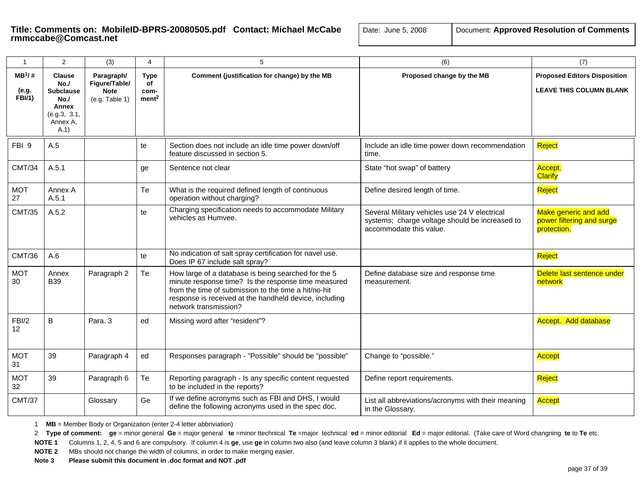| $\mathbf{1}$                        | 2                                                                                            | (3)                                                          | $\overline{4}$                                 | 5                                                                                                                                                                                                                                                     | (6)                                                                                                                        | (7)                                                                   |
|-------------------------------------|----------------------------------------------------------------------------------------------|--------------------------------------------------------------|------------------------------------------------|-------------------------------------------------------------------------------------------------------------------------------------------------------------------------------------------------------------------------------------------------------|----------------------------------------------------------------------------------------------------------------------------|-----------------------------------------------------------------------|
| $MB^1$ /#<br>(e.g.<br><b>FBI/1)</b> | <b>Clause</b><br>No./<br><b>Subclause</b><br>No.<br>Annex<br>(e.g.3, 3.1,<br>Annex A.<br>A.1 | Paragraph/<br>Figure/Table/<br><b>Note</b><br>(e.g. Table 1) | <b>Type</b><br>of<br>com-<br>ment <sup>2</sup> | Comment (justification for change) by the MB                                                                                                                                                                                                          | Proposed change by the MB                                                                                                  | <b>Proposed Editors Disposition</b><br><b>LEAVE THIS COLUMN BLANK</b> |
| FBI 9                               | A.5                                                                                          |                                                              | te                                             | Section does not include an idle time power down/off<br>feature discussed in section 5.                                                                                                                                                               | Include an idle time power down recommendation<br>time.                                                                    | Reject                                                                |
| <b>CMT/34</b>                       | A.5.1                                                                                        |                                                              | ge                                             | Sentence not clear                                                                                                                                                                                                                                    | State "hot swap" of battery                                                                                                | Accept.<br><b>Clarify</b>                                             |
| <b>MOT</b><br>27                    | Annex A<br>A.5.1                                                                             |                                                              | Te                                             | What is the required defined length of continuous<br>operation without charging?                                                                                                                                                                      | Define desired length of time.                                                                                             | Reject                                                                |
| <b>CMT/35</b>                       | A.5.2                                                                                        |                                                              | te                                             | Charging specification needs to accommodate Military<br>vehicles as Humvee.                                                                                                                                                                           | Several Military vehicles use 24 V electrical<br>systems; charge voltage should be increased to<br>accommodate this value. | Make generic and add<br>power filtering and surge<br>protection.      |
| <b>CMT/36</b>                       | A.6                                                                                          |                                                              | te                                             | No indication of salt spray certification for navel use.<br>Does IP 67 include salt spray?                                                                                                                                                            |                                                                                                                            | Reject                                                                |
| <b>MOT</b><br>30                    | Annex<br><b>B39</b>                                                                          | Paragraph 2                                                  | Te                                             | How large of a database is being searched for the 5<br>minute response time? Is the response time measured<br>from the time of submission to the time a hit/no-hit<br>response is received at the handheld device, including<br>network transmission? | Define database size and response time<br>measurement.                                                                     | Delete last sentence under<br>network                                 |
| FBI/2<br>12 <sub>2</sub>            | B                                                                                            | Para, 3                                                      | ed                                             | Missing word after "resident"?                                                                                                                                                                                                                        |                                                                                                                            | Accept. Add database                                                  |
| <b>MOT</b><br>31                    | 39                                                                                           | Paragraph 4                                                  | ed                                             | Responses paragraph - "Possible" should be "possible"                                                                                                                                                                                                 | Change to "possible."                                                                                                      | Accept                                                                |
| <b>MOT</b><br>32                    | 39                                                                                           | Paragraph 6                                                  | Te                                             | Reporting paragraph - Is any specific content requested<br>to be included in the reports?                                                                                                                                                             | Define report requirements.                                                                                                | Reject                                                                |
| <b>CMT/37</b>                       |                                                                                              | Glossary                                                     | Ge                                             | If we define acronyms such as FBI and DHS, I would<br>define the following acronyms used in the spec doc.                                                                                                                                             | List all abbreviations/acronyms with their meaning<br>in the Glossary.                                                     | Accept                                                                |

1 **MB** = Member Body or Organization (enter 2-4 letter abbriviation)

2 Type of comment: ge = minor general Ge = major general te =minor ttechnical Te =major technical ed = minor editorial Ed = major editorial. (Take care of Word changning te to Te etc.

**NOTE 1** Columns 1, 2, 4, 5 and 6 are compulsory. If column 4 is **ge**, use **ge** in column two also (and leave column 3 blank) if it applies to the whole document.

**NOTE 2** MBs should not change the width of columns, in order to make merging easier.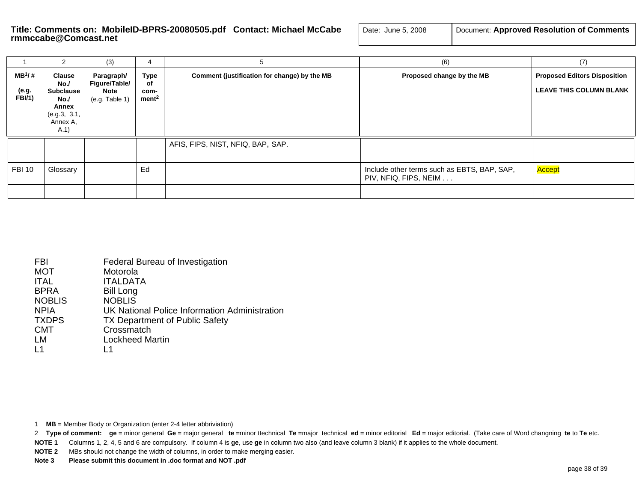# Title: Comments on: MobileID-BPRS-20080505.pdf Contact: Michael McCabe<br>rmmccabe@Comcast.net

| Date: June 5, 2008 | Document: Approved Resolution of Comments |
|--------------------|-------------------------------------------|
|--------------------|-------------------------------------------|

|                                     | 2                                                                                            | (3)                                                          | 4                                              | 5                                            | (6)                                                                  | (7)                                                                   |
|-------------------------------------|----------------------------------------------------------------------------------------------|--------------------------------------------------------------|------------------------------------------------|----------------------------------------------|----------------------------------------------------------------------|-----------------------------------------------------------------------|
| $MB^1$ /#<br>(e.g.<br><b>FBI/1)</b> | <b>Clause</b><br>No./<br><b>Subclause</b><br>No.<br>Annex<br>(e.g.3, 3.1,<br>Annex A,<br>A.1 | Paragraph/<br>Figure/Table/<br><b>Note</b><br>(e.g. Table 1) | <b>Type</b><br>of<br>com-<br>ment <sup>2</sup> | Comment (justification for change) by the MB | Proposed change by the MB                                            | <b>Proposed Editors Disposition</b><br><b>LEAVE THIS COLUMN BLANK</b> |
| <b>FBI 10</b>                       | Glossary                                                                                     |                                                              | Ed                                             | AFIS, FIPS, NIST, NFIQ, BAP, SAP.            | Include other terms such as EBTS, BAP, SAP,<br>PIV, NFIQ, FIPS, NEIM | Accept                                                                |
|                                     |                                                                                              |                                                              |                                                |                                              |                                                                      |                                                                       |

| FBI              | Federal Bureau of Investigation               |
|------------------|-----------------------------------------------|
| <b>MOT</b>       | Motorola                                      |
| <b>ITAL</b>      | <b>ITALDATA</b>                               |
| <b>BPRA</b>      | <b>Bill Long</b>                              |
| <b>NOBLIS</b>    | <b>NOBLIS</b>                                 |
| <b>NPIA</b>      | UK National Police Information Administration |
| <b>TXDPS</b>     | <b>TX Department of Public Safety</b>         |
| <b>CMT</b>       | Crossmatch                                    |
| LM               | Lockheed Martin                               |
| $\overline{1}$ 1 |                                               |

1 **MB** = Member Body or Organization (enter 2-4 letter abbriviation)

**NOTE 1** Columns 1, 2, 4, 5 and 6 are compulsory. If column 4 is **ge**, use **ge** in column two also (and leave column 3 blank) if it applies to the whole document.

**NOTE 2** MBs should not change the width of columns, in order to make merging easier.

<sup>2</sup> Type of comment: ge = minor general Ge = major general te =minor ttechnical Te =major technical ed = minor editorial Ed = major editorial. (Take care of Word changning te to Te etc.